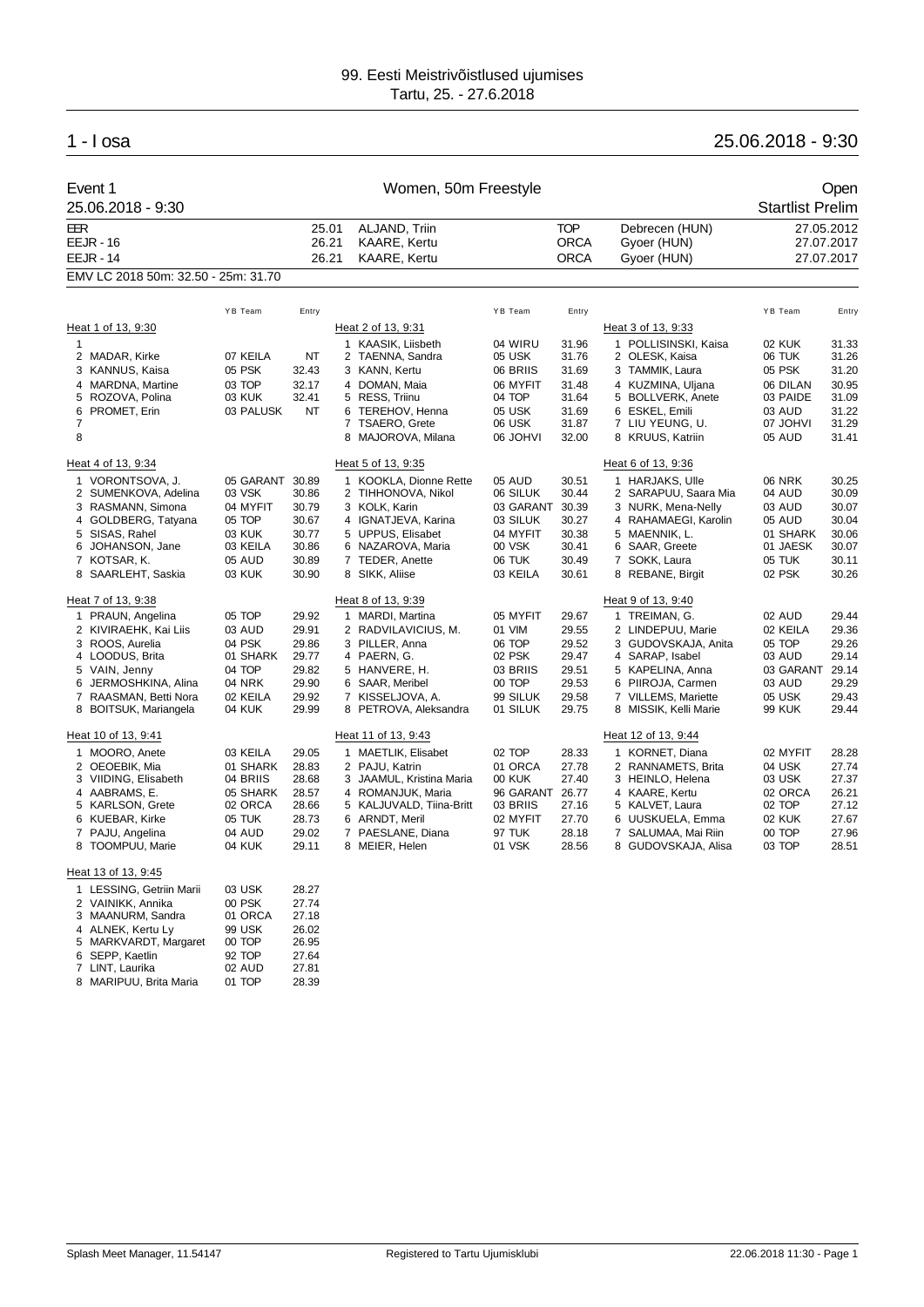## 1 - I osa 25.06.2018 - 9:30

|                | Event 1<br>25.06.2018 - 9:30         |               | Women, 50m Freestyle    |  |                                                      |                 |                                          |                                              |                 | Open<br><b>Startlist Prelim</b>        |
|----------------|--------------------------------------|---------------|-------------------------|--|------------------------------------------------------|-----------------|------------------------------------------|----------------------------------------------|-----------------|----------------------------------------|
| EER            | <b>EEJR - 16</b><br><b>EEJR - 14</b> |               | 25.01<br>26.21<br>26.21 |  | ALJAND, Triin<br><b>KAARE, Kertu</b><br>KAARE, Kertu |                 | <b>TOP</b><br><b>ORCA</b><br><b>ORCA</b> | Debrecen (HUN)<br>Gyoer (HUN)<br>Gyoer (HUN) |                 | 27.05.2012<br>27.07.2017<br>27.07.2017 |
|                | EMV LC 2018 50m: 32.50 - 25m: 31.70  |               |                         |  |                                                      |                 |                                          |                                              |                 |                                        |
|                |                                      | YB Team       | Entry                   |  |                                                      | YB Team         | Entry                                    |                                              | YB Team         | Entry                                  |
|                | Heat 1 of 13, 9:30                   |               |                         |  | Heat 2 of 13, 9:31                                   |                 |                                          | Heat 3 of 13, 9:33                           |                 |                                        |
| $\mathbf{1}$   |                                      |               |                         |  | 1 KAASIK, Liisbeth                                   | 04 WIRU         | 31.96                                    | 1 POLLISINSKI, Kaisa                         | 02 KUK          | 31.33                                  |
|                | 2 MADAR, Kirke                       | 07 KEILA      | <b>NT</b>               |  | 2 TAENNA, Sandra                                     | 05 USK          | 31.76                                    | 2 OLESK, Kaisa                               | 06 TUK          | 31.26                                  |
|                | 3 KANNUS, Kaisa                      | 05 PSK        | 32.43                   |  | 3 KANN, Kertu                                        | 06 BRIIS        | 31.69                                    | 3 TAMMIK, Laura                              | 05 PSK          | 31.20                                  |
|                | 4 MARDNA, Martine                    | 03 TOP        | 32.17                   |  | 4 DOMAN, Maia                                        | 06 MYFIT        | 31.48                                    | 4 KUZMINA, Uljana                            | 06 DILAN        | 30.95                                  |
| 5              | ROZOVA, Polina                       | 03 KUK        | 32.41                   |  | 5 RESS, Triinu                                       | 04 TOP          | 31.64                                    | 5 BOLLVERK, Anete                            | 03 PAIDE        | 31.09                                  |
|                | 6 PROMET, Erin                       | 03 PALUSK     | NT                      |  | 6 TEREHOV, Henna                                     | 05 USK          | 31.69                                    | 6 ESKEL, Emili                               | 03 AUD          | 31.22                                  |
| $\overline{7}$ |                                      |               |                         |  | 7 TSAERO, Grete                                      | 06 USK          | 31.87                                    | 7 LIU YEUNG, U.                              | <b>07 JOHVI</b> | 31.29                                  |
| 8              |                                      |               |                         |  | 8 MAJOROVA, Milana                                   | 06 JOHVI        | 32.00                                    | 8 KRUUS, Katriin                             | 05 AUD          | 31.41                                  |
|                | Heat 4 of 13, 9:34                   |               |                         |  | Heat 5 of 13, 9:35                                   |                 |                                          | Heat 6 of 13, 9:36                           |                 |                                        |
|                | 1 VORONTSOVA, J.                     | 05 GARANT     | 30.89                   |  | 1 KOOKLA, Dionne Rette                               | 05 AUD          | 30.51                                    | 1 HARJAKS, Ulle                              | <b>06 NRK</b>   | 30.25                                  |
|                | 2 SUMENKOVA, Adelina                 | 03 VSK        | 30.86                   |  | 2 TIHHONOVA, Nikol                                   | 06 SILUK        | 30.44                                    | 2 SARAPUU, Saara Mia                         | 04 AUD          | 30.09                                  |
|                | 3 RASMANN, Simona                    | 04 MYFIT      | 30.79                   |  | 3 KOLK, Karin                                        | 03 GARANT       | 30.39                                    | 3 NURK, Mena-Nelly                           | 03 AUD          | 30.07                                  |
|                | 4 GOLDBERG, Tatyana                  | 05 TOP        | 30.67                   |  | 4 IGNATJEVA, Karina                                  | 03 SILUK        | 30.27                                    | 4 RAHAMAEGI, Karolin                         | 05 AUD          | 30.04                                  |
|                | 5 SISAS, Rahel                       | 03 KUK        | 30.77                   |  | 5 UPPUS, Elisabet                                    | 04 MYFIT        | 30.38                                    | 5 MAENNIK, L.                                | 01 SHARK        | 30.06                                  |
|                | 6 JOHANSON, Jane                     | 03 KEILA      | 30.86                   |  | 6 NAZAROVA, Maria                                    | 00 VSK          | 30.41                                    | 6 SAAR, Greete                               | 01 JAESK        | 30.07                                  |
|                | 7 KOTSAR, K.                         | 05 AUD        | 30.89                   |  | 7 TEDER, Anette                                      | 06 TUK          | 30.49                                    | 7 SOKK, Laura                                | 05 TUK          | 30.11                                  |
|                | 8 SAARLEHT, Saskia                   | 03 KUK        | 30.90                   |  | 8 SIKK, Aliise                                       | 03 KEILA        | 30.61                                    | 8 REBANE, Birgit                             | 02 PSK          | 30.26                                  |
|                | Heat 7 of 13, 9:38                   |               |                         |  | Heat 8 of 13, 9:39                                   |                 |                                          | Heat 9 of 13, 9:40                           |                 |                                        |
|                | 1 PRAUN, Angelina                    | 05 TOP        | 29.92                   |  | 1 MARDI, Martina                                     | 05 MYFIT        | 29.67                                    | 1 TREIMAN, G.                                | 02 AUD          | 29.44                                  |
|                | 2 KIVIRAEHK, Kai Liis                | 03 AUD        | 29.91                   |  | 2 RADVILAVICIUS, M.                                  | 01 VIM          | 29.55                                    | 2 LINDEPUU, Marie                            | 02 KEILA        | 29.36                                  |
|                | 3 ROOS, Aurelia                      | 04 PSK        | 29.86                   |  | 3 PILLER, Anna                                       | 06 TOP          | 29.52                                    | 3 GUDOVSKAJA, Anita                          | 05 TOP          | 29.26                                  |
|                | 4 LOODUS, Brita                      | 01 SHARK      | 29.77                   |  | 4 PAERN, G.                                          | 02 PSK          | 29.47                                    | 4 SARAP, Isabel                              | 03 AUD          | 29.14                                  |
|                | 5 VAIN, Jenny                        | 04 TOP        | 29.82                   |  | 5 HANVERE, H.                                        | 03 BRIIS        | 29.51                                    | 5 KAPELINA, Anna                             | 03 GARANT       | 29.14                                  |
|                | 6 JERMOSHKINA, Alina                 | <b>04 NRK</b> | 29.90                   |  | 6 SAAR, Meribel                                      | 00 TOP          | 29.53                                    | 6 PIIROJA, Carmen                            | 03 AUD          | 29.29                                  |
|                | 7 RAASMAN, Betti Nora                | 02 KEILA      | 29.92                   |  | 7 KISSELJOVA, A.                                     | 99 SILUK        | 29.58                                    | 7 VILLEMS, Mariette                          | 05 USK          | 29.43                                  |
|                | 8 BOITSUK, Mariangela                | 04 KUK        | 29.99                   |  | 8 PETROVA, Aleksandra                                | 01 SILUK        | 29.75                                    | 8 MISSIK, Kelli Marie                        | 99 KUK          | 29.44                                  |
|                | Heat 10 of 13, 9:41                  |               |                         |  | Heat 11 of 13, 9:43                                  |                 |                                          | Heat 12 of 13, 9:44                          |                 |                                        |
|                | 1 MOORO, Anete                       | 03 KEILA      | 29.05                   |  | 1 MAETLIK, Elisabet                                  | 02 TOP          | 28.33                                    | 1 KORNET, Diana                              | 02 MYFIT        | 28.28                                  |
|                | 2 OEOEBIK, Mia                       | 01 SHARK      | 28.83                   |  | 2 PAJU, Katrin                                       | 01 ORCA         | 27.78                                    | 2 RANNAMETS, Brita                           | 04 USK          | 27.74                                  |
|                | 3 VIIDING, Elisabeth                 | 04 BRIIS      | 28.68                   |  | 3 JAAMUL, Kristina Maria                             | <b>00 KUK</b>   | 27.40                                    | 3 HEINLO, Helena                             | 03 USK          | 27.37                                  |
|                | 4 AABRAMS, E.                        | 05 SHARK      | 28.57                   |  | 4 ROMANJUK, Maria                                    | 96 GARANT 26.77 |                                          | 4 KAARE, Kertu                               | 02 ORCA         | 26.21                                  |
|                | 5 KARLSON, Grete                     | 02 ORCA       | 28.66                   |  | 5 KALJUVALD, Tiina-Britt                             | 03 BRIIS        | 27.16                                    | 5 KALVET, Laura                              | 02 TOP          | 27.12                                  |
|                | 6 KUEBAR, Kirke                      | 05 TUK        | 28.73                   |  | 6 ARNDT, Meril                                       | 02 MYFIT        | 27.70                                    | 6 UUSKUELA, Emma                             | 02 KUK          | 27.67                                  |
| $\overline{7}$ | PAJU, Angelina                       | 04 AUD        | 29.02                   |  | 7 PAESLANE, Diana                                    | 97 TUK          | 28.18                                    | 7 SALUMAA, Mai Riin                          | 00 TOP          | 27.96                                  |
|                | 8 TOOMPUU, Marie                     | 04 KUK        | 29.11                   |  | 8 MEIER, Helen                                       | 01 VSK          | 28.56                                    | 8 GUDOVSKAJA, Alisa                          | 03 TOP          | 28.51                                  |
|                | Heat 13 of 13, 9:45                  |               |                         |  |                                                      |                 |                                          |                                              |                 |                                        |

| 1 LESSING, Getriin Marii | 03 USK        | 28.27 |
|--------------------------|---------------|-------|
| 2 VAINIKK, Annika        | 00 PSK        | 27.74 |
| 3 MAANURM, Sandra        | 01 ORCA       | 27.18 |
| 4 ALNEK, Kertu Ly        | <b>99 USK</b> | 26.02 |
| 5 MARKVARDT, Margaret    | 00 TOP        | 26.95 |
| 6 SEPP, Kaetlin          | 92 TOP        | 27.64 |
| 7 LINT, Laurika          | 02 AUD        | 27.81 |
| 8 MARIPUU, Brita Maria   | 01 TOP        | 28.39 |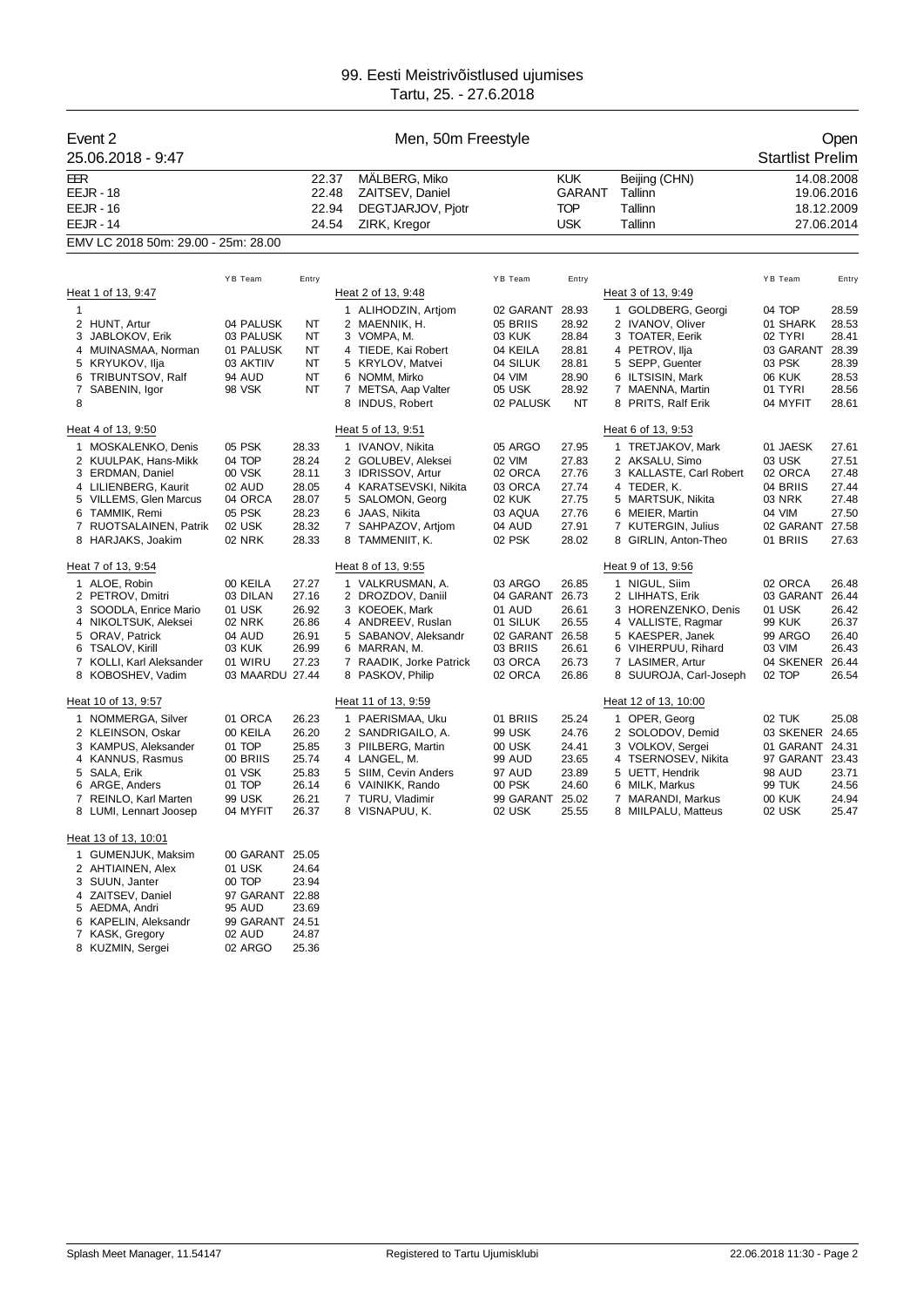| Event 2<br>25.06.2018 - 9:47                                                                                                                                                                                                                                                                                                                                 |                                                                                                                                                      | Men, 50m Freestyle                                                                                                                  |                                  |                                                                                                                                                                                                                                                                                                                                         |                                                                                                                                                                                       |                                                                                                          |                                                                                                                                                                                                                                                                                                                                            |                                                                                                                                                                      | Open<br><b>Startlist Prelim</b>                                                                                            |
|--------------------------------------------------------------------------------------------------------------------------------------------------------------------------------------------------------------------------------------------------------------------------------------------------------------------------------------------------------------|------------------------------------------------------------------------------------------------------------------------------------------------------|-------------------------------------------------------------------------------------------------------------------------------------|----------------------------------|-----------------------------------------------------------------------------------------------------------------------------------------------------------------------------------------------------------------------------------------------------------------------------------------------------------------------------------------|---------------------------------------------------------------------------------------------------------------------------------------------------------------------------------------|----------------------------------------------------------------------------------------------------------|--------------------------------------------------------------------------------------------------------------------------------------------------------------------------------------------------------------------------------------------------------------------------------------------------------------------------------------------|----------------------------------------------------------------------------------------------------------------------------------------------------------------------|----------------------------------------------------------------------------------------------------------------------------|
| EER<br><b>EEJR - 18</b><br><b>EEJR - 16</b><br><b>EEJR - 14</b>                                                                                                                                                                                                                                                                                              |                                                                                                                                                      |                                                                                                                                     | 22.37<br>22.48<br>22.94<br>24.54 | MALBERG, Miko<br>ZAITSEV, Daniel<br>DEGTJARJOV, Pjotr<br>ZIRK, Kregor                                                                                                                                                                                                                                                                   |                                                                                                                                                                                       | <b>KUK</b><br>GARANT<br><b>TOP</b><br><b>USK</b>                                                         | Beijing (CHN)<br>Tallinn<br>Tallinn<br>Tallinn                                                                                                                                                                                                                                                                                             |                                                                                                                                                                      | 14.08.2008<br>19.06.2016<br>18.12.2009<br>27.06.2014                                                                       |
| EMV LC 2018 50m: 29.00 - 25m: 28.00                                                                                                                                                                                                                                                                                                                          |                                                                                                                                                      |                                                                                                                                     |                                  |                                                                                                                                                                                                                                                                                                                                         |                                                                                                                                                                                       |                                                                                                          |                                                                                                                                                                                                                                                                                                                                            |                                                                                                                                                                      |                                                                                                                            |
|                                                                                                                                                                                                                                                                                                                                                              |                                                                                                                                                      |                                                                                                                                     |                                  |                                                                                                                                                                                                                                                                                                                                         |                                                                                                                                                                                       |                                                                                                          |                                                                                                                                                                                                                                                                                                                                            |                                                                                                                                                                      |                                                                                                                            |
|                                                                                                                                                                                                                                                                                                                                                              | YB Team                                                                                                                                              | Entry                                                                                                                               |                                  |                                                                                                                                                                                                                                                                                                                                         | YB Team                                                                                                                                                                               | Entry                                                                                                    |                                                                                                                                                                                                                                                                                                                                            | YB Team                                                                                                                                                              | Entry                                                                                                                      |
| Heat 1 of 13, 9:47<br>$\mathbf{1}$                                                                                                                                                                                                                                                                                                                           |                                                                                                                                                      |                                                                                                                                     |                                  | Heat 2 of 13, 9:48<br>1 ALIHODZIN, Artjom                                                                                                                                                                                                                                                                                               | 02 GARANT 28.93                                                                                                                                                                       |                                                                                                          | Heat 3 of 13, 9:49<br>1 GOLDBERG, Georgi                                                                                                                                                                                                                                                                                                   | 04 TOP                                                                                                                                                               | 28.59                                                                                                                      |
| 2 HUNT, Artur<br>3 JABLOKOV, Erik<br>4 MUINASMAA, Norman                                                                                                                                                                                                                                                                                                     | 04 PALUSK<br>03 PALUSK<br>01 PALUSK                                                                                                                  | ΝT<br>NT<br>NT                                                                                                                      |                                  | 2 MAENNIK, H.<br>3 VOMPA, M.<br>4 TIEDE, Kai Robert                                                                                                                                                                                                                                                                                     | 05 BRIIS<br>03 KUK<br>04 KEILA                                                                                                                                                        | 28.92<br>28.84<br>28.81                                                                                  | 2 IVANOV, Oliver<br>3 TOATER, Eerik<br>4 PETROV, Ilja                                                                                                                                                                                                                                                                                      | 01 SHARK<br>02 TYRI<br>03 GARANT                                                                                                                                     | 28.53<br>28.41<br>28.39                                                                                                    |
| 5 KRYUKOV, Ilja<br>TRIBUNTSOV, Ralf<br>6<br>7<br>SABENIN, Igor<br>8                                                                                                                                                                                                                                                                                          | 03 AKTIIV<br><b>94 AUD</b><br>98 VSK                                                                                                                 | NT<br>NT<br>NT                                                                                                                      |                                  | 5 KRYLOV, Matvei<br>6 NOMM, Mirko<br>7 METSA, Aap Valter<br>8 INDUS, Robert                                                                                                                                                                                                                                                             | 04 SILUK<br>04 VIM<br>05 USK<br>02 PALUSK                                                                                                                                             | 28.81<br>28.90<br>28.92<br>NT                                                                            | 5 SEPP, Guenter<br>6 ILTSISIN, Mark<br>7 MAENNA, Martin<br>8 PRITS, Ralf Erik                                                                                                                                                                                                                                                              | 03 PSK<br><b>06 KUK</b><br>01 TYRI<br>04 MYFIT                                                                                                                       | 28.39<br>28.53<br>28.56<br>28.61                                                                                           |
|                                                                                                                                                                                                                                                                                                                                                              |                                                                                                                                                      |                                                                                                                                     |                                  |                                                                                                                                                                                                                                                                                                                                         |                                                                                                                                                                                       |                                                                                                          |                                                                                                                                                                                                                                                                                                                                            |                                                                                                                                                                      |                                                                                                                            |
| Heat 4 of 13, 9:50<br>1 MOSKALENKO, Denis<br>2 KUULPAK, Hans-Mikk<br>3 ERDMAN, Daniel<br>4 LILIENBERG, Kaurit<br>5 VILLEMS, Glen Marcus<br>6 TAMMIK, Remi<br>7 RUOTSALAINEN, Patrik<br>8 HARJAKS, Joakim<br>Heat 7 of 13, 9:54<br>1 ALOE, Robin<br>2 PETROV, Dmitri<br>3 SOODLA, Enrice Mario<br>4 NIKOLTSUK, Aleksei<br>5 ORAV, Patrick<br>6 TSALOV, Kirill | 05 PSK<br>04 TOP<br>00 VSK<br>02 AUD<br>04 ORCA<br>05 PSK<br>02 USK<br><b>02 NRK</b><br>00 KEILA<br>03 DILAN<br>01 USK<br>02 NRK<br>04 AUD<br>03 KUK | 28.33<br>28.24<br>28.11<br>28.05<br>28.07<br>28.23<br>28.32<br>28.33<br>27.27<br>27.16<br>26.92<br>26.86<br>26.91<br>26.99<br>27.23 |                                  | Heat 5 of 13, 9:51<br>1 IVANOV, Nikita<br>2 GOLUBEV, Aleksei<br>3 IDRISSOV, Artur<br>4 KARATSEVSKI, Nikita<br>5 SALOMON, Georg<br>6 JAAS, Nikita<br>7 SAHPAZOV, Artjom<br>8 TAMMENIIT, K.<br>Heat 8 of 13, 9:55<br>1 VALKRUSMAN, A.<br>2 DROZDOV, Daniil<br>3 KOEOEK, Mark<br>4 ANDREEV, Ruslan<br>5 SABANOV, Aleksandr<br>6 MARRAN, M. | 05 ARGO<br>02 VIM<br>02 ORCA<br>03 ORCA<br><b>02 KUK</b><br>03 AQUA<br>04 AUD<br>02 PSK<br>03 ARGO<br>04 GARANT 26.73<br>01 AUD<br>01 SILUK<br>02 GARANT 26.58<br>03 BRIIS<br>03 ORCA | 27.95<br>27.83<br>27.76<br>27.74<br>27.75<br>27.76<br>27.91<br>28.02<br>26.85<br>26.61<br>26.55<br>26.61 | Heat 6 of 13, 9:53<br>1 TRETJAKOV, Mark<br>2 AKSALU, Simo<br>3 KALLASTE, Carl Robert<br>4 TEDER, K.<br>5 MARTSUK, Nikita<br>6 MEIER, Martin<br>7 KUTERGIN, Julius<br>8 GIRLIN, Anton-Theo<br>Heat 9 of 13, 9:56<br>1 NIGUL, Siim<br>2 LIHHATS, Erik<br>3 HORENZENKO, Denis<br>4 VALLISTE, Ragmar<br>5 KAESPER, Janek<br>6 VIHERPUU, Rihard | 01 JAESK<br>03 USK<br>02 ORCA<br>04 BRIIS<br>03 NRK<br>04 VIM<br>02 GARANT 27.58<br>01 BRIIS<br>02 ORCA<br>03 GARANT<br>01 USK<br><b>99 KUK</b><br>99 ARGO<br>03 VIM | 27.61<br>27.51<br>27.48<br>27.44<br>27.48<br>27.50<br>27.63<br>26.48<br>26.44<br>26.42<br>26.37<br>26.40<br>26.43<br>26.44 |
| 7<br>KOLLI, Karl Aleksander<br>8 KOBOSHEV, Vadim                                                                                                                                                                                                                                                                                                             | 01 WIRU<br>03 MAARDU 27.44                                                                                                                           |                                                                                                                                     |                                  | 7 RAADIK, Jorke Patrick<br>8 PASKOV, Philip                                                                                                                                                                                                                                                                                             | 02 ORCA                                                                                                                                                                               | 26.73<br>26.86                                                                                           | 7 LASIMER, Artur<br>8 SUUROJA, Carl-Joseph                                                                                                                                                                                                                                                                                                 | 04 SKENER<br>02 TOP                                                                                                                                                  | 26.54                                                                                                                      |
| Heat 10 of 13, 9:57<br>1 NOMMERGA, Silver<br>2 KLEINSON, Oskar<br>3 KAMPUS, Aleksander<br>4 KANNUS, Rasmus<br>5 SALA, Erik<br>6<br>ARGE, Anders<br>REINLO, Karl Marten<br>7<br>8 LUMI, Lennart Joosep                                                                                                                                                        | 01 ORCA<br>00 KEILA<br>01 TOP<br>00 BRIIS<br>01 VSK<br>01 TOP<br>99 USK<br>04 MYFIT                                                                  | 26.23<br>26.20<br>25.85<br>25.74<br>25.83<br>26.14<br>26.21<br>26.37                                                                |                                  | Heat 11 of 13, 9:59<br>1 PAERISMAA, Uku<br>2 SANDRIGAILO, A.<br>3 PIILBERG, Martin<br>4 LANGEL, M.<br>5 SIIM, Cevin Anders<br>6 VAINIKK, Rando<br>7 TURU, Vladimir<br>8 VISNAPUU, K.                                                                                                                                                    | 01 BRIIS<br>99 USK<br>00 USK<br>99 AUD<br>97 AUD<br>00 PSK<br>99 GARANT<br>02 USK                                                                                                     | 25.24<br>24.76<br>24.41<br>23.65<br>23.89<br>24.60<br>25.02<br>25.55                                     | Heat 12 of 13, 10:00<br>1 OPER, Georg<br>2 SOLODOV, Demid<br>3 VOLKOV, Sergei<br>4 TSERNOSEV, Nikita<br>5 UETT, Hendrik<br>6 MILK, Markus<br>7 MARANDI, Markus<br>8 MIILPALU, Matteus                                                                                                                                                      | 02 TUK<br>03 SKENER 24.65<br>01 GARANT 24.31<br>97 GARANT 23.43<br><b>98 AUD</b><br>99 TUK<br><b>00 KUK</b><br>02 USK                                                | 25.08<br>23.71<br>24.56<br>24.94<br>25.47                                                                                  |
| Heat 13 of 13, 10:01<br>1 GUMENJUK, Maksim<br>2 AHTIAINEN, Alex<br>SUUN, Janter<br>3<br>4 ZAITSEV, Daniel<br>5 AEDMA, Andri                                                                                                                                                                                                                                  | 00 GARANT 25.05<br>01 USK<br>00 TOP<br>97 GARANT 22.88<br>95 AUD                                                                                     | 24.64<br>23.94<br>23.69                                                                                                             |                                  |                                                                                                                                                                                                                                                                                                                                         |                                                                                                                                                                                       |                                                                                                          |                                                                                                                                                                                                                                                                                                                                            |                                                                                                                                                                      |                                                                                                                            |

 KAPELIN, Aleksandr 99 GARANT 24.51 KASK, Gregory 02 AUD 24.87 KUZMIN, Sergei 02 ARGO 25.36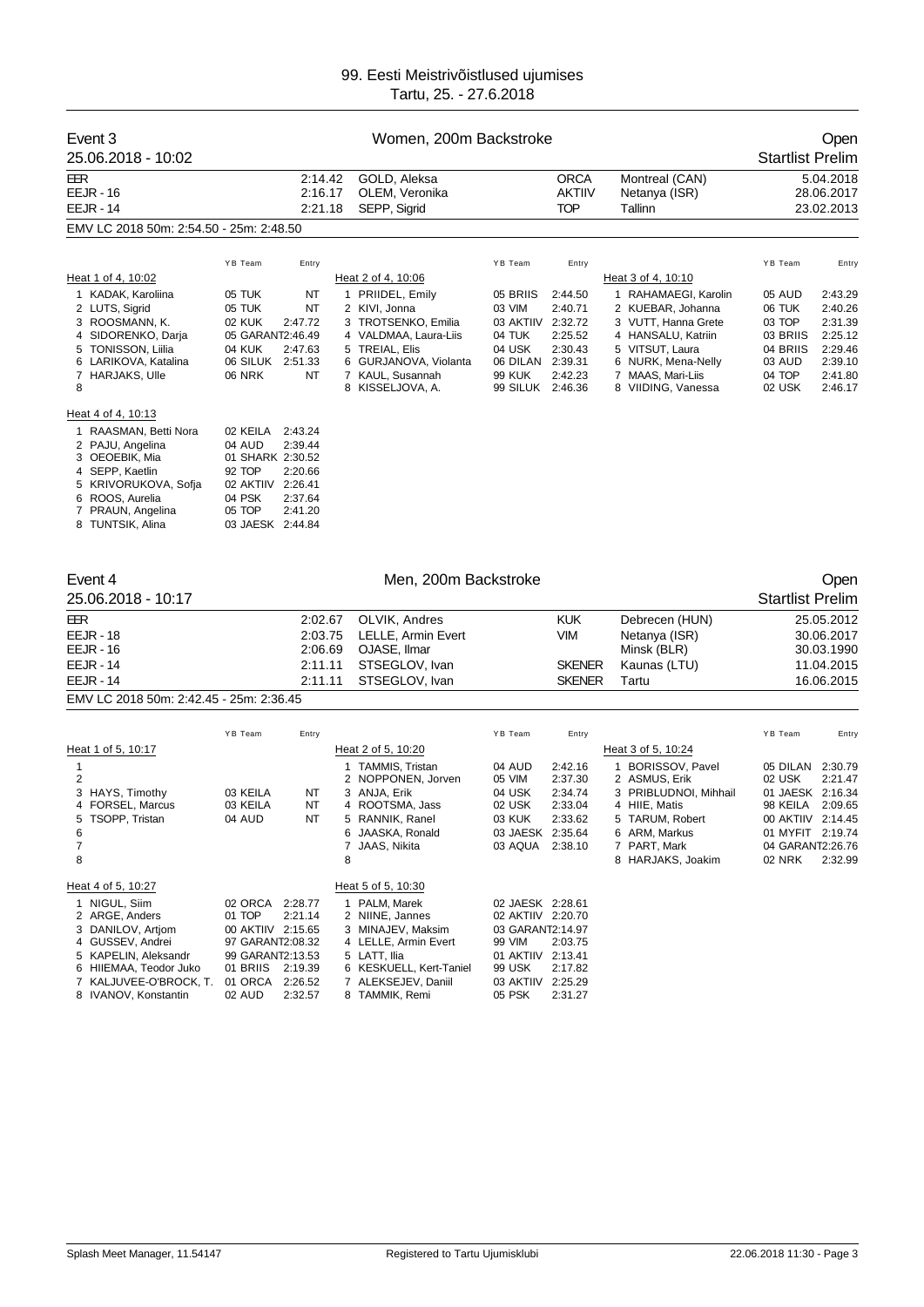| Event 3                                          |                            | Open               |                                                |                                       |                    |                                           |                              |                          |
|--------------------------------------------------|----------------------------|--------------------|------------------------------------------------|---------------------------------------|--------------------|-------------------------------------------|------------------------------|--------------------------|
| 25.06.2018 - 10:02                               |                            |                    |                                                |                                       |                    |                                           | <b>Startlist Prelim</b>      |                          |
| EER                                              |                            | 2:14.42            | GOLD, Aleksa                                   |                                       | <b>ORCA</b>        | Montreal (CAN)                            |                              | 5.04.2018                |
| <b>EEJR - 16</b>                                 |                            | 2:16.17            | OLEM, Veronika                                 |                                       | AKTIIV             | Netanya (ISR)                             |                              | 28.06.2017               |
| <b>EEJR - 14</b>                                 |                            | 2:21.18            | SEPP, Sigrid                                   |                                       | <b>TOP</b>         | Tallinn                                   |                              | 23.02.2013               |
| EMV LC 2018 50m: 2:54.50 - 25m: 2:48.50          |                            |                    |                                                |                                       |                    |                                           |                              |                          |
|                                                  | YB Team                    | Entry              |                                                | YB Team                               | Entry              |                                           | YB Team                      | Entry                    |
| Heat 1 of 4, 10:02                               |                            |                    | Heat 2 of 4, 10:06                             |                                       |                    | Heat 3 of 4, 10:10                        |                              |                          |
| 1 KADAK, Karoliina                               | 05 TUK                     | ΝT                 | 1 PRIIDEL, Emily                               | 05 BRIIS                              | 2:44.50            | 1 RAHAMAEGI, Karolin                      | 05 AUD                       | 2:43.29                  |
| 2 LUTS, Sigrid                                   | 05 TUK                     | NT                 | 2 KIVI, Jonna                                  | 03 VIM                                | 2:40.71            | 2 KUEBAR, Johanna                         | 06 TUK                       | 2:40.26                  |
| 3 ROOSMANN, K.<br>4 SIDORENKO, Darja             | 02 KUK<br>05 GARANT2:46.49 | 2:47.72            | 3 TROTSENKO, Emilia<br>4 VALDMAA, Laura-Liis   | 03 AKTIIV 2:32.72<br>04 TUK           | 2:25.52            | 3 VUTT, Hanna Grete<br>4 HANSALU, Katriin | 03 TOP<br>03 BRIIS           | 2:31.39<br>2:25.12       |
| 5 TONISSON, Liilia                               | 04 KUK                     | 2:47.63            | 5 TREIAL, Elis                                 | 04 USK                                | 2:30.43            | 5 VITSUT, Laura                           | 04 BRIIS                     | 2:29.46                  |
| 6 LARIKOVA, Katalina                             | 06 SILUK 2:51.33           |                    | 6 GURJANOVA, Violanta                          | 06 DILAN 2:39.31                      |                    | 6 NURK, Mena-Nelly                        | 03 AUD                       | 2:39.10                  |
| 7 HARJAKS, Ulle<br>8                             | <b>06 NRK</b>              | ΝT                 | 7 KAUL, Susannah<br>8 KISSELJOVA, A.           | 99 KUK<br>99 SILUK 2:46.36            | 2:42.23            | 7 MAAS, Mari-Liis<br>8 VIIDING, Vanessa   | 04 TOP<br>02 USK             | 2:41.80<br>2:46.17       |
| Heat 4 of 4, 10:13                               |                            |                    |                                                |                                       |                    |                                           |                              |                          |
| 1 RAASMAN, Betti Nora                            | 02 KEILA                   | 2:43.24            |                                                |                                       |                    |                                           |                              |                          |
| 2 PAJU, Angelina                                 | 04 AUD                     | 2:39.44            |                                                |                                       |                    |                                           |                              |                          |
| 3 OEOEBIK, Mia<br>4 SEPP, Kaetlin                | 01 SHARK 2:30.52<br>92 TOP | 2:20.66            |                                                |                                       |                    |                                           |                              |                          |
| 5 KRIVORUKOVA, Sofja                             | 02 AKTIIV                  | 2:26.41            |                                                |                                       |                    |                                           |                              |                          |
| 6 ROOS, Aurelia                                  | 04 PSK                     | 2:37.64            |                                                |                                       |                    |                                           |                              |                          |
| 7 PRAUN, Angelina                                | 05 TOP                     | 2:41.20            |                                                |                                       |                    |                                           |                              |                          |
| 8 TUNTSIK, Alina                                 | 03 JAESK 2:44.84           |                    |                                                |                                       |                    |                                           |                              |                          |
| Event 4                                          |                            |                    | Men, 200m Backstroke                           |                                       |                    |                                           |                              | Open                     |
| 25.06.2018 - 10:17                               |                            |                    |                                                |                                       |                    |                                           | <b>Startlist Prelim</b>      |                          |
|                                                  |                            |                    |                                                |                                       |                    |                                           |                              |                          |
| EER                                              |                            | 2:02.67            | OLVIK, Andres                                  |                                       | <b>KUK</b>         | Debrecen (HUN)                            |                              | 25.05.2012               |
| <b>EEJR - 18</b><br><b>EEJR - 16</b>             |                            | 2:03.75<br>2:06.69 | LELLE, Armin Evert<br>OJASE, Ilmar             |                                       | VIM                | Netanya (ISR)<br>Minsk (BLR)              |                              | 30.06.2017<br>30.03.1990 |
| <b>EEJR - 14</b>                                 |                            | 2:11.11            | STSEGLOV, Ivan                                 |                                       | <b>SKENER</b>      | Kaunas (LTU)                              |                              | 11.04.2015               |
| <b>EEJR - 14</b>                                 |                            | 2:11.11            | STSEGLOV, Ivan                                 |                                       | <b>SKENER</b>      | Tartu                                     |                              | 16.06.2015               |
| EMV LC 2018 50m: 2:42.45 - 25m: 2:36.45          |                            |                    |                                                |                                       |                    |                                           |                              |                          |
|                                                  | YB Team                    | Entry              |                                                | YB Team                               | Entry              |                                           | YB Team                      | Entry                    |
| Heat 1 of 5, 10:17                               |                            |                    | Heat 2 of 5, 10:20                             |                                       |                    | Heat 3 of 5, 10:24                        |                              |                          |
| $\mathbf{1}$                                     |                            |                    | 1 TAMMIS, Tristan                              | 04 AUD                                | 2:42.16            | 1 BORISSOV, Pavel                         | 05 DILAN                     | 2:30.79                  |
| 2                                                |                            |                    | 2 NOPPONEN, Jorven                             | 05 VIM                                | 2:37.30            | 2 ASMUS, Erik                             | 02 USK                       | 2:21.47                  |
| 3 HAYS, Timothy<br>4 FORSEL, Marcus              | 03 KEILA<br>03 KEILA       | NT<br>NT           | 3 ANJA, Erik<br>4 ROOTSMA, Jass                | 04 USK<br>02 USK                      | 2:34.74<br>2:33.04 | 3 PRIBLUDNOI, Mihhail<br>4 HIIE, Matis    | 01 JAESK 2:16.34<br>98 KEILA | 2:09.65                  |
| 5 TSOPP, Tristan                                 | 04 AUD                     | NT                 | 5 RANNIK, Ranel                                | 03 KUK                                | 2:33.62            | 5 TARUM, Robert                           | 00 AKTIIV 2:14.45            |                          |
| 6                                                |                            |                    | 6 JAASKA, Ronald                               | 03 JAESK 2:35.64                      |                    | 6 ARM, Markus                             | 01 MYFIT                     | 2:19.74                  |
| 7<br>8                                           |                            |                    | 7 JAAS, Nikita<br>8                            | 03 AQUA 2:38.10                       |                    | 7 PART, Mark<br>8 HARJAKS, Joakim         | 04 GARANT2:26.76<br>02 NRK   | 2:32.99                  |
|                                                  |                            |                    |                                                |                                       |                    |                                           |                              |                          |
| Heat 4 of 5, 10:27                               |                            |                    | Heat 5 of 5, 10:30                             |                                       |                    |                                           |                              |                          |
| 1 NIGUL, Siim                                    | 02 ORCA<br>01 TOP          | 2:28.77<br>2:21.14 | 1 PALM, Marek<br>2 NIINE, Jannes               | 02 JAESK 2:28.61<br>02 AKTIIV 2:20.70 |                    |                                           |                              |                          |
| 2 ARGE, Anders<br>3 DANILOV, Artjom              | 00 AKTIIV 2:15.65          |                    | 3 MINAJEV, Maksim                              | 03 GARANT2:14.97                      |                    |                                           |                              |                          |
| 4 GUSSEV, Andrei                                 | 97 GARANT2:08.32           |                    | 4 LELLE, Armin Evert                           | 99 VIM                                | 2:03.75            |                                           |                              |                          |
| 5 KAPELIN, Aleksandr                             | 99 GARANT2:13.53           |                    | 5 LATT, Ilia                                   | 01 AKTIIV 2:13.41                     |                    |                                           |                              |                          |
| 6 HIIEMAA, Teodor Juko<br>7 KALJUVEE-O'BROCK, T. | 01 BRIIS<br>01 ORCA        | 2:19.39<br>2:26.52 | 6 KESKUELL, Kert-Taniel<br>7 ALEKSEJEV, Daniil | 99 USK<br>03 AKTIIV                   | 2:17.82<br>2:25.29 |                                           |                              |                          |
| 8 IVANOV, Konstantin                             | 02 AUD                     | 2:32.57            | 8 TAMMIK, Remi                                 | 05 PSK                                | 2:31.27            |                                           |                              |                          |
|                                                  |                            |                    |                                                |                                       |                    |                                           |                              |                          |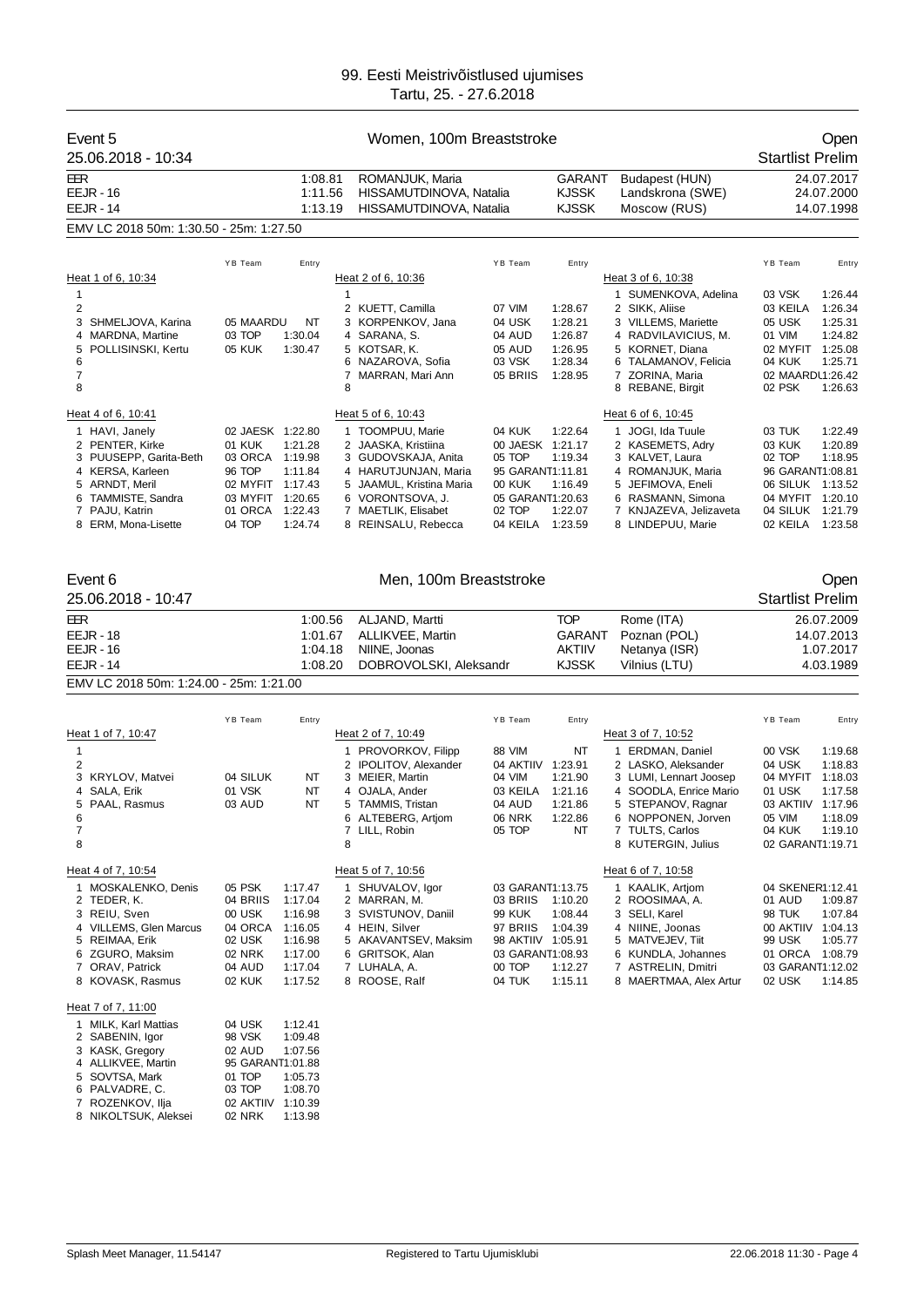| Event 5<br>25.06.2018 - 10:34                                                                                                                                       |                                                                                                              | Women, 100m Breaststroke                                                             |                                                                                                                                                                                      |                                                                                                                     |                                                                |                                                                                                                                                                                                        |                                                                                                                                                                                           |  |  |
|---------------------------------------------------------------------------------------------------------------------------------------------------------------------|--------------------------------------------------------------------------------------------------------------|--------------------------------------------------------------------------------------|--------------------------------------------------------------------------------------------------------------------------------------------------------------------------------------|---------------------------------------------------------------------------------------------------------------------|----------------------------------------------------------------|--------------------------------------------------------------------------------------------------------------------------------------------------------------------------------------------------------|-------------------------------------------------------------------------------------------------------------------------------------------------------------------------------------------|--|--|
| EER<br><b>EEJR - 16</b><br><b>EEJR - 14</b>                                                                                                                         |                                                                                                              | 1:08.81<br>1:11.56<br>1:13.19                                                        | ROMANJUK, Maria<br>HISSAMUTDINOVA, Natalia<br>HISSAMUTDINOVA, Natalia                                                                                                                |                                                                                                                     | GARANT<br><b>KJSSK</b><br><b>KJSSK</b>                         | Budapest (HUN)<br>Landskrona (SWE)<br>Moscow (RUS)                                                                                                                                                     | 24.07.2017<br>24.07.2000<br>14.07.1998                                                                                                                                                    |  |  |
| EMV LC 2018 50m: 1:30.50 - 25m: 1:27.50                                                                                                                             |                                                                                                              |                                                                                      |                                                                                                                                                                                      |                                                                                                                     |                                                                |                                                                                                                                                                                                        |                                                                                                                                                                                           |  |  |
|                                                                                                                                                                     | YB Team                                                                                                      | Entry                                                                                |                                                                                                                                                                                      | YB Team                                                                                                             | Entry                                                          |                                                                                                                                                                                                        | YB Team<br>Entry                                                                                                                                                                          |  |  |
| Heat 1 of 6, 10:34<br>$\mathbf{1}$<br>2<br>3<br>SHMELJOVA, Karina<br>4 MARDNA, Martine<br>POLLISINSKI, Kertu<br>5<br>6<br>7<br>8                                    | 05 MAARDU<br>03 TOP<br>05 KUK                                                                                | NT<br>1:30.04<br>1:30.47                                                             | Heat 2 of 6, 10:36<br>$\mathbf{1}$<br>2 KUETT, Camilla<br>3 KORPENKOV, Jana<br>4 SARANA, S.<br>5 KOTSAR, K.<br>6 NAZAROVA, Sofia<br>7 MARRAN, Mari Ann<br>8                          | 07 VIM<br>04 USK<br>04 AUD<br>05 AUD<br>03 VSK<br>05 BRIIS                                                          | 1:28.67<br>1:28.21<br>1:26.87<br>1:26.95<br>1:28.34<br>1:28.95 | Heat 3 of 6, 10:38<br>1 SUMENKOVA, Adelina<br>2 SIKK, Aliise<br>3 VILLEMS, Mariette<br>4 RADVILAVICIUS, M.<br>5 KORNET, Diana<br>6 TALAMANOV, Felicia<br>7 ZORINA, Maria<br>8 REBANE, Birgit           | 03 VSK<br>1:26.44<br>03 KEILA<br>1:26.34<br>05 USK<br>1:25.31<br>01 VIM<br>1:24.82<br>1:25.08<br>02 MYFIT<br>1:25.71<br>04 KUK<br>02 MAARDL1:26.42<br>02 PSK<br>1:26.63                   |  |  |
| Heat 4 of 6, 10:41                                                                                                                                                  |                                                                                                              |                                                                                      | Heat 5 of 6, 10:43                                                                                                                                                                   |                                                                                                                     |                                                                | Heat 6 of 6, 10:45                                                                                                                                                                                     |                                                                                                                                                                                           |  |  |
| 1 HAVI, Janely<br>2 PENTER, Kirke<br>3 PUUSEPP, Garita-Beth<br>4 KERSA, Karleen<br>5 ARNDT, Meril<br>6 TAMMISTE, Sandra<br>7 PAJU, Katrin<br>8 ERM, Mona-Lisette    | 02 JAESK 1:22.80<br>01 KUK<br>03 ORCA<br>96 TOP<br>02 MYFIT 1:17.43<br>03 MYFIT 1:20.65<br>01 ORCA<br>04 TOP | 1:21.28<br>1:19.98<br>1:11.84<br>1:22.43<br>1:24.74                                  | 1 TOOMPUU, Marie<br>2 JAASKA, Kristiina<br>3 GUDOVSKAJA, Anita<br>4 HARUTJUNJAN, Maria<br>5 JAAMUL, Kristina Maria<br>6 VORONTSOVA, J.<br>7 MAETLIK, Elisabet<br>8 REINSALU, Rebecca | 04 KUK<br>00 JAESK 1:21.17<br>05 TOP<br>95 GARANT1:11.81<br><b>00 KUK</b><br>05 GARANT1:20.63<br>02 TOP<br>04 KEILA | 1:22.64<br>1:19.34<br>1:16.49<br>1:22.07<br>1:23.59            | 1 JOGI, Ida Tuule<br>2 KASEMETS, Adry<br>3 KALVET, Laura<br>4 ROMANJUK, Maria<br>5 JEFIMOVA, Eneli<br>6 RASMANN, Simona<br>7 KNJAZEVA, Jelizaveta<br>8 LINDEPUU, Marie                                 | 03 TUK<br>1:22.49<br>03 KUK<br>1:20.89<br>02 TOP<br>1:18.95<br>96 GARANT1:08.81<br>06 SILUK 1:13.52<br>04 MYFIT 1:20.10<br>04 SILUK 1:21.79<br>02 KEILA<br>1:23.58                        |  |  |
| Event 6<br>25.06.2018 - 10:47                                                                                                                                       |                                                                                                              |                                                                                      | Men, 100m Breaststroke                                                                                                                                                               |                                                                                                                     |                                                                |                                                                                                                                                                                                        | Open<br><b>Startlist Prelim</b>                                                                                                                                                           |  |  |
| EER<br><b>EEJR - 18</b><br><b>EEJR - 16</b><br><b>EEJR - 14</b>                                                                                                     |                                                                                                              | 1:00.56<br>1:01.67<br>1:04.18<br>1:08.20                                             | ALJAND, Martti<br>ALLIKVEE, Martin<br>NIINE, Joonas<br>DOBROVOLSKI, Aleksandr                                                                                                        |                                                                                                                     | <b>TOP</b><br><b>GARANT</b><br><b>AKTIIV</b><br><b>KJSSK</b>   | Rome (ITA)<br>Poznan (POL)<br>Netanya (ISR)<br>Vilnius (LTU)                                                                                                                                           | 26.07.2009<br>14.07.2013<br>1.07.2017<br>4.03.1989                                                                                                                                        |  |  |
| EMV LC 2018 50m: 1:24.00 - 25m: 1:21.00                                                                                                                             |                                                                                                              |                                                                                      |                                                                                                                                                                                      |                                                                                                                     |                                                                |                                                                                                                                                                                                        |                                                                                                                                                                                           |  |  |
|                                                                                                                                                                     |                                                                                                              |                                                                                      |                                                                                                                                                                                      |                                                                                                                     |                                                                |                                                                                                                                                                                                        |                                                                                                                                                                                           |  |  |
| Heat 1 of 7, 10:47<br>1<br>2<br>3 KRYLOV, Matvei<br>4 SALA, Erik<br>5 PAAL, Rasmus<br>6<br>7<br>8                                                                   | YB Team<br>04 SILUK<br>01 VSK<br>03 AUD                                                                      | Entry<br>NT<br>NT<br>NT                                                              | Heat 2 of 7, 10:49<br>1 PROVORKOV, Filipp<br>2 IPOLITOV, Alexander<br>3 MEIER, Martin<br>4 OJALA, Ander<br>5 TAMMIS, Tristan<br>6 ALTEBERG, Artiom<br>7 LILL, Robin<br>8             | YB Team<br>88 VIM<br>04 AKTIIV 1:23.91<br>04 VIM<br>03 KEILA<br>04 AUD<br><b>06 NRK</b><br>05 TOP                   | Entry<br>NT<br>1:21.90<br>1:21.16<br>1:21.86<br>1:22.86<br>NT  | Heat 3 of 7, 10:52<br>1 ERDMAN, Daniel<br>2 LASKO, Aleksander<br>3 LUMI, Lennart Joosep<br>4 SOODLA, Enrice Mario<br>5 STEPANOV, Ragnar<br>6 NOPPONEN, Jorven<br>7 TULTS, Carlos<br>8 KUTERGIN, Julius | YB Team<br>Entry<br>00 VSK<br>1:19.68<br>04 USK<br>1:18.83<br>04 MYFIT<br>1:18.03<br>01 USK<br>1:17.58<br>03 AKTIIV 1:17.96<br>05 VIM<br>1:18.09<br>04 KUK<br>1:19.10<br>02 GARANT1:19.71 |  |  |
| Heat 4 of 7, 10:54                                                                                                                                                  |                                                                                                              |                                                                                      | Heat 5 of 7, 10:56                                                                                                                                                                   |                                                                                                                     |                                                                | Heat 6 of 7, 10:58                                                                                                                                                                                     |                                                                                                                                                                                           |  |  |
| 1 MOSKALENKO, Denis<br>2 TEDER, K.<br>3 REIU, Sven<br>4 VILLEMS, Glen Marcus<br>5 REIMAA, Erik<br>6 ZGURO, Maksim<br>7 ORAV, Patrick<br>8 KOVASK, Rasmus            | 05 PSK<br>04 BRIIS<br>00 USK<br>04 ORCA<br>02 USK<br>02 NRK<br>04 AUD<br>02 KUK                              | 1:17.47<br>1:17.04<br>1:16.98<br>1:16.05<br>1:16.98<br>1:17.00<br>1:17.04<br>1:17.52 | 1 SHUVALOV, Igor<br>2 MARRAN, M.<br>3 SVISTUNOV, Daniil<br>4 HEIN, Silver<br>5 AKAVANTSEV, Maksim<br>6 GRITSOK, Alan<br>7 LUHALA, A.<br>8 ROOSE, Ralf                                | 03 GARANT1:13.75<br>03 BRIIS<br>99 KUK<br>97 BRIIS<br>98 AKTIIV 1:05.91<br>03 GARANT1:08.93<br>00 TOP<br>04 TUK     | 1:10.20<br>1:08.44<br>1:04.39<br>1:12.27<br>1:15.11            | 1 KAALIK, Artjom<br>2 ROOSIMAA, A.<br>3 SELI, Karel<br>4 NIINE, Joonas<br>5 MATVEJEV, Tiit<br>6 KUNDLA, Johannes<br>7 ASTRELIN, Dmitri<br>8 MAERTMAA, Alex Artur                                       | 04 SKENER1:12.41<br>01 AUD<br>1:09.87<br>98 TUK<br>1:07.84<br>00 AKTIIV<br>1:04.13<br>99 USK<br>1:05.77<br>01 ORCA<br>1:08.79<br>03 GARANT1:12.02<br>02 USK<br>1:14.85                    |  |  |
| Heat 7 of 7, 11:00                                                                                                                                                  |                                                                                                              |                                                                                      |                                                                                                                                                                                      |                                                                                                                     |                                                                |                                                                                                                                                                                                        |                                                                                                                                                                                           |  |  |
| 1 MILK, Karl Mattias<br>2 SABENIN, Igor<br>3 KASK, Gregory<br>4 ALLIKVEE, Martin<br>5 SOVTSA, Mark<br>6 PALVADRE, C.<br>ROZENKOV, Ilja<br>7<br>8 NIKOLTSUK, Aleksei | 04 USK<br>98 VSK<br>02 AUD<br>95 GARANT1:01.88<br>01 TOP<br>03 TOP<br>02 AKTIIV<br>02 NRK                    | 1:12.41<br>1:09.48<br>1:07.56<br>1:05.73<br>1:08.70<br>1:10.39<br>1:13.98            |                                                                                                                                                                                      |                                                                                                                     |                                                                |                                                                                                                                                                                                        |                                                                                                                                                                                           |  |  |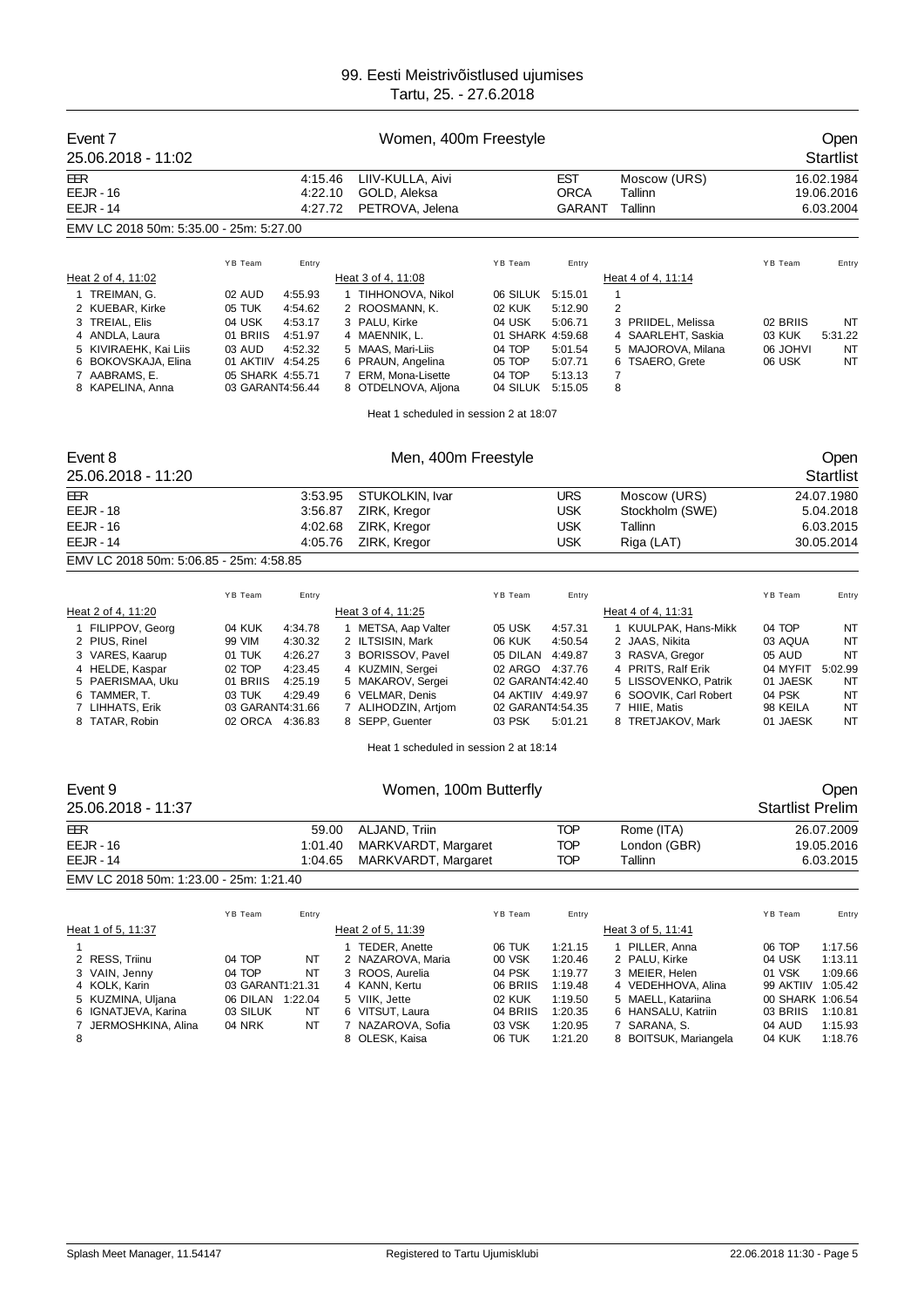| Event 7<br>25.06.2018 - 11:02               |                                        | Women, 400m Freestyle                               |                                       |                              |                                        |                             | Open<br><b>Startlist</b>              |
|---------------------------------------------|----------------------------------------|-----------------------------------------------------|---------------------------------------|------------------------------|----------------------------------------|-----------------------------|---------------------------------------|
| EER<br><b>EEJR - 16</b><br><b>EEJR - 14</b> | 4:15.46<br>4:22.10<br>4:27.72          | LIIV-KULLA, Aivi<br>GOLD, Aleksa<br>PETROVA, Jelena |                                       | EST<br><b>ORCA</b><br>GARANT | Moscow (URS)<br>Tallinn<br>Tallinn     |                             | 16.02.1984<br>19.06.2016<br>6.03.2004 |
| EMV LC 2018 50m: 5:35.00 - 25m: 5:27.00     |                                        |                                                     |                                       |                              |                                        |                             |                                       |
|                                             |                                        |                                                     |                                       |                              |                                        |                             |                                       |
|                                             | YB Team<br>Entry                       |                                                     | YB Team                               | Entry                        |                                        | YB Team                     | Entry                                 |
| Heat 2 of 4, 11:02                          |                                        | Heat 3 of 4, 11:08                                  |                                       |                              | Heat 4 of 4, 11:14                     |                             |                                       |
| 1 TREIMAN, G.<br>2 KUEBAR, Kirke            | 02 AUD<br>4:55.93<br>05 TUK<br>4:54.62 | 1 TIHHONOVA, Nikol<br>2 ROOSMANN, K.                | 06 SILUK<br>02 KUK                    | 5:15.01<br>5:12.90           | 1<br>2                                 |                             |                                       |
| 3 TREIAL, Elis                              | 4:53.17<br>04 USK                      | 3 PALU, Kirke                                       | 04 USK                                | 5:06.71                      | 3 PRIIDEL, Melissa                     | 02 BRIIS                    | NT                                    |
| 4 ANDLA, Laura                              | 01 BRIIS<br>4:51.97                    | 4 MAENNIK, L.                                       | 01 SHARK 4:59.68                      |                              | 4 SAARLEHT, Saskia                     | 03 KUK                      | 5:31.22                               |
| 5 KIVIRAEHK, Kai Liis                       | 4:52.32<br>03 AUD<br>01 AKTIIV 4:54.25 | 5 MAAS, Mari-Liis                                   | 04 TOP<br>05 TOP                      | 5:01.54<br>5:07.71           | 5 MAJOROVA, Milana                     | <b>IVHOL 80</b><br>06 USK   | NT<br>NT                              |
| 6 BOKOVSKAJA, Elina<br>7 AABRAMS, E.        | 05 SHARK 4:55.71                       | 6 PRAUN, Angelina<br>7 ERM, Mona-Lisette            | 04 TOP                                | 5:13.13                      | <b>TSAERO, Grete</b><br>6<br>7         |                             |                                       |
| 8 KAPELINA, Anna                            | 03 GARANT4:56.44                       | 8 OTDELNOVA, Aljona                                 | 04 SILUK 5:15.05                      |                              | 8                                      |                             |                                       |
|                                             |                                        | Heat 1 scheduled in session 2 at 18:07              |                                       |                              |                                        |                             |                                       |
| Event 8                                     |                                        | Men, 400m Freestyle                                 |                                       |                              |                                        |                             | Open                                  |
| 25.06.2018 - 11:20                          |                                        |                                                     |                                       |                              |                                        |                             | <b>Startlist</b>                      |
| EER                                         | 3:53.95                                | STUKOLKIN, Ivar                                     |                                       | <b>URS</b>                   | Moscow (URS)                           |                             | 24.07.1980                            |
| <b>EEJR - 18</b>                            | 3:56.87                                | ZIRK, Kregor                                        |                                       | <b>USK</b>                   | Stockholm (SWE)                        |                             | 5.04.2018                             |
| <b>EEJR - 16</b>                            | 4:02.68                                | ZIRK, Kregor                                        |                                       | <b>USK</b>                   | Tallinn                                |                             | 6.03.2015                             |
| <b>EEJR - 14</b>                            | 4:05.76                                | ZIRK, Kregor                                        |                                       | <b>USK</b>                   | Riga (LAT)                             |                             | 30.05.2014                            |
| EMV LC 2018 50m: 5:06.85 - 25m: 4:58.85     |                                        |                                                     |                                       |                              |                                        |                             |                                       |
|                                             |                                        |                                                     |                                       |                              |                                        |                             |                                       |
|                                             | YB Team<br>Entry                       |                                                     | YB Team                               | Entry                        |                                        | YB Team                     | Entry                                 |
| Heat 2 of 4, 11:20                          |                                        | Heat 3 of 4, 11:25                                  |                                       |                              | Heat 4 of 4, 11:31                     |                             |                                       |
| 1 FILIPPOV, Georg<br>2 PIUS, Rinel          | 04 KUK<br>4:34.78<br>4:30.32<br>99 VIM | 1 METSA, Aap Valter<br>2 ILTSISIN, Mark             | 05 USK<br>06 KUK                      | 4:57.31<br>4:50.54           | 1 KUULPAK, Hans-Mikk<br>2 JAAS, Nikita | 04 TOP<br>03 AQUA           | ΝT<br>ΝT                              |
| 3 VARES, Kaarup                             | 4:26.27<br>01 TUK                      | 3 BORISSOV, Pavel                                   | 05 DILAN                              | 4:49.87                      | 3 RASVA, Gregor                        | 05 AUD                      | NT                                    |
| 4 HELDE, Kaspar                             | 4:23.45<br>02 TOP                      | 4 KUZMIN, Sergei                                    | 02 ARGO                               | 4:37.76                      | 4 PRITS, Ralf Erik                     | 04 MYFIT                    | 5:02.99                               |
| 5 PAERISMAA, Uku                            | 4:25.19<br>01 BRIIS                    | 5 MAKAROV, Sergei                                   | 02 GARANT4:42.40                      |                              | 5 LISSOVENKO, Patrik                   | 01 JAESK                    | ΝT                                    |
| 6 TAMMER, T.<br>7 LIHHATS, Erik             | 03 TUK<br>4:29.49<br>03 GARANT4:31.66  | 6 VELMAR, Denis<br>7 ALIHODZIN, Artjom              | 04 AKTIIV 4:49.97<br>02 GARANT4:54.35 |                              | 6 SOOVIK, Carl Robert<br>7 HIIE, Matis | 04 PSK<br>98 KEILA          | NT<br>NT                              |
| 8 TATAR, Robin                              | 02 ORCA 4:36.83                        | 8 SEPP, Guenter                                     | 03 PSK                                | 5:01.21                      | 8 TRETJAKOV, Mark                      | 01 JAESK                    | NT                                    |
|                                             |                                        | Heat 1 scheduled in session 2 at 18:14              |                                       |                              |                                        |                             |                                       |
| Event 9                                     |                                        | Women, 100m Butterfly                               |                                       |                              |                                        |                             | Open                                  |
| 25.06.2018 - 11:37                          |                                        |                                                     |                                       |                              |                                        | <b>Startlist Prelim</b>     |                                       |
|                                             | 59.00                                  | ALJAND, Triin                                       |                                       |                              | Rome (ITA)                             |                             |                                       |
| EER<br><b>EEJR - 16</b>                     | 1:01.40                                | MARKVARDT, Margaret                                 |                                       | TOP<br><b>TOP</b>            | London (GBR)                           |                             | 26.07.2009<br>19.05.2016              |
| <b>EEJR - 14</b>                            | 1:04.65                                | MARKVARDT, Margaret                                 |                                       | <b>TOP</b>                   | Tallinn                                |                             | 6.03.2015                             |
| EMV LC 2018 50m: 1:23.00 - 25m: 1:21.40     |                                        |                                                     |                                       |                              |                                        |                             |                                       |
|                                             |                                        |                                                     |                                       |                              |                                        |                             |                                       |
|                                             | YB Team<br>Entry                       |                                                     | YB Team                               | Entry                        |                                        | YB Team                     | Entry                                 |
| Heat 1 of 5, 11:37                          |                                        | Heat 2 of 5, 11:39                                  |                                       |                              | Heat 3 of 5, 11:41                     |                             |                                       |
| 1                                           |                                        | 1 TEDER, Anette                                     | 06 TUK                                | 1:21.15                      | 1 PILLER, Anna                         | 06 TOP                      | 1:17.56                               |
| RESS, Triinu<br>2                           | 04 TOP<br>NT                           | 2 NAZAROVA, Maria                                   | 00 VSK                                | 1:20.46                      | 2 PALU, Kirke                          | 04 USK                      | 1:13.11<br>1:09.66                    |
| 3 VAIN, Jenny<br>4 KOLK, Karin              | 04 TOP<br>NT<br>03 GARANT1:21.31       | 3 ROOS, Aurelia<br>4 KANN, Kertu                    | 04 PSK<br>06 BRIIS                    | 1:19.77<br>1:19.48           | 3 MEIER, Helen<br>4 VEDEHHOVA, Alina   | 01 VSK<br>99 AKTIIV 1:05.42 |                                       |
| 5 KUZMINA, Uljana                           | 06 DILAN 1:22.04                       | 5 VIIK, Jette                                       | 02 KUK                                | 1:19.50                      | 5 MAELL, Katariina                     | 00 SHARK 1:06.54            |                                       |
| 6 IGNATJEVA, Karina                         | 03 SILUK<br>NT                         | 6 VITSUT, Laura                                     | 04 BRIIS                              | 1:20.35                      | 6 HANSALU, Katriin                     | 03 BRIIS                    | 1:10.81                               |
| 7<br>JERMOSHKINA, Alina<br>8                | 04 NRK<br>NT                           | 7 NAZAROVA, Sofia<br>8 OLESK, Kaisa                 | 03 VSK<br>06 TUK                      | 1:20.95<br>1:21.20           | 7 SARANA, S.<br>8 BOITSUK, Mariangela  | 04 AUD<br>04 KUK            | 1:15.93<br>1:18.76                    |
|                                             |                                        |                                                     |                                       |                              |                                        |                             |                                       |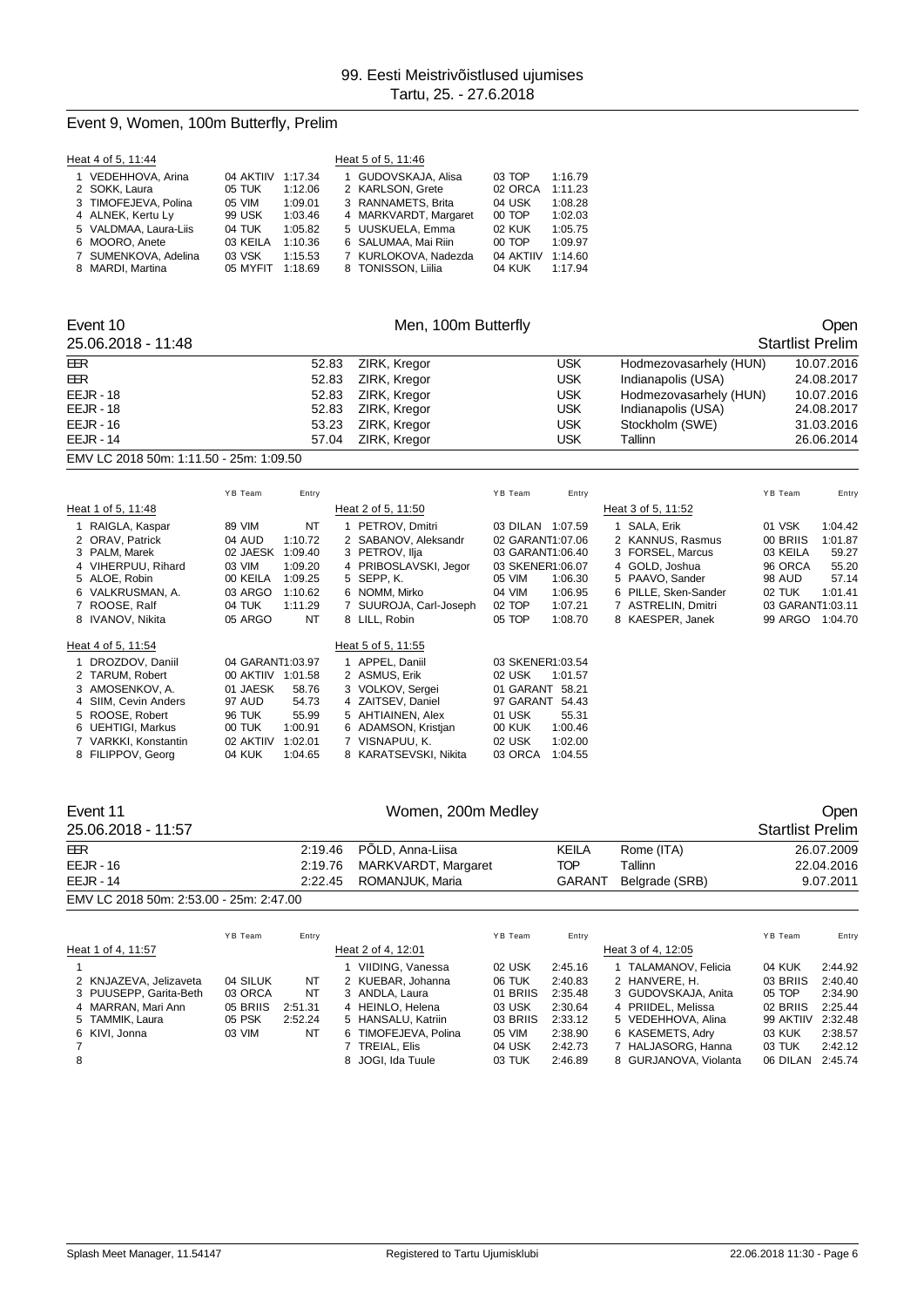#### Event 9, Women, 100m Butterfly, Prelim

| Heat 4 of 5, 11:44    |           |         | Heat 5 of 5, 11:46 |                       |           |         |  |  |  |  |  |
|-----------------------|-----------|---------|--------------------|-----------------------|-----------|---------|--|--|--|--|--|
| 1 VEDEHHOVA, Arina    | 04 AKTIIV | 1:17.34 |                    | 1 GUDOVSKAJA, Alisa   | 03 TOP    | 1:16.79 |  |  |  |  |  |
| 2 SOKK, Laura         | 05 TUK    | 1:12.06 |                    | 2 KARLSON, Grete      | 02 ORCA   | 1:11.23 |  |  |  |  |  |
| 3 TIMOFEJEVA, Polina  | 05 VIM    | 1:09.01 |                    | 3 RANNAMETS, Brita    | 04 USK    | 1:08.28 |  |  |  |  |  |
| 4 ALNEK, Kertu Ly     | 99 USK    | 1:03.46 |                    | 4 MARKVARDT, Margaret | 00 TOP    | 1:02.03 |  |  |  |  |  |
| 5 VALDMAA, Laura-Liis | 04 TUK    | 1:05.82 |                    | 5 UUSKUELA, Emma      | 02 KUK    | 1:05.75 |  |  |  |  |  |
| 6 MOORO, Anete        | 03 KEILA  | 1:10.36 |                    | 6 SALUMAA, Mai Riin   | 00 TOP    | 1:09.97 |  |  |  |  |  |
| 7 SUMENKOVA, Adelina  | 03 VSK    | 1:15.53 |                    | 7 KURLOKOVA, Nadezda  | 04 AKTIIV | 1:14.60 |  |  |  |  |  |
| 8 MARDI, Martina      | 05 MYFIT  | 1:18.69 |                    | 8 TONISSON, Liilia    | 04 KUK    | 1:17.94 |  |  |  |  |  |

7 VARKKI, Konstantin 02 AKTIIV 1:02.01 7 VISNAPUU, K. 02 USK 1:02.00

8 KARATSEVSKI, Nikita

#### Event 10 Communication of Men, 100m Butterfly Communication of Communication of Communication of Communication Open

#### 25.06.2018 - 11:48 Startlist Prelim EER 52.83 ZIRK, Kregor USK Hodmezovasarhely (HUN) 10.07.2016 EER 52.83 ZIRK, Kregor USK Indianapolis (USA) 24.08.2017 EEJR - 18 52.83 ZIRK, Kregor USK Hodmezovasarhely (HUN) 10.07.2016 EEJR - 18 52.83 ZIRK, Kregor USK Indianapolis (USA) 24.08.2017 53.23 ZIRK, Kregor USK Stockholm (SWE) EEJR - 14 57.04 ZIRK, Kregor USK Tallinn 26.06.2014 EMV LC 2018 50m: 1:11.50 - 25m: 1:09.50

#### Y B Team Entry Y B Team Entry Y B Team Entry Heat 1 of 5, 11:48 Heat 2 of 5, 11:50 Heat 2 of 5, 11:52 1 RAIGLA, Kaspar 89 VIM NT 1 PETROV, Dmitri 03 DILAN 1:07.59 1 SALA, Erik 01 VSK 1:04.42 2 ORAV, Patrick a act of AUD 1:10.72 2 SABANOV, Aleksandr 02 GARANT1:07.06 2 KANNUS, Rasmus 00 BRIIS 1:01.87<br>2 PALM, Marek a 02 JAESK 1:09.40 3 PETROV, Ilja 03 GARANT1:06.40 3 FORSEL, Marcus 03 KEILA 59.27 3 FORSEL, Marcus 4 VIHERPUU, Rihard 03 VIM 1:09.20 4 PRIBOSLAVSKI, Jegor 03 SKENER1:06.07 4 GOLD, Joshua 96 ORCA 55.20 5 PAAVO, Sander 6 VALKRUSMAN, A. 03 ARGO 1:10.62 6 NOMM, Mirko 04 VIM 1:06.95 6 PILLE, Sken-Sander 02 TUK 1:01.41 7 ROOSE, Ralf 04 TUK 1:11.29 7 SUUROJA, Carl-Joseph 02 TOP 1:07.21 7 ASTRELIN, Dmitri 03 GARANT1:03.11 8 KAESPER, Janek Heat 4 of 5, 11:54 Heat 5 of 5, 11:55 1 DROZDOV, Daniil 04 GARANT1:03.97 1 APPEL, Daniil 03 SKENER1:03.54 00 AKTIIV 1:01.58 2 ASMUS, Erik 02 USK 1:01.57<br>01 JAESK 58.76 3 VOLKOV, Sergei 01 GARANT 58.21 3 AMOSENKOV, A. 01 JAESK 58.76 3 VOLKOV, Sergei 01 GARANT 58.21<br>4 SIIM, Cevin Anders 97 AUD 54.73 4 ZAITSEV, Daniel 97 GARANT 54.43 4 SIIM, Cevin Anders 97 AUD 54.73 4 ZAITSEV, Daniel 97 GAR.<br>5 ROOSE, Robert 96 TUK 55.99 5 AHTIAINEN, Alex 91 USK 5 ROOSE, Robert 96 TUK 55.99 5 AHTIAINEN, Alex 01 USK 55.31 6 UEHTIGI, Markus 00 TUK 1:00.91 6 ADAMSON, Kristjan 00 KUK 1:00.46

| Event 11                                |         |         | Women, 200m Medley  |         |               |                    |                         |            |
|-----------------------------------------|---------|---------|---------------------|---------|---------------|--------------------|-------------------------|------------|
| 25.06.2018 - 11:57                      |         |         |                     |         |               |                    | <b>Startlist Prelim</b> |            |
| <b>EER</b>                              |         | 2:19.46 | PÖLD, Anna-Liisa    |         | KEILA         | Rome (ITA)         |                         | 26.07.2009 |
| $EEJR - 16$                             |         | 2:19.76 | MARKVARDT, Margaret |         | TOP           | Tallinn            |                         | 22.04.2016 |
| <b>EEJR - 14</b>                        |         | 2:22.45 | ROMANJUK, Maria     |         | <b>GARANT</b> | Belgrade (SRB)     |                         | 9.07.2011  |
| EMV LC 2018 50m: 2:53.00 - 25m: 2:47.00 |         |         |                     |         |               |                    |                         |            |
|                                         | YB Team | Entry   |                     | YB Team | Entry         |                    | YB Team                 | Entry      |
| Heat 1 of 4, 11:57                      |         |         | Heat 2 of 4, 12:01  |         |               | Heat 3 of 4, 12:05 |                         |            |

|   | 1100 1 101 4, 11.J <i>i</i> |          |         | I I <del>c</del> al 2 UI <del>4</del> , T2.UT |          |         | 116ai 901 <del>4</del> . 12.09 |                   |         |
|---|-----------------------------|----------|---------|-----------------------------------------------|----------|---------|--------------------------------|-------------------|---------|
|   |                             |          |         | VIIDING, Vanessa                              | 02 USK   | 2:45.16 | 1 TALAMANOV. Felicia           | 04 KUK            | 2:44.92 |
|   | 2 KNJAZEVA, Jelizaveta      | 04 SILUK | NT      | 2 KUEBAR, Johanna                             | 06 TUK   | 2:40.83 | 2 HANVERE, H.                  | 03 BRIIS          | 2:40.40 |
|   | 3 PUUSEPP, Garita-Beth      | 03 ORCA  | NT      | 3 ANDLA, Laura                                | 01 BRIIS | 2:35.48 | 3 GUDOVSKAJA, Anita            | $05$ TOP          | 2:34.90 |
|   | 4 MARRAN, Mari Ann          | 05 BRIIS | 2:51.31 | 4 HEINLO, Helena                              | 03 USK   | 2:30.64 | 4 PRIIDEL, Melissa             | 02 BRIIS          | 2:25.44 |
|   | 5 TAMMIK, Laura             | 05 PSK   | 2:52.24 | 5 HANSALU, Katriin                            | 03 BRIIS | 2:33.12 | 5 VEDEHHOVA, Alina             | 99 AKTIIV 2:32.48 |         |
|   | 6 KIVI. Jonna               | 03 VIM   | NT      | 6 TIMOFEJEVA, Polina                          | 05 VIM   | 2:38.90 | 6 KASEMETS, Adry               | 03 KUK            | 2:38.57 |
|   |                             |          |         | 7 TREIAL. Elis                                | 04 USK   | 2:42.73 | 7 HALJASORG, Hanna             | 03 TUK            | 2:42.12 |
| 8 |                             |          |         | 8 JOGI, Ida Tuule                             | 03 TUK   | 2:46.89 | 8 GURJANOVA, Violanta          | 06 DILAN          | 2:45.74 |
|   |                             |          |         |                                               |          |         |                                |                   |         |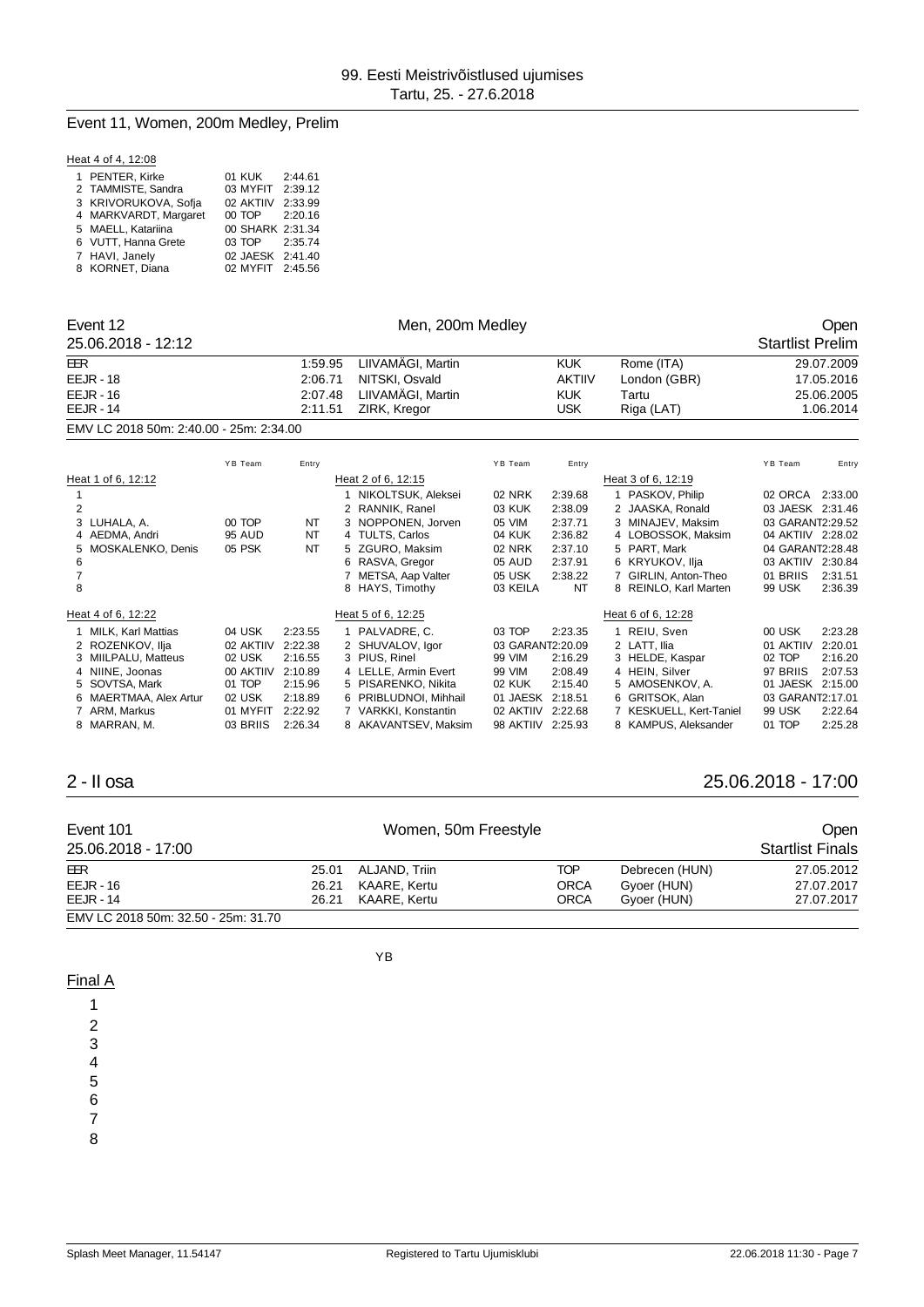## Event 11, Women, 200m Medley, Prelim

|  |  | Heat 4 of 4, 12:08 |
|--|--|--------------------|
|  |  |                    |

| 1 PENTER, Kirke       | 01 KUK            | 2:44.61 |
|-----------------------|-------------------|---------|
| 2 TAMMISTE, Sandra    | 03 MYFIT          | 2:39.12 |
| 3 KRIVORUKOVA, Sofia  | 02 AKTIIV 2:33.99 |         |
| 4 MARKVARDT, Margaret | 00 TOP 2:20.16    |         |
| 5 MAELL, Katariina    | 00 SHARK 2:31.34  |         |
| 6 VUTT, Hanna Grete   | 03 TOP 2:35.74    |         |
| 7 HAVI, Janely        | 02 JAESK 2:41.40  |         |
| 8 KORNET, Diana       | 02 MYFIT 2:45.56  |         |

| Event 12<br>25.06.2018 - 12:12                                                                                                                                                              |                                                                                        |                                                                                      | Men, 200m Medley                                                                                                                                                                                  |                                                                                                |                                                                                        |                                                                                                                                                                                            |                                                                                                                                     | Open<br><b>Startlist Prelim</b>                                |
|---------------------------------------------------------------------------------------------------------------------------------------------------------------------------------------------|----------------------------------------------------------------------------------------|--------------------------------------------------------------------------------------|---------------------------------------------------------------------------------------------------------------------------------------------------------------------------------------------------|------------------------------------------------------------------------------------------------|----------------------------------------------------------------------------------------|--------------------------------------------------------------------------------------------------------------------------------------------------------------------------------------------|-------------------------------------------------------------------------------------------------------------------------------------|----------------------------------------------------------------|
| <b>EER</b><br>$EEJR - 18$<br>$EEJR - 16$<br>$EEJR - 14$                                                                                                                                     |                                                                                        | 1:59.95<br>2:06.71<br>2:07.48<br>2:11.51                                             | LIIVAMÄGI, Martin<br>NITSKI, Osvald<br>LIIVAMÄGI, Martin<br>ZIRK, Kregor                                                                                                                          |                                                                                                | <b>KUK</b><br><b>AKTIIV</b><br><b>KUK</b><br><b>USK</b>                                | Rome (ITA)<br>London (GBR)<br>Tartu<br>Riga (LAT)                                                                                                                                          |                                                                                                                                     | 29.07.2009<br>17.05.2016<br>25.06.2005<br>1.06.2014            |
| EMV LC 2018 50m: 2:40.00 - 25m: 2:34.00                                                                                                                                                     |                                                                                        |                                                                                      |                                                                                                                                                                                                   |                                                                                                |                                                                                        |                                                                                                                                                                                            |                                                                                                                                     |                                                                |
|                                                                                                                                                                                             | YB Team                                                                                | Entry                                                                                |                                                                                                                                                                                                   | YB Team                                                                                        | Entry                                                                                  |                                                                                                                                                                                            | YB Team                                                                                                                             | Entry                                                          |
| Heat 1 of 6, 12:12<br>2<br>LUHALA. A.<br>3<br>4 AEDMA, Andri<br>MOSKALENKO, Denis<br>5<br>6<br>8                                                                                            | 00 TOP<br><b>95 AUD</b><br>05 PSK                                                      | NT<br><b>NT</b><br><b>NT</b>                                                         | Heat 2 of 6, 12:15<br>NIKOLTSUK, Aleksei<br>2 RANNIK, Ranel<br>3 NOPPONEN, Jorven<br>4 TULTS, Carlos<br>5 ZGURO, Maksim<br>6 RASVA, Gregor<br>METSA, Aap Valter<br>7<br>8 HAYS, Timothy           | 02 NRK<br>03 KUK<br>05 VIM<br>04 KUK<br>02 NRK<br>05 AUD<br>05 USK<br>03 KEILA                 | 2:39.68<br>2:38.09<br>2:37.71<br>2:36.82<br>2:37.10<br>2:37.91<br>2:38.22<br><b>NT</b> | Heat 3 of 6, 12:19<br>PASKOV, Philip<br>2 JAASKA, Ronald<br>3 MINAJEV. Maksim<br>4 LOBOSSOK, Maksim<br>PART. Mark<br>5<br>6 KRYUKOV, Ilja<br>7 GIRLIN, Anton-Theo<br>8 REINLO, Karl Marten | 02 ORCA<br>03 JAESK 2:31.46<br>03 GARANT2:29.52<br>04 AKTIIV 2:28.02<br>04 GARANT2:28.48<br>03 AKTIIV 2:30.84<br>01 BRIIS<br>99 USK | 2:33.00<br>2:31.51<br>2:36.39                                  |
| Heat 4 of 6, 12:22<br><b>MILK, Karl Mattias</b><br>2 ROZENKOV. Ilia<br>MIILPALU, Matteus<br>4 NIINE, Joonas<br>5 SOVTSA, Mark<br>MAERTMAA, Alex Artur<br>6<br>7 ARM, Markus<br>8 MARRAN, M. | 04 USK<br>02 AKTIIV<br>02 USK<br>00 AKTIIV<br>01 TOP<br>02 USK<br>01 MYFIT<br>03 BRIIS | 2:23.55<br>2:22.38<br>2:16.55<br>2:10.89<br>2:15.96<br>2:18.89<br>2:22.92<br>2:26.34 | Heat 5 of 6, 12:25<br>1 PALVADRE, C.<br>2 SHUVALOV. Igor<br>3 PIUS, Rinel<br>4 LELLE, Armin Evert<br>5 PISARENKO, Nikita<br>6 PRIBLUDNOI. Mihhail<br>7 VARKKI, Konstantin<br>8 AKAVANTSEV, Maksim | 03 TOP<br>03 GARANT2:20.09<br>99 VIM<br>99 VIM<br>02 KUK<br>01 JAESK<br>02 AKTIIV<br>98 AKTIIV | 2:23.35<br>2:16.29<br>2:08.49<br>2:15.40<br>2:18.51<br>2:22.68<br>2:25.93              | Heat 6 of 6, 12:28<br>1 REIU, Sven<br>2 LATT. Ilia<br>3 HELDE, Kaspar<br>4 HEIN, Silver<br>5 AMOSENKOV, A.<br>6 GRITSOK, Alan<br>7 KESKUELL, Kert-Taniel<br>8 KAMPUS, Aleksander           | 00 USK<br>01 AKTIIV<br>02 TOP<br>97 BRIIS<br>01 JAESK 2:15.00<br>03 GARANT2:17.01<br><b>99 USK</b><br>01 TOP                        | 2:23.28<br>2:20.01<br>2:16.20<br>2:07.53<br>2:22.64<br>2:25.28 |

## 2 - II osa 25.06.2018 - 17:00

| Event 101<br>25.06.2018 - 17:00     |                | Women, 50m Freestyle          |                           |                               | <b>Open</b><br>Startlist Finals |
|-------------------------------------|----------------|-------------------------------|---------------------------|-------------------------------|---------------------------------|
| EER<br>$EEJR - 16$                  | 25.01<br>26.21 | ALJAND, Triin<br>KAARE. Kertu | <b>TOP</b><br><b>ORCA</b> | Debrecen (HUN)<br>Gvoer (HUN) | 27.05.2012<br>27.07.2017        |
| $EEJR - 14$                         | 26.21          | KAARE. Kertu                  | <b>ORCA</b>               | Gvoer (HUN)                   | 27.07.2017                      |
| EMV LC 2018 50m: 32.50 - 25m: 31.70 |                |                               |                           |                               |                                 |

#### YB

Final A

1 2

3

4

5

6

7

8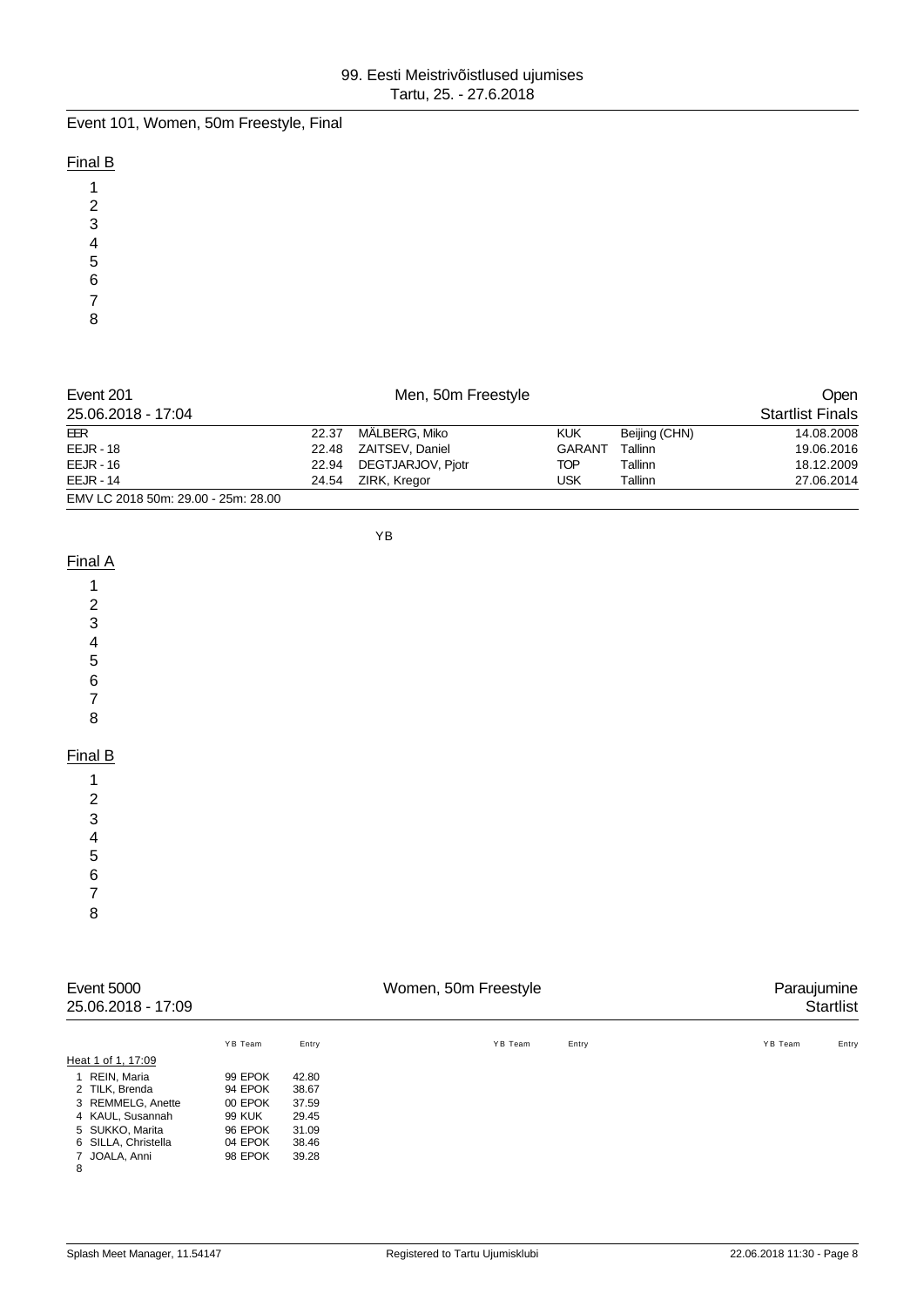Event 101, Women, 50m Freestyle, Final

## Final B

| Event 201<br>Men, 50m Freestyle     |       |                    |               | <b>Open</b>   |                         |
|-------------------------------------|-------|--------------------|---------------|---------------|-------------------------|
| 25.06.2018 - 17:04                  |       |                    |               |               | <b>Startlist Finals</b> |
| EER                                 | 22.37 | MÄLBERG, Miko      | <b>KUK</b>    | Beijing (CHN) | 14.08.2008              |
| $EEJR - 18$                         | 22.48 | ZAITSEV, Daniel    | <b>GARANT</b> | Tallinn       | 19.06.2016              |
| $EEJR - 16$                         | 22.94 | DEGTJARJOV, Pjotr  | TOP           | Tallinn       | 18.12.2009              |
| $EEJR - 14$                         |       | 24.54 ZIRK, Kregor | USK           | Tallinn       | 27.06.2014              |
| EMV LC 2018 50m: 29.00 - 25m: 28.00 |       |                    |               |               |                         |

YB

## Final A

#### Final B

 

 

|   | Event 5000<br>25.06.2018 - 17:09 |         |       | Women, 50m Freestyle |       | Paraujumine<br><b>Startlist</b> |
|---|----------------------------------|---------|-------|----------------------|-------|---------------------------------|
|   |                                  | YB Team | Entry | YB Team              | Entry | YB Team<br>Entry                |
|   | Heat 1 of 1, 17:09               |         |       |                      |       |                                 |
|   | 1 REIN, Maria                    | 99 EPOK | 42.80 |                      |       |                                 |
|   | 2 TILK, Brenda                   | 94 EPOK | 38.67 |                      |       |                                 |
|   | 3 REMMELG, Anette                | 00 EPOK | 37.59 |                      |       |                                 |
|   | 4 KAUL, Susannah                 | 99 KUK  | 29.45 |                      |       |                                 |
|   | 5 SUKKO, Marita                  | 96 EPOK | 31.09 |                      |       |                                 |
|   | 6 SILLA, Christella              | 04 EPOK | 38.46 |                      |       |                                 |
| Ω | 7 JOALA, Anni                    | 98 EPOK | 39.28 |                      |       |                                 |

 $\frac{1}{8}$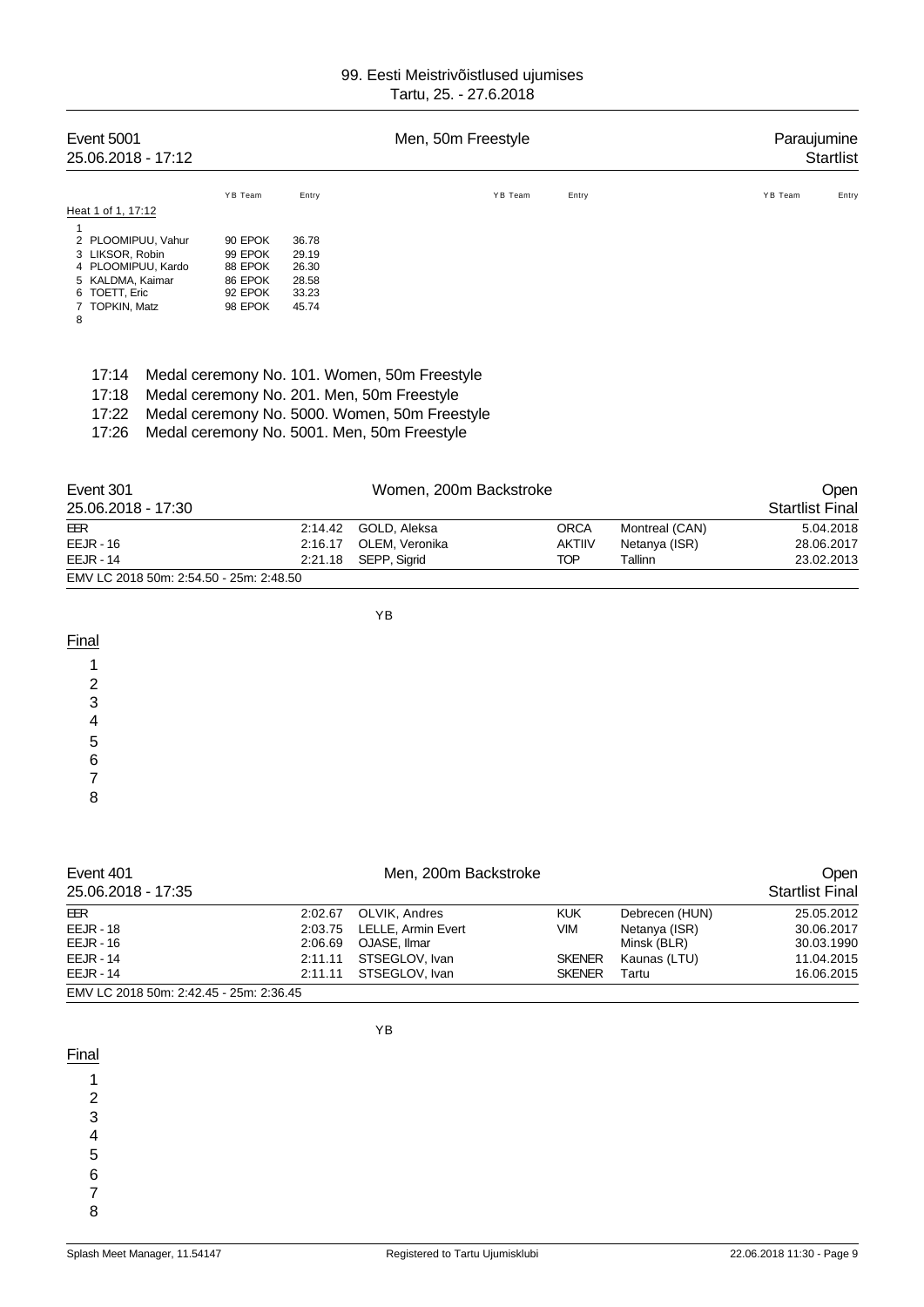| Event 5001<br>25.06.2018 - 17:12                                                                                                       |                                                                |                                                    | Men, 50m Freestyle                                                                                                                                                                         |         |       | Paraujumine            | <b>Startlist</b> |
|----------------------------------------------------------------------------------------------------------------------------------------|----------------------------------------------------------------|----------------------------------------------------|--------------------------------------------------------------------------------------------------------------------------------------------------------------------------------------------|---------|-------|------------------------|------------------|
| Heat 1 of 1, 17:12                                                                                                                     | YB Team                                                        | Entry                                              |                                                                                                                                                                                            | YB Team | Entry | YB Team                | Entry            |
| 1<br>2 PLOOMIPUU, Vahur<br>3 LIKSOR, Robin<br>4 PLOOMIPUU, Kardo<br>5 KALDMA, Kaimar<br>6 TOETT, Eric<br><b>TOPKIN, Matz</b><br>7<br>8 | 90 EPOK<br>99 EPOK<br>88 EPOK<br>86 EPOK<br>92 EPOK<br>98 EPOK | 36.78<br>29.19<br>26.30<br>28.58<br>33.23<br>45.74 |                                                                                                                                                                                            |         |       |                        |                  |
| 17:14<br>17:18<br>17:22<br>17:26                                                                                                       |                                                                |                                                    | Medal ceremony No. 101. Women, 50m Freestyle<br>Medal ceremony No. 201. Men, 50m Freestyle<br>Medal ceremony No. 5000. Women, 50m Freestyle<br>Medal ceremony No. 5001. Men, 50m Freestyle |         |       |                        |                  |
| Event 301<br>25.06.2018 - 17:30                                                                                                        |                                                                |                                                    | Women, 200m Backstroke                                                                                                                                                                     |         |       | <b>Startlist Final</b> | Open             |

| EMV LC 2018 50m: 2:54.50 - 25m: 2:48.50 |  |                        |               |                |            |
|-----------------------------------------|--|------------------------|---------------|----------------|------------|
| $EEJR - 14$                             |  | 2:21.18 SEPP, Sigrid   | TOP           | Tallinn        | 23.02.2013 |
| $EEJR - 16$                             |  | 2:16.17 OLEM. Veronika | <b>AKTIIV</b> | Netanya (ISR)  | 28.06.2017 |
| EER                                     |  | 2:14.42 GOLD, Aleksa   | ORCA          | Montreal (CAN) | 5.04.2018  |

YB

YB

| Final   |  |  |
|---------|--|--|
|         |  |  |
| r       |  |  |
| $\cdot$ |  |  |
|         |  |  |
| b       |  |  |
| 6       |  |  |
|         |  |  |
|         |  |  |

| Event 401                               | Men, 200m Backstroke |                    |               | <b>Open</b>    |                        |
|-----------------------------------------|----------------------|--------------------|---------------|----------------|------------------------|
| 25.06.2018 - 17:35                      |                      |                    |               |                | <b>Startlist Final</b> |
| EER                                     | 2:02.67              | OLVIK, Andres      | <b>KUK</b>    | Debrecen (HUN) | 25.05.2012             |
| <b>EEJR - 18</b>                        | 2:03.75              | LELLE, Armin Evert | <b>VIM</b>    | Netanya (ISR)  | 30.06.2017             |
| EEJR - 16                               | 2:06.69              | OJASE. Ilmar       |               | Minsk (BLR)    | 30.03.1990             |
| <b>EEJR - 14</b>                        | 2:11.11              | STSEGLOV, Ivan     | <b>SKENER</b> | Kaunas (LTU)   | 11.04.2015             |
| <b>EEJR - 14</b>                        | 2:11.11              | STSEGLOV, Ivan     | <b>SKENER</b> | Tartu          | 16.06.2015             |
| EMV LC 2018 50m: 2:42.45 - 25m: 2:36.45 |                      |                    |               |                |                        |

**Final** 

1

2

3

4

5

6

7 8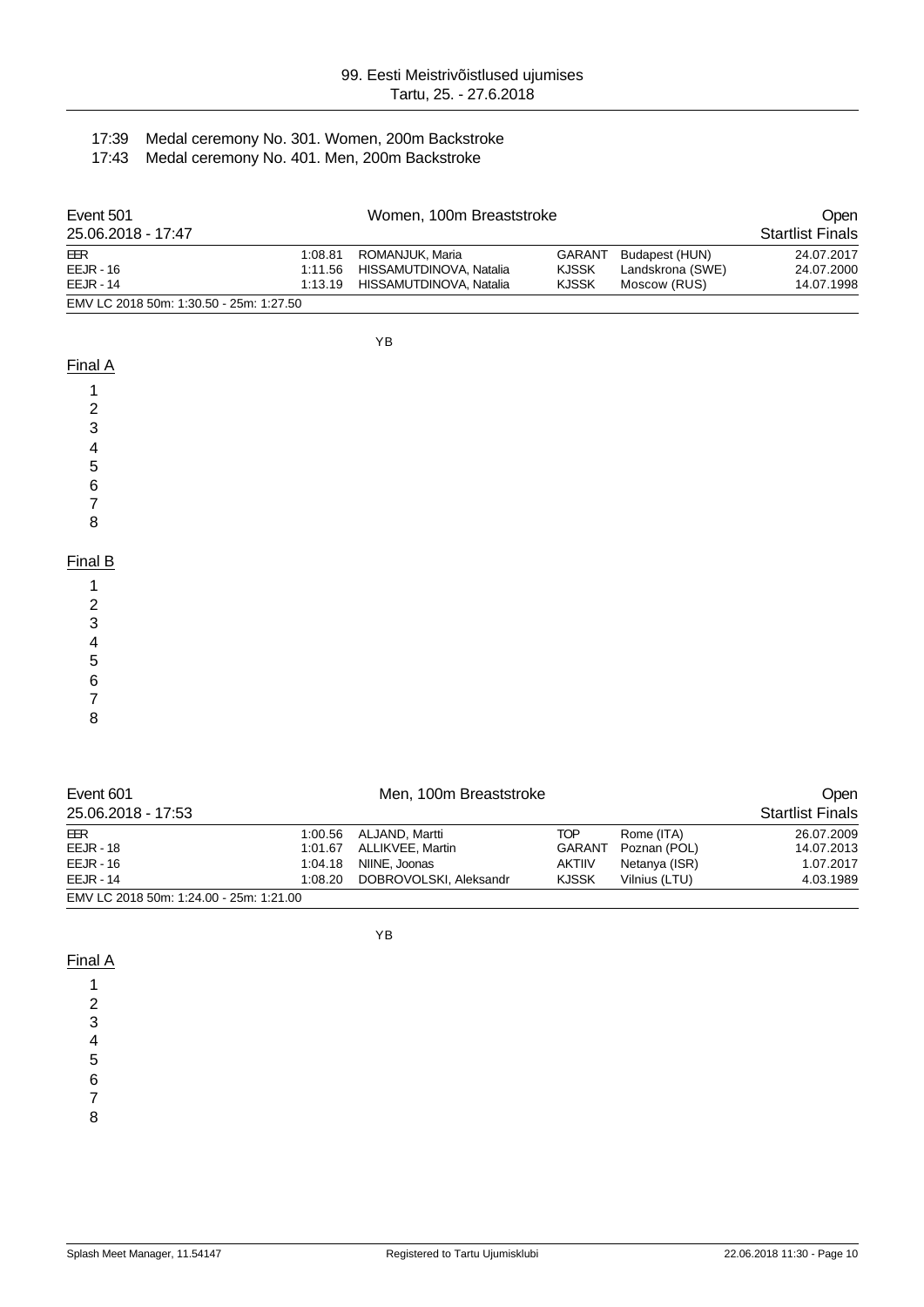## 17:39 Medal ceremony No. 301. Women, 200m Backstroke

17:43 Medal ceremony No. 401. Men, 200m Backstroke

| Event 501                               | Women, 100m Breaststroke |                                 |              |                  | Open                    |
|-----------------------------------------|--------------------------|---------------------------------|--------------|------------------|-------------------------|
| 25.06.2018 - 17:47                      |                          |                                 |              |                  | <b>Startlist Finals</b> |
| EER                                     | 1:08.81                  | ROMANJUK. Maria                 | GARANT       | Budapest (HUN)   | 24.07.2017              |
| $EEJR - 16$                             |                          | 1:11.56 HISSAMUTDINOVA, Natalia | <b>KJSSK</b> | Landskrona (SWE) | 24.07.2000              |
| $EEJR - 14$                             | 1:13.19                  | HISSAMUTDINOVA, Natalia         | <b>KJSSK</b> | Moscow (RUS)     | 14.07.1998              |
| EMV LC 2018 50m: 1:30.50 - 25m: 1:27.50 |                          |                                 |              |                  |                         |

YB

| . .<br>L<br>v |  |
|---------------|--|
|               |  |

4 5

6

7

8

| Event 601<br>25.06.2018 - 17:53         |         | Men, 100m Breaststroke |               |               | <b>Open</b><br><b>Startlist Finals</b> |
|-----------------------------------------|---------|------------------------|---------------|---------------|----------------------------------------|
| EER                                     |         | 1:00.56 ALJAND, Martti | <b>TOP</b>    | Rome (ITA)    | 26.07.2009                             |
| <b>EEJR - 18</b>                        | 1:01.67 | ALLIKVEE, Martin       | GARANT        | Poznan (POL)  | 14.07.2013                             |
| $EEJR - 16$                             | 1:04.18 | NIINE, Joonas          | <b>AKTIIV</b> | Netanya (ISR) | 1.07.2017                              |
| $EEJR - 14$                             | 1:08.20 | DOBROVOLSKI, Aleksandr | <b>KJSSK</b>  | Vilnius (LTU) | 4.03.1989                              |
| EMV LC 2018 50m: 1:24.00 - 25m: 1:21.00 |         |                        |               |               |                                        |

YB

## Final A

1 2

3

4

5

6

7 8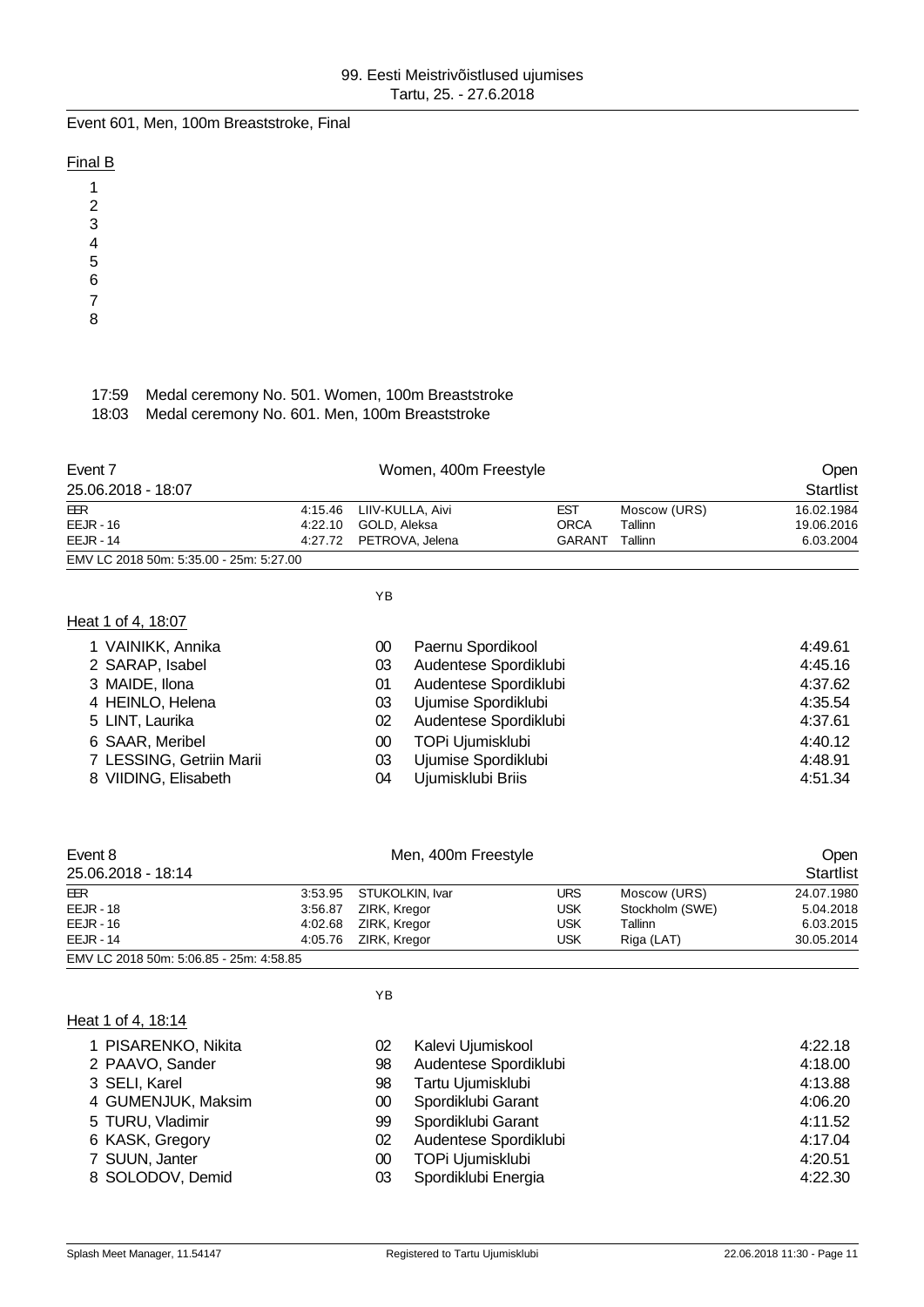Event 601, Men, 100m Breaststroke, Final

### Final B

| 1 |  |
|---|--|
| 2 |  |
| 3 |  |
| 4 |  |

5

6

7 8

#### 17:59 Medal ceremony No. 501. Women, 100m Breaststroke 18:03 Medal ceremony No. 601. Men, 100m Breaststroke

| Event 7                                 |         | Women, 400m Freestyle    | <b>Open</b> |              |                  |
|-----------------------------------------|---------|--------------------------|-------------|--------------|------------------|
| 25.06.2018 - 18:07                      |         |                          |             |              | <b>Startlist</b> |
| EER                                     |         | 4:15.46 LIIV-KULLA, Aivi | <b>EST</b>  | Moscow (URS) | 16.02.1984       |
| $EEJR - 16$                             | 4:22.10 | GOLD, Aleksa             | ORCA        | Tallinn      | 19.06.2016       |
| $EEJR - 14$                             |         | 4:27.72 PETROVA, Jelena  | GARANT      | Tallinn      | 6.03.2004        |
| EMV LC 2018 50m: 5:35.00 - 25m: 5:27.00 |         |                          |             |              |                  |

YB

## Heat 1 of 4, 18:07

| 1 VAINIKK, Annika        | 00 | Paernu Spordikool     | 4:49.61 |
|--------------------------|----|-----------------------|---------|
| 2 SARAP, Isabel          | 03 | Audentese Spordiklubi | 4:45.16 |
| 3 MAIDE, Ilona           | 01 | Audentese Spordiklubi | 4:37.62 |
| 4 HEINLO, Helena         | 03 | Ujumise Spordiklubi   | 4:35.54 |
| 5 LINT, Laurika          | 02 | Audentese Spordiklubi | 4:37.61 |
| 6 SAAR, Meribel          | 00 | TOPi Ujumisklubi      | 4:40.12 |
| 7 LESSING, Getriin Marii | 03 | Ujumise Spordiklubi   | 4:48.91 |
| 8 VIIDING, Elisabeth     | 04 | Ujumisklubi Briis     | 4:51.34 |

| Event 8                                 |         | <b>Open</b>             |     |                 |                  |
|-----------------------------------------|---------|-------------------------|-----|-----------------|------------------|
| 25.06.2018 - 18:14                      |         |                         |     |                 | <b>Startlist</b> |
| EER                                     |         | 3:53.95 STUKOLKIN, Ivar | URS | Moscow (URS)    | 24.07.1980       |
| $EEJR - 18$                             | 3:56.87 | ZIRK, Kregor            | USK | Stockholm (SWE) | 5.04.2018        |
| $EEJR - 16$                             | 4:02.68 | ZIRK, Kregor            | USK | Tallinn         | 6.03.2015        |
| $EEJR - 14$                             | 4:05.76 | ZIRK, Kregor            | USK | Riga (LAT)      | 30.05.2014       |
| EMV LC 2018 50m: 5:06.85 - 25m: 4:58.85 |         |                         |     |                 |                  |

#### Heat 1 of 4, 18:14

| 1 PISARENKO, Nikita | 02 | Kalevi Ujumiskool     | 4:22.18 |
|---------------------|----|-----------------------|---------|
| 2 PAAVO, Sander     | 98 | Audentese Spordiklubi | 4:18.00 |
| 3 SELI, Karel       | 98 | Tartu Ujumisklubi     | 4:13.88 |
| 4 GUMENJUK, Maksim  | 00 | Spordiklubi Garant    | 4:06.20 |
| 5 TURU, Vladimir    | 99 | Spordiklubi Garant    | 4:11.52 |
| 6 KASK, Gregory     | 02 | Audentese Spordiklubi | 4:17.04 |
| 7 SUUN, Janter      | 00 | TOPi Ujumisklubi      | 4:20.51 |
| 8 SOLODOV, Demid    | 03 | Spordiklubi Energia   | 4:22.30 |
|                     |    |                       |         |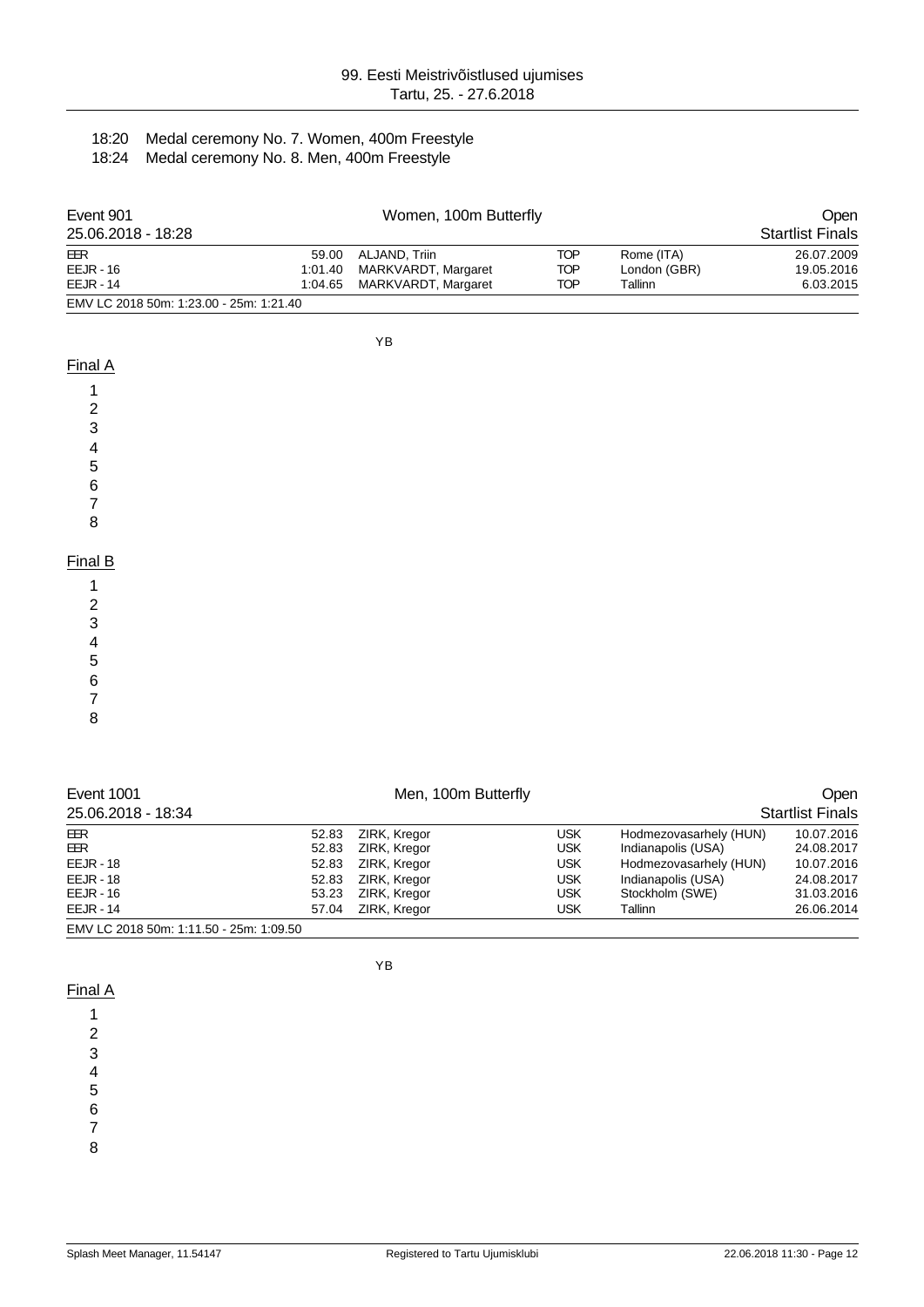## 18:20 Medal ceremony No. 7. Women, 400m Freestyle

18:24 Medal ceremony No. 8. Men, 400m Freestyle

| Event 901                               |       | Open                        |     |              |                         |
|-----------------------------------------|-------|-----------------------------|-----|--------------|-------------------------|
| 25.06.2018 - 18:28                      |       |                             |     |              | <b>Startlist Finals</b> |
| EER                                     | 59.00 | ALJAND. Triin               | TOP | Rome (ITA)   | 26.07.2009              |
| $EEJR - 16$                             |       | 1:01.40 MARKVARDT, Margaret | TOP | London (GBR) | 19.05.2016              |
| $EEJR - 14$                             |       | 1:04.65 MARKVARDT, Margaret | TOP | Tallinn      | 6.03.2015               |
| EMV LC 2018 50m: 1:23.00 - 25m: 1:21.40 |       |                             |     |              |                         |

YB

#### Final A

| $\frac{2}{3}$  |  |  |
|----------------|--|--|
| $\frac{4}{5}$  |  |  |
|                |  |  |
| 6              |  |  |
| $\overline{7}$ |  |  |
| 8              |  |  |
|                |  |  |
| Final B        |  |  |
| 1              |  |  |
| $\frac{2}{3}$  |  |  |
|                |  |  |

4

- 5
- 6

7

8

| Event 1001                              |       | Men, 100m Butterfly |     |                        | <b>Open</b>             |
|-----------------------------------------|-------|---------------------|-----|------------------------|-------------------------|
| 25.06.2018 - 18:34                      |       |                     |     |                        | <b>Startlist Finals</b> |
| <b>EER</b>                              | 52.83 | ZIRK, Kregor        | USK | Hodmezovasarhely (HUN) | 10.07.2016              |
| <b>EER</b>                              | 52.83 | ZIRK, Kregor        | USK | Indianapolis (USA)     | 24.08.2017              |
| $EEJR - 18$                             | 52.83 | ZIRK, Kregor        | USK | Hodmezovasarhely (HUN) | 10.07.2016              |
| $EEJR - 18$                             | 52.83 | ZIRK, Kregor        | USK | Indianapolis (USA)     | 24.08.2017              |
| $EEJR - 16$                             | 53.23 | ZIRK, Kregor        | USK | Stockholm (SWE)        | 31.03.2016              |
| $E E J R - 14$                          | 57.04 | ZIRK, Kregor        | USK | Tallinn                | 26.06.2014              |
| EMV LC 2018 50m: 1:11.50 - 25m: 1:09.50 |       |                     |     |                        |                         |

YB

Final A

- 1 2
- 3
- 4
- 5

6

7

8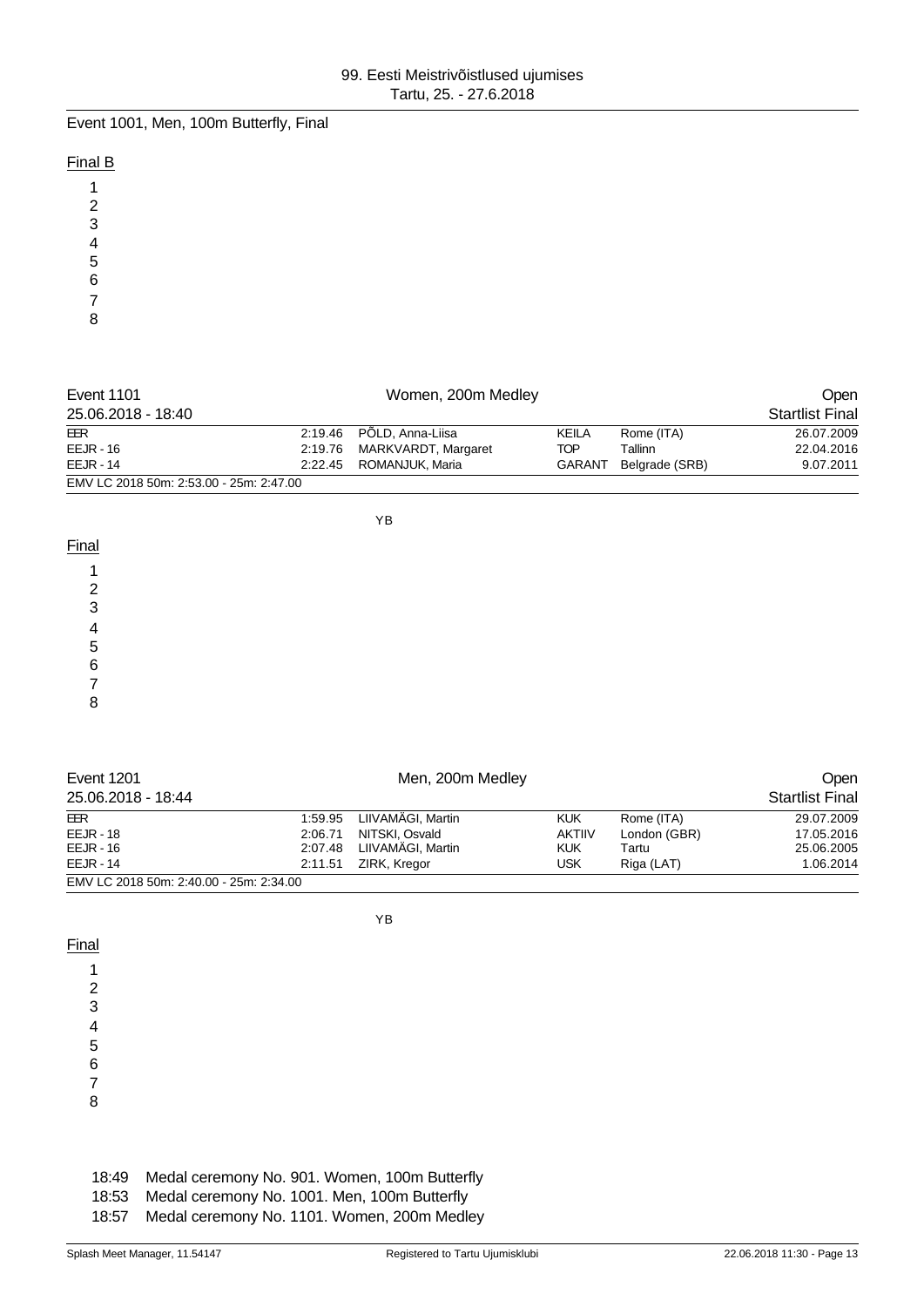Event 1001, Men, 100m Butterfly, Final

#### Final B

| Event 1101                              |  | Open                        |               |                |                        |
|-----------------------------------------|--|-----------------------------|---------------|----------------|------------------------|
| 25.06.2018 - 18:40                      |  |                             |               |                | <b>Startlist Final</b> |
| EER                                     |  | 2:19.46 PÕLD, Anna-Liisa    | KEILA         | Rome (ITA)     | 26.07.2009             |
| $EEJR - 16$                             |  | 2:19.76 MARKVARDT, Margaret | TOP           | Tallinn        | 22.04.2016             |
| $EELIR - 14$                            |  | 2:22.45 ROMANJUK, Maria     | <b>GARANT</b> | Belgrade (SRB) | 9.07.2011              |
| EMV LC 2018 50m: 2:53.00 - 25m: 2:47.00 |  |                             |               |                |                        |

YB

#### **Final**

> 5 6

7

8

| Event 1201                              |         | Open              |               |              |                        |
|-----------------------------------------|---------|-------------------|---------------|--------------|------------------------|
| 25.06.2018 - 18:44                      |         |                   |               |              | <b>Startlist Final</b> |
| EER                                     | 1:59.95 | LIIVAMÄGI, Martin | <b>KUK</b>    | Rome (ITA)   | 29.07.2009             |
| $EEJR - 18$                             | 2:06.71 | NITSKI, Osvald    | <b>AKTIIV</b> | London (GBR) | 17.05.2016             |
| $EEJR - 16$                             | 2:07.48 | LIIVAMAGI, Martin | <b>KUK</b>    | Tartu        | 25.06.2005             |
| $EEJR - 14$                             | 2:11.51 | ZIRK, Kregor      | <b>USK</b>    | Riga (LAT)   | 1.06.2014              |
| EMV LC 2018 50m: 2:40.00 - 25m: 2:34.00 |         |                   |               |              |                        |

Final

YB

# 18:49 Medal ceremony No. 901. Women, 100m Butterfly

18:53 Medal ceremony No. 1001. Men, 100m Butterfly

18:57 Medal ceremony No. 1101. Women, 200m Medley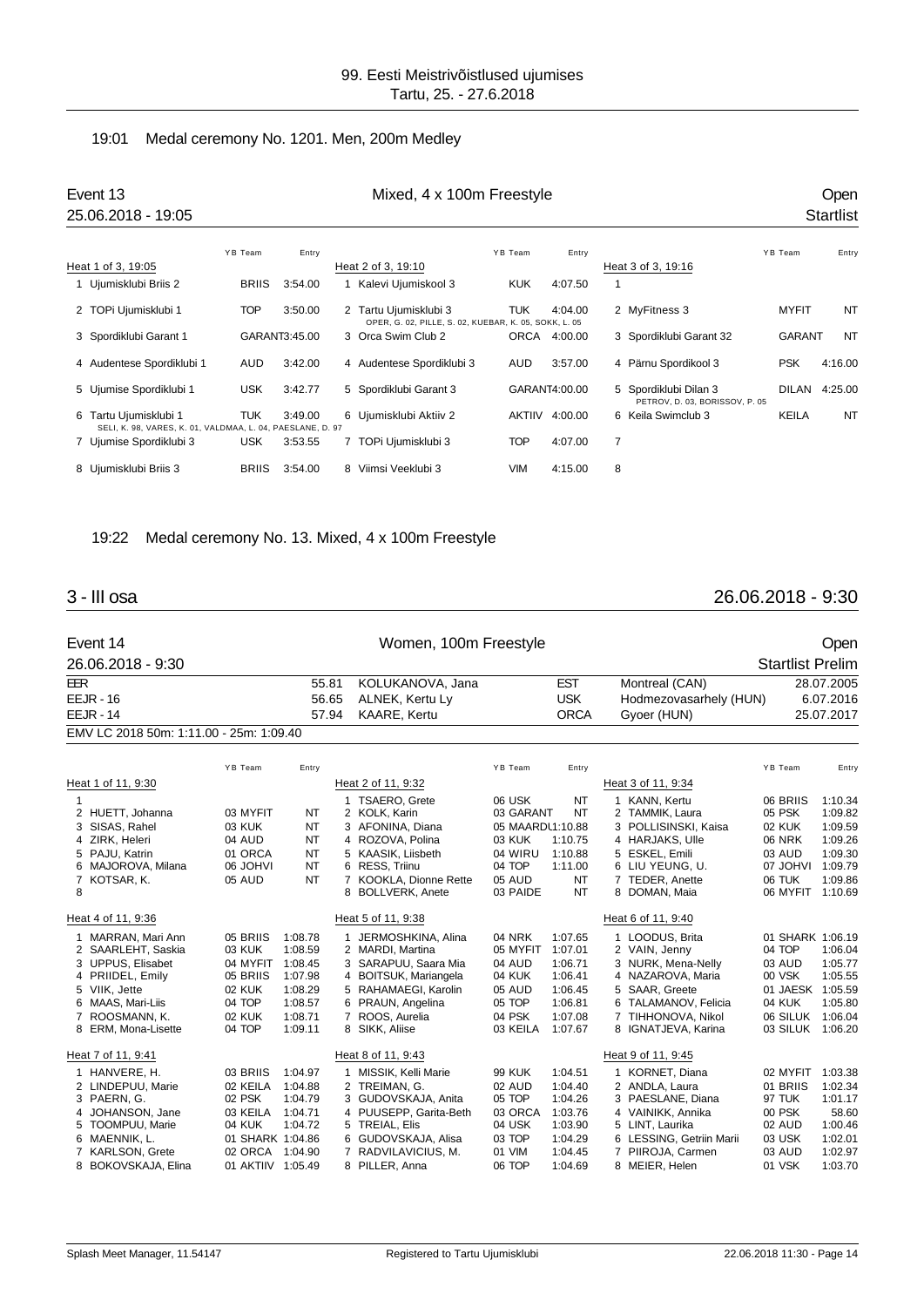#### 19:01 Medal ceremony No. 1201. Men, 200m Medley

|   | Event 13<br>25.06.2018 - 19:05                                                    |              |               | Mixed, 4 x 100m Freestyle                                                      |            |               |   |                                                         |               | <b>Open</b><br><b>Startlist</b> |
|---|-----------------------------------------------------------------------------------|--------------|---------------|--------------------------------------------------------------------------------|------------|---------------|---|---------------------------------------------------------|---------------|---------------------------------|
|   |                                                                                   | YB Team      | Entry         |                                                                                | YB Team    | Entry         |   |                                                         | YB Team       | Entry                           |
|   | Heat 1 of 3, 19:05                                                                |              |               | Heat 2 of 3, 19:10                                                             |            |               |   | Heat 3 of 3, 19:16                                      |               |                                 |
|   | Ujumisklubi Briis 2                                                               | <b>BRIIS</b> | 3:54.00       | Kalevi Ujumiskool 3                                                            | <b>KUK</b> | 4:07.50       | 1 |                                                         |               |                                 |
|   | 2 TOPi Ujumisklubi 1                                                              | <b>TOP</b>   | 3:50.00       | 2 Tartu Ujumisklubi 3<br>OPER, G. 02, PILLE, S. 02, KUEBAR, K. 05, SOKK, L. 05 | <b>TUK</b> | 4:04.00       |   | 2 MyFitness 3                                           | <b>MYFIT</b>  | <b>NT</b>                       |
|   | 3 Spordiklubi Garant 1                                                            |              | GARANT3:45.00 | 3 Orca Swim Club 2                                                             |            | ORCA 4:00.00  |   | 3 Spordiklubi Garant 32                                 | <b>GARANT</b> | <b>NT</b>                       |
|   | 4 Audentese Spordiklubi 1                                                         | <b>AUD</b>   | 3:42.00       | 4 Audentese Spordiklubi 3                                                      | AUD        | 3:57.00       |   | 4 Pärnu Spordikool 3                                    | <b>PSK</b>    | 4:16.00                         |
|   | 5 Ujumise Spordiklubi 1                                                           | <b>USK</b>   | 3:42.77       | 5 Spordiklubi Garant 3                                                         |            | GARANT4:00.00 |   | 5 Spordiklubi Dilan 3<br>PETROV, D. 03, BORISSOV, P. 05 | <b>DILAN</b>  | 4:25.00                         |
| 6 | Tartu Ujumisklubi 1<br>SELI, K. 98, VARES, K. 01, VALDMAA, L. 04, PAESLANE, D. 97 | <b>TUK</b>   | 3:49.00       | 6 Ujumisklubi Aktiiv 2                                                         | AKTIIV     | 4:00.00       |   | 6 Keila Swimclub 3                                      | <b>KEILA</b>  | <b>NT</b>                       |
|   | 7 Ujumise Spordiklubi 3                                                           | <b>USK</b>   | 3:53.55       | 7 TOPi Ujumisklubi 3                                                           | <b>TOP</b> | 4:07.00       | 7 |                                                         |               |                                 |
|   | 8 Ujumisklubi Briis 3                                                             | <b>BRIIS</b> | 3:54.00       | 8 Viimsi Veeklubi 3                                                            | <b>VIM</b> | 4:15.00       | 8 |                                                         |               |                                 |

#### 19:22 Medal ceremony No. 13. Mixed, 4 x 100m Freestyle

### 3 - III osa 26.06.2018 - 9:30

|            | Event 14                                |                   |                    |       | Women, 100m Freestyle                       |                    |                    |                                           |                         | Open               |
|------------|-----------------------------------------|-------------------|--------------------|-------|---------------------------------------------|--------------------|--------------------|-------------------------------------------|-------------------------|--------------------|
|            | 26.06.2018 - 9:30                       |                   |                    |       |                                             |                    |                    |                                           | <b>Startlist Prelim</b> |                    |
| <b>EER</b> |                                         |                   | 55.81              |       | KOLUKANOVA, Jana                            |                    | <b>EST</b>         | Montreal (CAN)                            |                         | 28.07.2005         |
|            | $EEJR - 16$                             |                   | 56.65              |       | ALNEK, Kertu Ly                             |                    | <b>USK</b>         | Hodmezovasarhely (HUN)                    |                         | 6.07.2016          |
|            | $EEJR - 14$                             |                   |                    | 57.94 | <b>KAARE, Kertu</b>                         |                    | <b>ORCA</b>        | Gyoer (HUN)                               |                         | 25.07.2017         |
|            | EMV LC 2018 50m: 1:11.00 - 25m: 1:09.40 |                   |                    |       |                                             |                    |                    |                                           |                         |                    |
|            |                                         | YB Team           | Entry              |       |                                             | YB Team            | Entry              |                                           | YB Team                 | Entry              |
|            | Heat 1 of 11, 9:30                      |                   |                    |       | Heat 2 of 11, 9:32                          |                    |                    | Heat 3 of 11, 9:34                        |                         |                    |
| 1          |                                         |                   |                    |       | 1 TSAERO, Grete                             | 06 USK             | <b>NT</b>          | 1 KANN, Kertu                             | 06 BRIIS                | 1:10.34            |
|            | 2 HUETT, Johanna                        | 03 MYFIT          | NT                 |       | 2 KOLK, Karin                               | 03 GARANT          | <b>NT</b>          | 2 TAMMIK, Laura                           | 05 PSK                  | 1:09.82            |
|            | 3 SISAS, Rahel                          | 03 KUK            | <b>NT</b>          |       | 3 AFONINA, Diana                            | 05 MAARDL1:10.88   |                    | 3 POLLISINSKI, Kaisa                      | 02 KUK                  | 1:09.59            |
|            | 4 ZIRK, Heleri                          | 04 AUD            | <b>NT</b>          |       | 4 ROZOVA, Polina                            | 03 KUK             | 1:10.75            | 4 HARJAKS, Ulle                           | <b>06 NRK</b>           | 1:09.26            |
|            | 5 PAJU, Katrin                          | 01 ORCA           | <b>NT</b>          |       | 5 KAASIK, Liisbeth                          | 04 WIRU            | 1:10.88            | 5 ESKEL, Emili                            | 03 AUD                  | 1:09.30            |
|            | 6 MAJOROVA, Milana                      | <b>IVHOL 80</b>   | <b>NT</b>          |       | 6 RESS, Triinu                              | 04 TOP             | 1:11.00            | 6 LIU YEUNG, U.                           | 07 JOHVI                | 1:09.79            |
| 8          | 7 KOTSAR, K.                            | 05 AUD            | <b>NT</b>          |       | 7 KOOKLA, Dionne Rette<br>8 BOLLVERK, Anete | 05 AUD<br>03 PAIDE | <b>NT</b><br>NT    | 7 TEDER, Anette<br>8 DOMAN, Maia          | 06 TUK<br>06 MYFIT      | 1:09.86<br>1:10.69 |
|            | Heat 4 of 11, 9:36                      |                   |                    |       | Heat 5 of 11, 9:38                          |                    |                    | Heat 6 of 11, 9:40                        |                         |                    |
| 1          | MARRAN, Mari Ann                        | 05 BRIIS          | 1:08.78            |       | 1 JERMOSHKINA, Alina                        | <b>04 NRK</b>      | 1:07.65            | 1 LOODUS, Brita                           | 01 SHARK 1:06.19        |                    |
|            | 2 SAARLEHT, Saskia                      | 03 KUK            | 1:08.59            |       | 2 MARDI, Martina                            | 05 MYFIT           | 1:07.01            | 2 VAIN, Jenny                             | 04 TOP                  | 1:06.04            |
|            | 3 UPPUS, Elisabet                       | 04 MYFIT          | 1:08.45            |       | 3 SARAPUU, Saara Mia                        | 04 AUD             | 1:06.71            | 3 NURK, Mena-Nelly                        | 03 AUD                  | 1:05.77            |
|            | 4 PRIIDEL, Emily                        | 05 BRIIS          | 1:07.98            |       | 4 BOITSUK, Mariangela                       | 04 KUK             | 1:06.41            | 4 NAZAROVA, Maria                         | 00 VSK                  | 1:05.55            |
|            | 5 VIIK. Jette                           | 02 KUK            | 1:08.29            |       | 5 RAHAMAEGI, Karolin                        | 05 AUD             | 1:06.45            | 5 SAAR, Greete                            | 01 JAESK 1:05.59        |                    |
|            | 6 MAAS, Mari-Liis                       | 04 TOP            | 1:08.57            |       | 6 PRAUN, Angelina                           | 05 TOP             | 1:06.81            | 6 TALAMANOV, Felicia                      | <b>04 KUK</b>           | 1:05.80            |
| 7          | ROOSMANN, K.<br>8 ERM, Mona-Lisette     | 02 KUK<br>04 TOP  | 1:08.71<br>1:09.11 |       | 7 ROOS, Aurelia<br>8 SIKK, Aliise           | 04 PSK<br>03 KEILA | 1:07.08<br>1:07.67 | 7 TIHHONOVA, Nikol<br>8 IGNATJEVA, Karina | 06 SILUK<br>03 SILUK    | 1:06.04<br>1:06.20 |
|            | Heat 7 of 11, 9:41                      |                   |                    |       | Heat 8 of 11, 9:43                          |                    |                    | Heat 9 of 11, 9:45                        |                         |                    |
|            | 1 HANVERE, H.                           | 03 BRIIS          | 1:04.97            |       | 1 MISSIK, Kelli Marie                       | <b>99 KUK</b>      | 1:04.51            | 1 KORNET, Diana                           | 02 MYFIT                | 1:03.38            |
|            | 2 LINDEPUU, Marie                       | 02 KEILA          | 1:04.88            |       | 2 TREIMAN, G.                               | 02 AUD             | 1:04.40            | 2 ANDLA, Laura                            | 01 BRIIS                | 1:02.34            |
|            | 3 PAERN, G.                             | 02 PSK            | 1:04.79            |       | 3 GUDOVSKAJA, Anita                         | 05 TOP             | 1:04.26            | 3 PAESLANE, Diana                         | 97 TUK                  | 1:01.17            |
| 4          | JOHANSON, Jane                          | 03 KEILA          | 1:04.71            |       | 4 PUUSEPP, Garita-Beth                      | 03 ORCA            | 1:03.76            | 4 VAINIKK, Annika                         | 00 PSK                  | 58.60              |
|            | 5 TOOMPUU, Marie                        | 04 KUK            | 1:04.72            |       | 5 TREIAL, Elis                              | 04 USK             | 1:03.90            | 5 LINT, Laurika                           | 02 AUD                  | 1:00.46            |
|            | 6 MAENNIK, L.                           | 01 SHARK 1:04.86  |                    |       | 6 GUDOVSKAJA, Alisa                         | 03 TOP             | 1:04.29            | 6 LESSING, Getriin Marii                  | 03 USK                  | 1:02.01            |
|            | 7 KARLSON, Grete                        | 02 ORCA           | 1:04.90            |       | 7 RADVILAVICIUS, M.                         | 01 VIM             | 1:04.45            | 7 PIIROJA, Carmen                         | 03 AUD                  | 1:02.97            |
| 8          | BOKOVSKAJA, Elina                       | 01 AKTIIV 1:05.49 |                    |       | 8 PILLER, Anna                              | 06 TOP             | 1:04.69            | 8 MEIER, Helen                            | 01 VSK                  | 1:03.70            |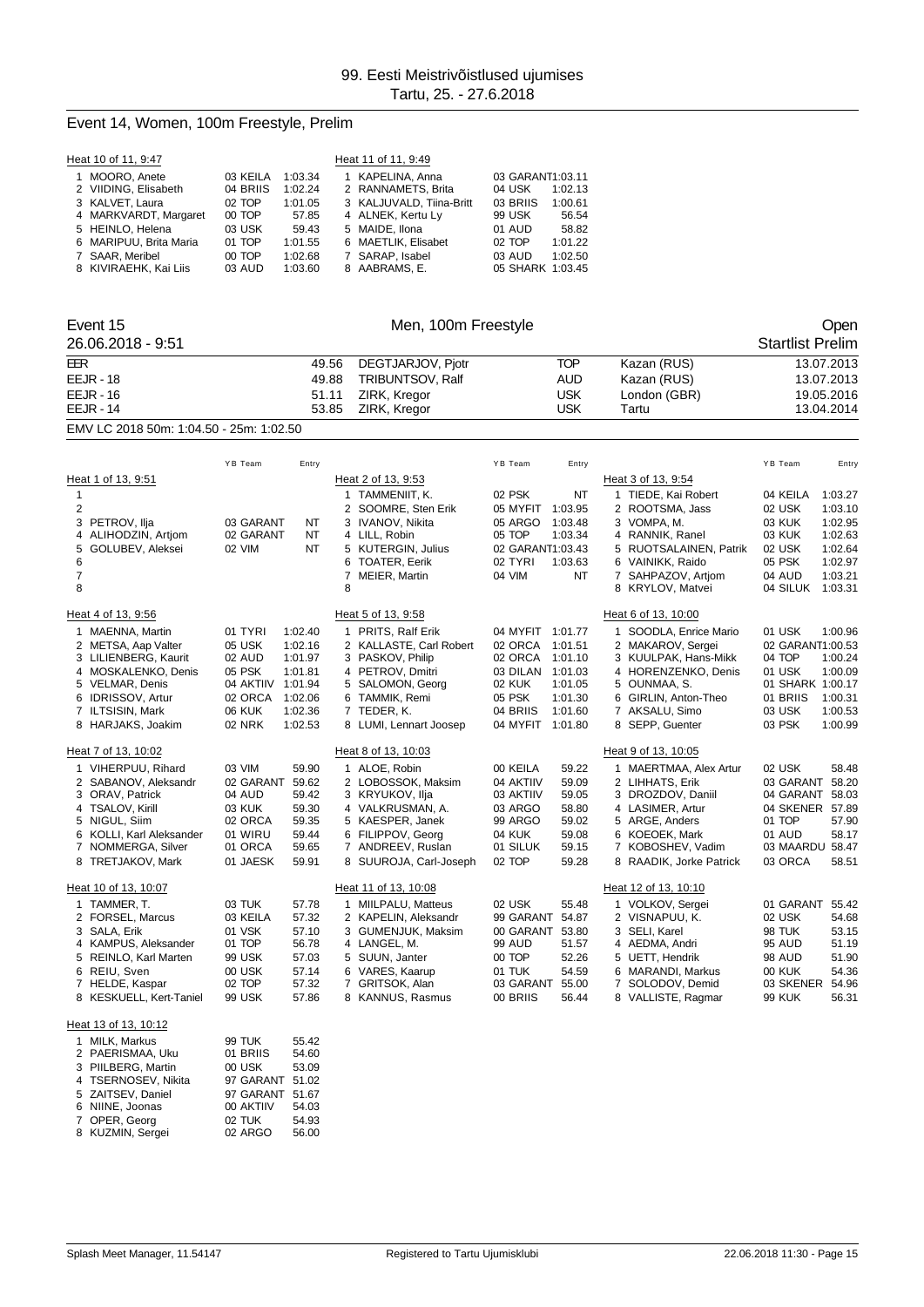## Event 14, Women, 100m Freestyle, Prelim

| Heat 10 of 11, 9:47    |          |         | Heat 11 of 11, 9:49      |                  |         |
|------------------------|----------|---------|--------------------------|------------------|---------|
| 1 MOORO, Anete         | 03 KEILA | 1:03.34 | 1 KAPELINA, Anna         | 03 GARANT1:03.11 |         |
| 2 VIIDING, Elisabeth   | 04 BRIIS | 1:02.24 | 2 RANNAMETS, Brita       | 04 USK           | 1:02.13 |
| 3 KALVET, Laura        | 02 TOP   | 1:01.05 | 3 KALJUVALD. Tiina-Britt | 03 BRIIS         | 1:00.61 |
| 4 MARKVARDT, Margaret  | 00 TOP   | 57.85   | 4 ALNEK, Kertu Ly        | 99 USK           | 56.54   |
| 5 HEINLO, Helena       | 03 USK   | 59.43   | 5 MAIDE. Ilona           | 01 AUD           | 58.82   |
| 6 MARIPUU, Brita Maria | 01 TOP   | 1:01.55 | 6 MAETLIK, Elisabet      | 02 TOP           | 1:01.22 |
| 7 SAAR, Meribel        | 00 TOP   | 1:02.68 | 7 SARAP. Isabel          | 03 AUD           | 1:02.50 |
| 8 KIVIRAEHK, Kai Liis  | 03 AUD   | 1:03.60 | 8 AABRAMS, E.            | 05 SHARK 1:03.45 |         |

| Event 15                                   |                                         | Men, 100m Freestyle                         |                                          |                                                  | Open                                     |
|--------------------------------------------|-----------------------------------------|---------------------------------------------|------------------------------------------|--------------------------------------------------|------------------------------------------|
| 26.06.2018 - 9:51                          |                                         |                                             |                                          |                                                  | <b>Startlist Prelim</b>                  |
| EER                                        |                                         | 49.56<br>DEGTJARJOV, Pjotr                  | <b>TOP</b>                               | Kazan (RUS)                                      | 13.07.2013                               |
| <b>EEJR - 18</b>                           |                                         | 49.88<br><b>TRIBUNTSOV, Ralf</b>            | <b>AUD</b>                               | Kazan (RUS)                                      | 13.07.2013                               |
| $EELIR - 16$                               |                                         | 51.11<br>ZIRK, Kregor                       | <b>USK</b>                               | London (GBR)                                     | 19.05.2016                               |
| <b>EEJR - 14</b>                           |                                         | 53.85<br>ZIRK, Kregor                       | <b>USK</b>                               | Tartu                                            | 13.04.2014                               |
| EMV LC 2018 50m: 1:04.50 - 25m: 1:02.50    |                                         |                                             |                                          |                                                  |                                          |
|                                            | YB Team<br>Entry                        |                                             | YB Team<br>Entry                         |                                                  | YB Team<br>Entry                         |
| Heat 1 of 13, 9:51                         |                                         | Heat 2 of 13, 9:53                          |                                          | Heat 3 of 13, 9:54                               |                                          |
| $\mathbf{1}$                               |                                         | 1 TAMMENIIT, K.                             | 02 PSK<br><b>NT</b>                      | 1 TIEDE, Kai Robert                              | 04 KEILA<br>1:03.27                      |
| 2                                          |                                         | 2 SOOMRE, Sten Erik                         | 05 MYFIT 1:03.95                         | 2 ROOTSMA, Jass                                  | 02 USK<br>1:03.10                        |
| 3 PETROV, Ilja                             | 03 GARANT<br>NT                         | 3 IVANOV, Nikita                            | 05 ARGO<br>1:03.48                       | 3 VOMPA, M.                                      | 03 KUK<br>1:02.95                        |
| 4 ALIHODZIN, Artjom                        | 02 GARANT<br>ΝT                         | 4 LILL, Robin                               | 05 TOP<br>1:03.34                        | 4 RANNIK, Ranel                                  | 03 KUK<br>1:02.63                        |
| GOLUBEV, Aleksei<br>5                      | 02 VIM<br>NT                            | 5 KUTERGIN, Julius                          | 02 GARANT1:03.43                         | 5 RUOTSALAINEN, Patrik                           | 02 USK<br>1:02.64                        |
| 6                                          |                                         | 6 TOATER, Eerik                             | 02 TYRI<br>1:03.63                       | 6 VAINIKK, Raido                                 | 05 PSK<br>1:02.97                        |
| 7<br>8                                     |                                         | 7 MEIER, Martin<br>8                        | 04 VIM<br><b>NT</b>                      | 7 SAHPAZOV, Artjom<br>8 KRYLOV, Matvei           | 04 AUD<br>1:03.21<br>04 SILUK 1:03.31    |
| Heat 4 of 13, 9:56                         |                                         | Heat 5 of 13, 9:58                          |                                          | Heat 6 of 13, 10:00                              |                                          |
| 1 MAENNA, Martin                           | 01 TYRI<br>1:02.40                      | 1 PRITS, Ralf Erik                          | 04 MYFIT 1:01.77                         | 1 SOODLA, Enrice Mario                           | 01 USK<br>1:00.96                        |
| 2 METSA, Aap Valter                        | 05 USK<br>1:02.16                       | 2 KALLASTE, Carl Robert                     | 02 ORCA<br>1:01.51                       | 2 MAKAROV, Sergei                                | 02 GARANT1:00.53                         |
| 3 LILIENBERG, Kaurit                       | 02 AUD<br>1:01.97                       | 3 PASKOV, Philip                            | 02 ORCA<br>1:01.10                       | 3 KUULPAK, Hans-Mikk                             | 04 TOP<br>1:00.24                        |
| 4 MOSKALENKO, Denis                        | 05 PSK<br>1:01.81                       | 4 PETROV, Dmitri                            | 03 DILAN<br>1:01.03                      | 4 HORENZENKO, Denis                              | 01 USK<br>1:00.09                        |
| 5 VELMAR, Denis                            | 04 AKTIIV 1:01.94                       | 5 SALOMON, Georg                            | <b>02 KUK</b><br>1:01.05                 | 5 OUNMAA, S.                                     | 01 SHARK 1:00.17                         |
| 6 IDRISSOV, Artur<br>7 ILTSISIN, Mark      | 02 ORCA<br>1:02.06<br>06 KUK<br>1:02.36 | 6 TAMMIK, Remi<br>7 TEDER, K.               | 05 PSK<br>1:01.30<br>04 BRIIS<br>1:01.60 | 6 GIRLIN, Anton-Theo<br>7 AKSALU, Simo           | 01 BRIIS<br>1:00.31<br>03 USK<br>1:00.53 |
| 8 HARJAKS, Joakim                          | <b>02 NRK</b><br>1:02.53                | 8 LUMI, Lennart Joosep                      | 04 MYFIT 1:01.80                         | 8 SEPP, Guenter                                  | 03 PSK<br>1:00.99                        |
| Heat 7 of 13, 10:02                        |                                         | Heat 8 of 13, 10:03                         |                                          | Heat 9 of 13, 10:05                              |                                          |
| 1 VIHERPUU, Rihard                         | 03 VIM<br>59.90                         | 1 ALOE, Robin                               | 59.22<br>00 KEILA                        | 1 MAERTMAA, Alex Artur                           | 02 USK<br>58.48                          |
| 2 SABANOV, Aleksandr                       | 02 GARANT<br>59.62                      | 2 LOBOSSOK, Maksim                          | 04 AKTIIV<br>59.09                       | 2 LIHHATS, Erik                                  | 03 GARANT<br>58.20                       |
| 3 ORAV, Patrick                            | 59.42<br>04 AUD                         | 3 KRYUKOV, Ilja                             | 03 AKTIIV<br>59.05                       | 3 DROZDOV, Daniil                                | 04 GARANT<br>58.03                       |
| 4 TSALOV, Kirill                           | 03 KUK<br>59.30                         | 4 VALKRUSMAN, A.                            | 03 ARGO<br>58.80                         | 4 LASIMER, Artur                                 | 04 SKENER 57.89                          |
| 5 NIGUL, Siim                              | 59.35<br>02 ORCA                        | 5 KAESPER, Janek                            | 59.02<br>99 ARGO                         | 5 ARGE, Anders                                   | 01 TOP<br>57.90                          |
| 6 KOLLI, Karl Aleksander                   | 01 WIRU<br>59.44                        | 6 FILIPPOV, Georg                           | 04 KUK<br>59.08                          | 6 KOEOEK, Mark                                   | 01 AUD<br>58.17                          |
| NOMMERGA, Silver<br>7<br>8 TRETJAKOV, Mark | 01 ORCA<br>59.65<br>01 JAESK<br>59.91   | 7 ANDREEV, Ruslan<br>8 SUUROJA, Carl-Joseph | 01 SILUK<br>59.15<br>02 TOP<br>59.28     | KOBOSHEV, Vadim<br>7.<br>8 RAADIK, Jorke Patrick | 03 MAARDU 58.47<br>03 ORCA<br>58.51      |
| Heat 10 of 13, 10:07                       |                                         | Heat 11 of 13, 10:08                        |                                          | Heat 12 of 13, 10:10                             |                                          |
|                                            |                                         |                                             |                                          |                                                  |                                          |
| 1 TAMMER, T.<br>2 FORSEL, Marcus           | 03 TUK<br>57.78<br>03 KEILA<br>57.32    | 1 MIILPALU, Matteus<br>2 KAPELIN, Aleksandr | 02 USK<br>55.48<br>99 GARANT<br>54.87    | 1 VOLKOV, Sergei<br>2 VISNAPUU, K.               | 01 GARANT<br>55.42<br>02 USK<br>54.68    |
| 3 SALA, Erik                               | 01 VSK<br>57.10                         | 3 GUMENJUK, Maksim                          | 00 GARANT<br>53.80                       | 3 SELI, Karel                                    | <b>98 TUK</b><br>53.15                   |
| 4 KAMPUS, Aleksander                       | 01 TOP<br>56.78                         | 4 LANGEL, M.                                | 99 AUD<br>51.57                          | 4 AEDMA, Andri                                   | 51.19<br>95 AUD                          |
| 5 REINLO, Karl Marten                      | 99 USK<br>57.03                         | 5 SUUN, Janter                              | 00 TOP<br>52.26                          | 5 UETT, Hendrik                                  | <b>98 AUD</b><br>51.90                   |
| 6 REIU, Sven                               | 00 USK<br>57.14                         | 6 VARES, Kaarup                             | 01 TUK<br>54.59                          | 6 MARANDI, Markus                                | <b>00 KUK</b><br>54.36                   |
| 7 HELDE, Kaspar                            | 02 TOP<br>57.32                         | 7 GRITSOK, Alan                             | 03 GARANT<br>55.00                       | 7 SOLODOV, Demid                                 | 03 SKENER 54.96                          |
| 8 KESKUELL, Kert-Taniel                    | 99 USK<br>57.86                         | 8 KANNUS, Rasmus                            | 00 BRIIS<br>56.44                        | 8 VALLISTE, Ragmar                               | <b>99 KUK</b><br>56.31                   |
| Heat 13 of 13, 10:12                       |                                         |                                             |                                          |                                                  |                                          |
| 1 MILK Morkup                              | 00T1W<br><b>EE 12</b>                   |                                             |                                          |                                                  |                                          |

| 1 MILK, Markus      | <b>99 TUK</b> | 55.42 |
|---------------------|---------------|-------|
| 2 PAERISMAA, Uku    | 01 BRIIS      | 54.60 |
| 3 PIILBERG. Martin  | 00 USK        | 53.09 |
| 4 TSERNOSEV, Nikita | 97 GARANT     | 51.02 |
| 5 ZAITSEV. Daniel   | 97 GARANT     | 51.67 |
| 6 NIINE, Joonas     | 00 AKTIIV     | 54.03 |
| 7 OPER, Georg       | 02 TUK        | 54.93 |
| 8 KUZMIN, Sergei    | 02 ARGO       | 56.00 |
|                     |               |       |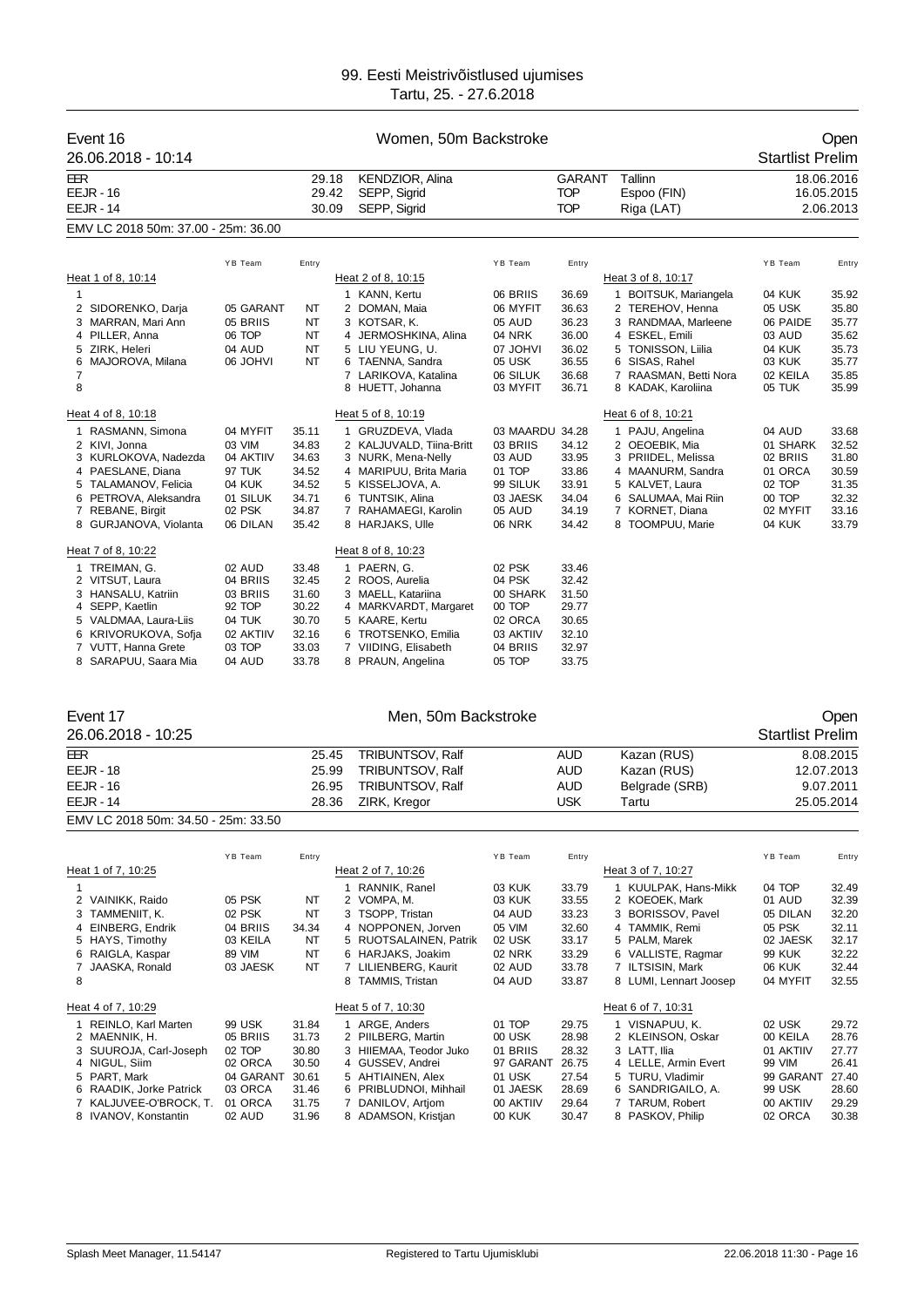| Event 16<br>26.06.2018 - 10:14              |                           |                         | Women, 50m Backstroke                           |                             |                                    |                                      | <b>Startlist Prelim</b>   | Open                                  |
|---------------------------------------------|---------------------------|-------------------------|-------------------------------------------------|-----------------------------|------------------------------------|--------------------------------------|---------------------------|---------------------------------------|
| EER<br><b>EEJR - 16</b><br><b>EEJR - 14</b> |                           | 29.18<br>29.42<br>30.09 | KENDZIOR, Alina<br>SEPP, Sigrid<br>SEPP, Sigrid |                             | GARANT<br><b>TOP</b><br><b>TOP</b> | Tallinn<br>Espoo (FIN)<br>Riga (LAT) |                           | 18.06.2016<br>16.05.2015<br>2.06.2013 |
| EMV LC 2018 50m: 37.00 - 25m: 36.00         |                           |                         |                                                 |                             |                                    |                                      |                           |                                       |
|                                             |                           |                         |                                                 |                             |                                    |                                      |                           |                                       |
| Heat 1 of 8, 10:14                          | YB Team                   | Entry                   | Heat 2 of 8, 10:15                              | YB Team                     | Entry                              | Heat 3 of 8, 10:17                   | YB Team                   | Entry                                 |
| $\mathbf{1}$                                |                           |                         | 1 KANN, Kertu                                   | 06 BRIIS                    | 36.69                              | 1 BOITSUK, Mariangela                | 04 KUK                    | 35.92                                 |
| 2 SIDORENKO, Darja                          | 05 GARANT                 | NT                      | 2 DOMAN, Maia                                   | 06 MYFIT                    | 36.63                              | 2 TEREHOV, Henna                     | 05 USK                    | 35.80                                 |
| 3 MARRAN, Mari Ann                          | 05 BRIIS                  | ΝT                      | 3 KOTSAR, K.                                    | 05 AUD                      | 36.23                              | 3 RANDMAA, Marleene                  | 06 PAIDE                  | 35.77                                 |
| 4 PILLER, Anna                              | 06 TOP                    | NT                      | 4 JERMOSHKINA, Alina                            | 04 NRK                      | 36.00                              | 4 ESKEL, Emili                       | 03 AUD                    | 35.62                                 |
| 5 ZIRK, Heleri<br>6 MAJOROVA, Milana        | 04 AUD<br><b>06 JOHVI</b> | NT<br>NT                | 5 LIU YEUNG, U.<br>6 TAENNA, Sandra             | 07 JOHVI<br>05 USK          | 36.02<br>36.55                     | 5 TONISSON, Liilia<br>6 SISAS, Rahel | 04 KUK<br>03 KUK          | 35.73<br>35.77                        |
| $\overline{7}$                              |                           |                         | 7 LARIKOVA, Katalina                            | 06 SILUK                    | 36.68                              | 7 RAASMAN, Betti Nora                | 02 KEILA                  | 35.85                                 |
| 8                                           |                           |                         | 8 HUETT, Johanna                                | 03 MYFIT                    | 36.71                              | 8 KADAK, Karoliina                   | 05 TUK                    | 35.99                                 |
| Heat 4 of 8, 10:18                          |                           |                         | Heat 5 of 8, 10:19                              |                             |                                    | Heat 6 of 8, 10:21                   |                           |                                       |
| 1 RASMANN, Simona                           | 04 MYFIT                  | 35.11                   | 1 GRUZDEVA, Vlada                               | 03 MAARDU 34.28             |                                    | 1 PAJU, Angelina                     | 04 AUD                    | 33.68                                 |
| 2 KIVI, Jonna                               | 03 VIM                    | 34.83                   | 2 KALJUVALD, Tiina-Britt                        | 03 BRIIS                    | 34.12                              | 2 OEOEBIK, Mia                       | 01 SHARK                  | 32.52                                 |
| 3 KURLOKOVA, Nadezda                        | 04 AKTIIV                 | 34.63                   | 3 NURK, Mena-Nelly                              | 03 AUD                      | 33.95                              | 3 PRIIDEL, Melissa                   | 02 BRIIS                  | 31.80                                 |
| 4 PAESLANE, Diana<br>5 TALAMANOV, Felicia   | 97 TUK<br>04 KUK          | 34.52<br>34.52          | 4 MARIPUU, Brita Maria<br>5 KISSELJOVA, A.      | 01 TOP<br>99 SILUK          | 33.86<br>33.91                     | 4 MAANURM, Sandra<br>5 KALVET, Laura | 01 ORCA<br>02 TOP         | 30.59<br>31.35                        |
| 6 PETROVA, Aleksandra                       | 01 SILUK                  | 34.71                   | 6 TUNTSIK, Alina                                | 03 JAESK                    | 34.04                              | 6 SALUMAA, Mai Riin                  | 00 TOP                    | 32.32                                 |
| 7 REBANE, Birgit                            | 02 PSK                    | 34.87                   | 7 RAHAMAEGI, Karolin                            | 05 AUD                      | 34.19                              | 7 KORNET, Diana                      | 02 MYFIT                  | 33.16                                 |
| 8 GURJANOVA, Violanta                       | 06 DILAN                  | 35.42                   | 8 HARJAKS, Ulle                                 | <b>06 NRK</b>               | 34.42                              | 8 TOOMPUU, Marie                     | 04 KUK                    | 33.79                                 |
| Heat 7 of 8, 10:22                          |                           |                         | Heat 8 of 8, 10:23                              |                             |                                    |                                      |                           |                                       |
| 1 TREIMAN, G.                               | 02 AUD                    | 33.48                   | 1 PAERN, G.                                     | 02 PSK                      | 33.46                              |                                      |                           |                                       |
| 2 VITSUT, Laura                             | 04 BRIIS                  | 32.45                   | 2 ROOS, Aurelia                                 | 04 PSK                      | 32.42                              |                                      |                           |                                       |
| 3 HANSALU, Katriin<br>4 SEPP, Kaetlin       | 03 BRIIS<br>92 TOP        | 31.60<br>30.22          | 3 MAELL, Katariina<br>4 MARKVARDT, Margaret     | 00 SHARK<br>00 TOP          | 31.50<br>29.77                     |                                      |                           |                                       |
| 5 VALDMAA, Laura-Liis                       | 04 TUK                    | 30.70                   | 5 KAARE, Kertu                                  | 02 ORCA                     | 30.65                              |                                      |                           |                                       |
| 6 KRIVORUKOVA, Sofja                        | 02 AKTIIV                 | 32.16                   | 6 TROTSENKO, Emilia                             | 03 AKTIIV                   | 32.10                              |                                      |                           |                                       |
| 7 VUTT, Hanna Grete                         | 03 TOP                    | 33.03                   | 7 VIIDING, Elisabeth                            | 04 BRIIS                    | 32.97                              |                                      |                           |                                       |
| 8 SARAPUU, Saara Mia                        | 04 AUD                    | 33.78                   | 8 PRAUN, Angelina                               | 05 TOP                      | 33.75                              |                                      |                           |                                       |
| Event 17                                    |                           |                         | Men, 50m Backstroke                             |                             |                                    |                                      |                           | Open                                  |
| 26.06.2018 - 10:25                          |                           |                         |                                                 |                             |                                    |                                      | <b>Startlist Prelim</b>   |                                       |
| EER                                         |                           | 25.45                   | TRIBUNTSOV, Ralf                                |                             | AUD                                | Kazan (RUS)                          |                           | 8.08.2015                             |
| <b>EEJR - 18</b>                            |                           | 25.99                   | TRIBUNTSOV, Ralf                                |                             | <b>AUD</b>                         | Kazan (RUS)                          |                           | 12.07.2013                            |
| <b>EEJR - 16</b>                            |                           | 26.95                   | TRIBUNTSOV, Ralf                                |                             | AUD                                | Belgrade (SRB)                       |                           | 9.07.2011                             |
| <b>EEJR - 14</b>                            |                           | 28.36                   | ZIRK, Kregor                                    |                             | <b>USK</b>                         | Tartu                                |                           | 25.05.2014                            |
| EMV LC 2018 50m: 34.50 - 25m: 33.50         |                           |                         |                                                 |                             |                                    |                                      |                           |                                       |
|                                             |                           |                         |                                                 |                             |                                    |                                      |                           |                                       |
| Heat 1 of 7, 10:25                          | YB Team                   | Entry                   | Heat 2 of 7, 10:26                              | YB Team                     | Entry                              | Heat 3 of 7, 10:27                   | YB Team                   | Entry                                 |
| 1                                           |                           |                         | 1 RANNIK, Ranel                                 | 03 KUK                      | 33.79                              | 1 KUULPAK, Hans-Mikk                 | 04 TOP                    | 32.49                                 |
| 2 VAINIKK, Raido                            | 05 PSK                    | NT                      | 2 VOMPA, M.                                     | 03 KUK                      | 33.55                              | 2 KOEOEK, Mark                       | 01 AUD                    | 32.39                                 |
| 3 TAMMENIIT, K.                             | 02 PSK                    | ΝT                      | 3 TSOPP, Tristan                                | 04 AUD                      | 33.23                              | 3 BORISSOV, Pavel                    | 05 DILAN                  | 32.20                                 |
| 4 EINBERG, Endrik                           | 04 BRIIS                  | 34.34                   | 4 NOPPONEN, Jorven                              | 05 VIM                      | 32.60                              | 4 TAMMIK, Remi                       | 05 PSK                    | 32.11                                 |
| 5 HAYS, Timothy<br>6 RAIGLA, Kaspar         | 03 KEILA<br><b>89 VIM</b> | NT<br>NT                | 5 RUOTSALAINEN, Patrik<br>6 HARJAKS, Joakim     | 02 USK<br><b>02 NRK</b>     | 33.17<br>33.29                     | 5 PALM, Marek<br>6 VALLISTE, Ragmar  | 02 JAESK<br><b>99 KUK</b> | 32.17<br>32.22                        |
| 7<br>JAASKA, Ronald                         | 03 JAESK                  | NT                      | 7 LILIENBERG, Kaurit                            | 02 AUD                      | 33.78                              | 7 ILTSISIN, Mark                     | 06 KUK                    | 32.44                                 |
| 8                                           |                           |                         | 8 TAMMIS, Tristan                               | 04 AUD                      | 33.87                              | 8 LUMI, Lennart Joosep               | 04 MYFIT                  | 32.55                                 |
| Heat 4 of 7, 10:29                          |                           |                         | Heat 5 of 7, 10:30                              |                             |                                    | Heat 6 of 7, 10:31                   |                           |                                       |
| 1 REINLO, Karl Marten                       | 99 USK                    | 31.84                   | 1 ARGE, Anders                                  | 01 TOP                      | 29.75                              | 1 VISNAPUU, K.                       | 02 USK                    | 29.72                                 |
| 2 MAENNIK, H.                               | 05 BRIIS                  | 31.73                   | 2 PIILBERG, Martin                              | 00 USK                      | 28.98                              | 2 KLEINSON, Oskar                    | 00 KEILA                  | 28.76                                 |
| 3 SUUROJA, Carl-Joseph<br>4 NIGUL, Siim     | 02 TOP<br>02 ORCA         | 30.80<br>30.50          | 3 HIIEMAA, Teodor Juko<br>4 GUSSEV, Andrei      | 01 BRIIS<br>97 GARANT 26.75 | 28.32                              | 3 LATT, Ilia<br>4 LELLE, Armin Evert | 01 AKTIIV<br>99 VIM       | 27.77<br>26.41                        |
| 5 PART, Mark                                | 04 GARANT                 | 30.61                   | 5 AHTIAINEN, Alex                               | 01 USK                      | 27.54                              | 5 TURU, Vladimir                     | 99 GARANT                 | 27.40                                 |
| 6 RAADIK, Jorke Patrick                     | 03 ORCA                   | 31.46                   | 6 PRIBLUDNOI, Mihhail                           | 01 JAESK                    | 28.69                              | 6 SANDRIGAILO, A.                    | 99 USK                    | 28.60                                 |
| 7 KALJUVEE-O'BROCK, T.                      | 01 ORCA                   | 31.75                   | 7 DANILOV, Artjom                               | 00 AKTIIV                   | 29.64                              | 7 TARUM, Robert                      | 00 AKTIIV                 | 29.29                                 |

IVANOV, Konstantin 02 AUD 31.96 8 ADAMSON, Kristjan 00 KUK 30.47 8 PASKOV, Philip 02 ORCA 30.38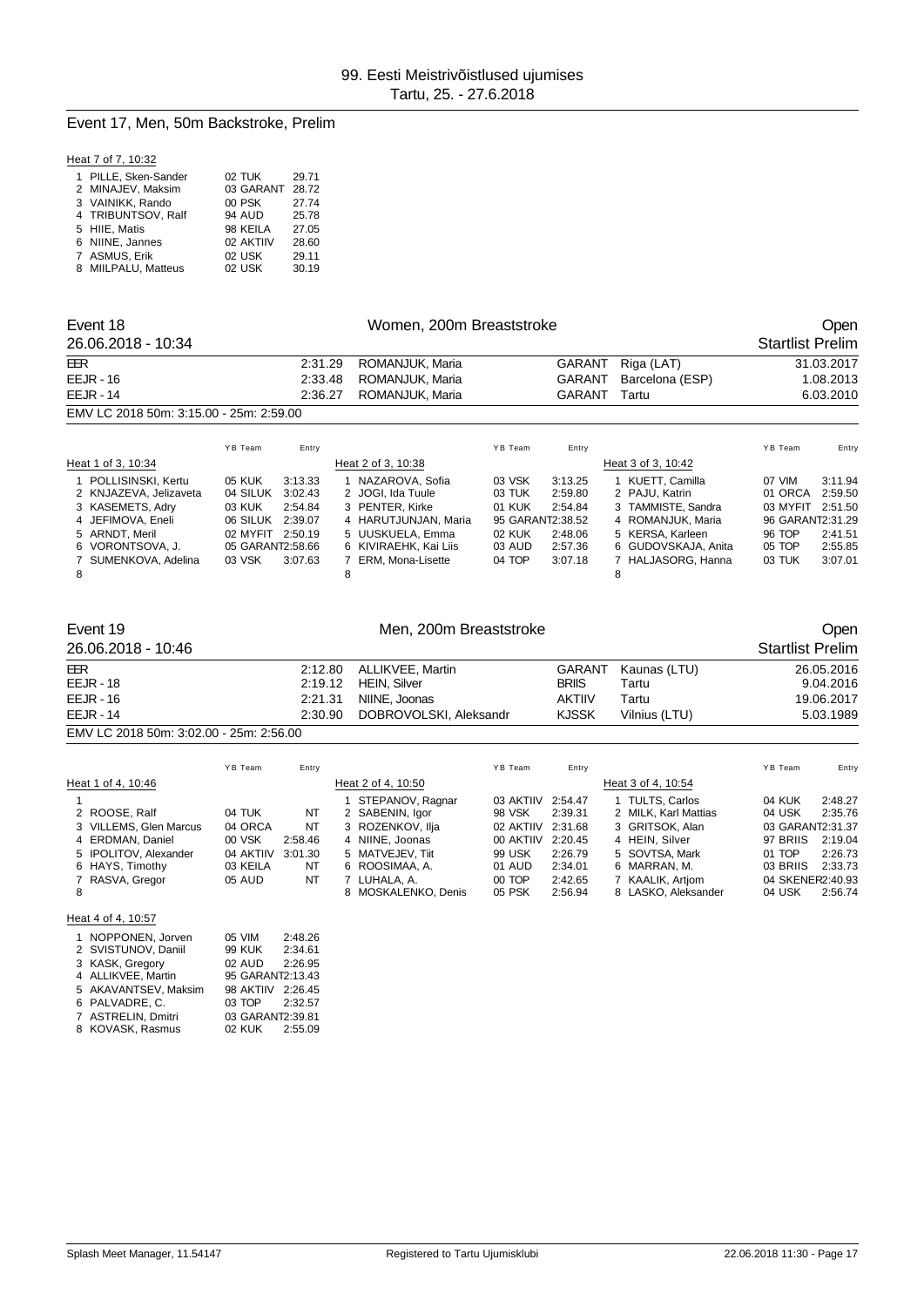#### Event 17, Men, 50m Backstroke, Prelim

#### Heat 7 of 7, 10:32

| 1 PILLE, Sken-Sander | 02 TUK        |           | 29.71 |
|----------------------|---------------|-----------|-------|
| 2 MINAJEV, Maksim    |               | 03 GARANT | 28.72 |
| 3 VAINIKK, Rando     | 00 PSK        |           | 27.74 |
| 4 TRIBUNTSOV, Ralf   | <b>94 AUD</b> |           | 25.78 |
| 5 HIIE. Matis        |               | 98 KEILA  | 27.05 |
| 6 NIINE, Jannes      |               | 02 AKTIIV | 28.60 |
| 7 ASMUS, Erik        | 02 USK        |           | 29.11 |
| 8 MIILPALU, Matteus  | 02 USK        |           | 30.19 |

| Event 18                                                                                |                                          |                                          | Women, 200m Breaststroke |                                                                                   |                            |                                                   |   |                                                                               |                                                   | Open                          |
|-----------------------------------------------------------------------------------------|------------------------------------------|------------------------------------------|--------------------------|-----------------------------------------------------------------------------------|----------------------------|---------------------------------------------------|---|-------------------------------------------------------------------------------|---------------------------------------------------|-------------------------------|
| 26.06.2018 - 10:34                                                                      |                                          |                                          |                          |                                                                                   |                            |                                                   |   |                                                                               | <b>Startlist Prelim</b>                           |                               |
| EER                                                                                     |                                          | 2:31.29                                  |                          | ROMANJUK, Maria                                                                   |                            | <b>GARANT</b>                                     |   | Riga (LAT)                                                                    |                                                   | 31.03.2017                    |
| $EEJR - 16$                                                                             |                                          | 2:33.48                                  |                          | ROMANJUK, Maria                                                                   |                            | <b>GARANT</b>                                     |   | Barcelona (ESP)                                                               |                                                   | 1.08.2013                     |
| <b>EEJR - 14</b>                                                                        |                                          | 2:36.27                                  |                          | ROMANJUK, Maria                                                                   | <b>GARANT</b><br>Tartu     |                                                   |   |                                                                               | 6.03.2010                                         |                               |
| EMV LC 2018 50m: 3:15.00 - 25m: 2:59.00                                                 |                                          |                                          |                          |                                                                                   |                            |                                                   |   |                                                                               |                                                   |                               |
|                                                                                         | YB Team                                  | Entry                                    |                          |                                                                                   | YB Team                    | Entry                                             |   |                                                                               | YB Team                                           | Entry                         |
| Heat 1 of 3, 10:34                                                                      |                                          |                                          |                          | Heat 2 of 3, 10:38                                                                |                            |                                                   |   | Heat 3 of 3, 10:42                                                            |                                                   |                               |
| 1 POLLISINSKI, Kertu<br>2 KNJAZEVA, Jelizaveta<br>3 KASEMETS, Adry<br>4 JEFIMOVA, Eneli | 05 KUK<br>04 SILUK<br>03 KUK<br>06 SILUK | 3:13.33<br>3:02.43<br>2:54.84<br>2:39.07 |                          | 1 NAZAROVA, Sofia<br>2 JOGI, Ida Tuule<br>3 PENTER, Kirke<br>4 HARUTJUNJAN, Maria | 03 VSK<br>03 TUK<br>01 KUK | 3:13.25<br>2:59.80<br>2:54.84<br>95 GARANT2:38.52 |   | 1 KUETT, Camilla<br>2 PAJU, Katrin<br>3 TAMMISTE, Sandra<br>4 ROMANJUK, Maria | 07 VIM<br>01 ORCA<br>03 MYFIT<br>96 GARANT2:31.29 | 3:11.94<br>2:59.50<br>2:51.50 |
| 5 ARNDT, Meril<br>6 VORONTSOVA, J.<br>7 SUMENKOVA, Adelina<br>8                         | 02 MYFIT<br>05 GARANT2:58.66<br>03 VSK   | 2:50.19<br>3:07.63                       | 8                        | 5 UUSKUELA, Emma<br>6 KIVIRAEHK, Kai Liis<br>ERM, Mona-Lisette                    | 02 KUK<br>03 AUD<br>04 TOP | 2:48.06<br>2:57.36<br>3:07.18                     | 8 | 5 KERSA, Karleen<br>6 GUDOVSKAJA, Anita<br>7 HALJASORG, Hanna                 | 96 TOP<br>05 TOP<br>03 TUK                        | 2:41.51<br>2:55.85<br>3:07.01 |

|         |               |                                                            |                        | Open<br><b>Startlist Prelim</b> |
|---------|---------------|------------------------------------------------------------|------------------------|---------------------------------|
| 2:12.80 |               | GARANT                                                     | Kaunas (LTU)           | 26.05.2016                      |
| 2:19.12 |               | <b>BRIIS</b>                                               | Tartu                  | 9.04.2016                       |
| 2:21.31 | NIINE, Joonas | <b>AKTIIV</b>                                              | Tartu                  | 19.06.2017                      |
| 2:30.90 |               | <b>KJSSK</b>                                               | Vilnius (LTU)          | 5.03.1989                       |
|         |               | ALLIKVEE, Martin<br>HEIN. Silver<br>DOBROVOLSKI, Aleksandr | Men, 200m Breaststroke |                                 |

EMV LC 2018 50m: 3:02.00 - 25m: 2:56.00

|                                                                                                                                 | YB Team                                                        | Entry                                      |                                                                                                                                                         | YB Team                                                                               | Entry                                                                                |                                                                                                                                                           | YB Team                                                                                              | Entry                                                          |
|---------------------------------------------------------------------------------------------------------------------------------|----------------------------------------------------------------|--------------------------------------------|---------------------------------------------------------------------------------------------------------------------------------------------------------|---------------------------------------------------------------------------------------|--------------------------------------------------------------------------------------|-----------------------------------------------------------------------------------------------------------------------------------------------------------|------------------------------------------------------------------------------------------------------|----------------------------------------------------------------|
| Heat 1 of 4, 10:46                                                                                                              |                                                                |                                            | Heat 2 of 4, 10:50                                                                                                                                      |                                                                                       |                                                                                      | Heat 3 of 4, 10:54                                                                                                                                        |                                                                                                      |                                                                |
| 2 ROOSE, Ralf<br>3 VILLEMS, Glen Marcus<br>4 ERDMAN, Daniel<br>5 IPOLITOV, Alexander<br>6 HAYS, Timothy<br>7 RASVA, Gregor<br>8 | 04 TUK<br>04 ORCA<br>00 VSK<br>04 AKTIIV<br>03 KEILA<br>05 AUD | NT<br>NT<br>2:58.46<br>3:01.30<br>NT<br>NT | STEPANOV, Ragnar<br>2 SABENIN, Igor<br>3 ROZENKOV, Ilia<br>4 NIINE, Joonas<br>5 MATVEJEV. Tiit<br>6 ROOSIMAA, A.<br>7 LUHALA, A.<br>8 MOSKALENKO, Denis | 03 AKTIIV<br>98 VSK<br>02 AKTIIV<br>00 AKTIIV<br>99 USK<br>01 AUD<br>00 TOP<br>05 PSK | 2:54.47<br>2:39.31<br>2:31.68<br>2:20.45<br>2:26.79<br>2:34.01<br>2:42.65<br>2:56.94 | 1 TULTS, Carlos<br>2 MILK, Karl Mattias<br>3 GRITSOK, Alan<br>4 HEIN, Silver<br>5 SOVTSA, Mark<br>6 MARRAN. M.<br>7 KAALIK, Artiom<br>8 LASKO, Aleksander | 04 KUK<br>04 USK<br>03 GARANT2:31.37<br>97 BRIIS<br>01 TOP<br>03 BRIIS<br>04 SKENER2:40.93<br>04 USK | 2:48.27<br>2:35.76<br>2:19.04<br>2:26.73<br>2:33.73<br>2:56.74 |

#### Heat 4 of 4, 10:57

| 1 NOPPONEN, Jorven   | 05 VIM<br>2:48.26 |
|----------------------|-------------------|
| 2 SVISTUNOV, Daniil  | 99 KUK<br>2:34.61 |
| 3 KASK, Gregory      | 02 AUD 2:26.95    |
| 4 ALLIKVEE, Martin   | 95 GARANT2:13.43  |
| 5 AKAVANTSEV. Maksim | 98 AKTIIV 2:26.45 |
| 6 PALVADRE.C.        | 03 TOP 2:32.57    |
| 7 ASTRELIN, Dmitri   | 03 GARANT2:39.81  |
| 8 KOVASK, Rasmus     | 02 KUK 2:55.09    |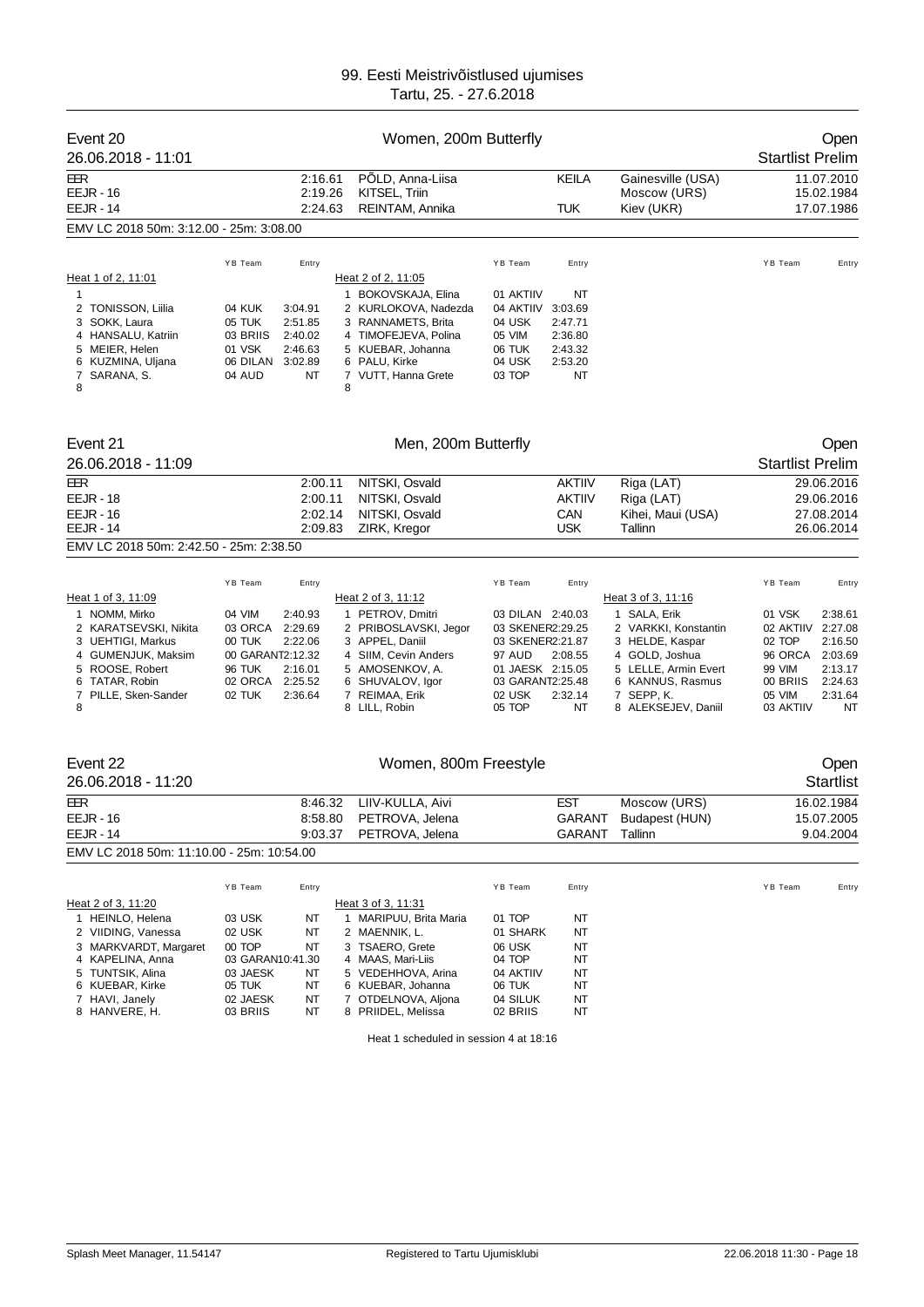| Event 20<br>26.06.2018 - 11:01                                                                                                                                                      |                                                                                                         |                                                                         |   | Women, 200m Butterfly                                                                                                                                                                         |                                                                                                                                           |                                                                 |                                                                                                                                                                                  | <b>Startlist Prelim</b>                                                                          | Open                                                                                     |
|-------------------------------------------------------------------------------------------------------------------------------------------------------------------------------------|---------------------------------------------------------------------------------------------------------|-------------------------------------------------------------------------|---|-----------------------------------------------------------------------------------------------------------------------------------------------------------------------------------------------|-------------------------------------------------------------------------------------------------------------------------------------------|-----------------------------------------------------------------|----------------------------------------------------------------------------------------------------------------------------------------------------------------------------------|--------------------------------------------------------------------------------------------------|------------------------------------------------------------------------------------------|
| EER<br><b>EEJR - 16</b><br><b>EEJR - 14</b>                                                                                                                                         |                                                                                                         | 2:16.61<br>2:19.26<br>2:24.63                                           |   | PÖLD, Anna-Liisa<br>KITSEL, Triin<br>REINTAM, Annika                                                                                                                                          |                                                                                                                                           | KEILA<br>TUK                                                    | Gainesville (USA)<br>Moscow (URS)<br>Kiev (UKR)                                                                                                                                  |                                                                                                  | 11.07.2010<br>15.02.1984<br>17.07.1986                                                   |
| EMV LC 2018 50m: 3:12.00 - 25m: 3:08.00                                                                                                                                             |                                                                                                         |                                                                         |   |                                                                                                                                                                                               |                                                                                                                                           |                                                                 |                                                                                                                                                                                  |                                                                                                  |                                                                                          |
| Heat 1 of 2, 11:01                                                                                                                                                                  | YB Team                                                                                                 | Entry                                                                   |   | Heat 2 of 2, 11:05                                                                                                                                                                            | YB Team                                                                                                                                   | Entry                                                           |                                                                                                                                                                                  | YB Team                                                                                          | Entry                                                                                    |
| 1<br>2 TONISSON, Liilia<br>3 SOKK, Laura<br>4 HANSALU, Katriin<br>5 MEIER, Helen<br>6 KUZMINA, Uljana<br>SARANA, S.<br>7<br>8                                                       | 04 KUK<br>05 TUK<br>03 BRIIS<br>01 VSK<br>06 DILAN<br>04 AUD                                            | 3:04.91<br>2:51.85<br>2:40.02<br>2:46.63<br>3:02.89<br>NT               | 8 | 1 BOKOVSKAJA, Elina<br>2 KURLOKOVA, Nadezda<br>3 RANNAMETS, Brita<br>4 TIMOFEJEVA, Polina<br>5 KUEBAR, Johanna<br>6 PALU, Kirke<br>7 VUTT, Hanna Grete                                        | 01 AKTIIV<br>04 AKTIIV<br>04 USK<br>05 VIM<br>06 TUK<br>04 USK<br>03 TOP                                                                  | NT<br>3:03.69<br>2:47.71<br>2:36.80<br>2:43.32<br>2:53.20<br>NT |                                                                                                                                                                                  |                                                                                                  |                                                                                          |
| Event 21                                                                                                                                                                            |                                                                                                         |                                                                         |   | Men, 200m Butterfly                                                                                                                                                                           |                                                                                                                                           |                                                                 |                                                                                                                                                                                  |                                                                                                  | Open                                                                                     |
| 26.06.2018 - 11:09                                                                                                                                                                  |                                                                                                         |                                                                         |   |                                                                                                                                                                                               |                                                                                                                                           |                                                                 |                                                                                                                                                                                  | <b>Startlist Prelim</b>                                                                          |                                                                                          |
| EER<br><b>EEJR - 18</b><br><b>EEJR - 16</b><br><b>EEJR - 14</b>                                                                                                                     |                                                                                                         | 2:00.11<br>2:00.11<br>2:02.14<br>2:09.83                                |   | NITSKI, Osvald<br>NITSKI, Osvald<br>NITSKI, Osvald<br>ZIRK, Kregor                                                                                                                            |                                                                                                                                           | AKTIIV<br>AKTIIV<br>CAN<br><b>USK</b>                           | Riga (LAT)<br>Riga (LAT)<br>Kihei, Maui (USA)<br>Tallinn                                                                                                                         |                                                                                                  | 29.06.2016<br>29.06.2016<br>27.08.2014<br>26.06.2014                                     |
| EMV LC 2018 50m: 2:42.50 - 25m: 2:38.50                                                                                                                                             |                                                                                                         |                                                                         |   |                                                                                                                                                                                               |                                                                                                                                           |                                                                 |                                                                                                                                                                                  |                                                                                                  |                                                                                          |
|                                                                                                                                                                                     |                                                                                                         |                                                                         |   |                                                                                                                                                                                               |                                                                                                                                           |                                                                 |                                                                                                                                                                                  |                                                                                                  |                                                                                          |
| Heat 1 of 3, 11:09<br>1 NOMM, Mirko<br>2 KARATSEVSKI, Nikita<br>3 UEHTIGI, Markus<br>4 GUMENJUK, Maksim<br>5 ROOSE, Robert<br>6 TATAR, Robin<br>7 PILLE, Sken-Sander<br>8           | YB Team<br>04 VIM<br>03 ORCA<br>00 TUK<br>00 GARANT2:12.32<br><b>96 TUK</b><br>02 ORCA<br>02 TUK        | Entry<br>2:40.93<br>2:29.69<br>2:22.06<br>2:16.01<br>2:25.52<br>2:36.64 |   | Heat 2 of 3, 11:12<br>1 PETROV, Dmitri<br>2 PRIBOSLAVSKI, Jegor<br>3 APPEL, Daniil<br>4 SIIM, Cevin Anders<br>5 AMOSENKOV, A.<br>6 SHUVALOV, Igor<br>7 REIMAA, Erik<br>8 LILL, Robin          | YB Team<br>03 DILAN 2:40.03<br>03 SKENER2:29.25<br>03 SKENER2:21.87<br>97 AUD<br>01 JAESK 2:15.05<br>03 GARANT2:25.48<br>02 USK<br>05 TOP | Entry<br>2:08.55<br>2:32.14<br>NT                               | Heat 3 of 3, 11:16<br>1 SALA, Erik<br>2 VARKKI, Konstantin<br>3 HELDE, Kaspar<br>4 GOLD, Joshua<br>5 LELLE, Armin Evert<br>6 KANNUS, Rasmus<br>7 SEPP, K.<br>8 ALEKSEJEV, Daniil | YB Team<br>01 VSK<br>02 AKTIIV<br>02 TOP<br>96 ORCA<br>99 VIM<br>00 BRIIS<br>05 VIM<br>03 AKTIIV | Entry<br>2:38.61<br>2:27.08<br>2:16.50<br>2:03.69<br>2:13.17<br>2:24.63<br>2:31.64<br>NT |
| Event 22<br>26.06.2018 - 11:20                                                                                                                                                      |                                                                                                         |                                                                         |   | Women, 800m Freestyle                                                                                                                                                                         |                                                                                                                                           |                                                                 |                                                                                                                                                                                  |                                                                                                  | Open<br><b>Startlist</b>                                                                 |
| EER<br><b>EEJR - 16</b><br><b>EEJR - 14</b>                                                                                                                                         |                                                                                                         | 8:46.32<br>8:58.80<br>9:03.37                                           |   | LIIV-KULLA, Aivi<br>PETROVA, Jelena<br>PETROVA, Jelena                                                                                                                                        |                                                                                                                                           | <b>EST</b><br>GARANT                                            | Moscow (URS)<br>GARANT Budapest (HUN)<br>Tallinn                                                                                                                                 |                                                                                                  | 16.02.1984<br>15.07.2005<br>9.04.2004                                                    |
| EMV LC 2018 50m: 11:10.00 - 25m: 10:54.00                                                                                                                                           |                                                                                                         |                                                                         |   |                                                                                                                                                                                               |                                                                                                                                           |                                                                 |                                                                                                                                                                                  |                                                                                                  |                                                                                          |
| Heat 2 of 3, 11:20<br>1 HEINLO, Helena<br>2 VIIDING, Vanessa<br>3 MARKVARDT, Margaret<br>4 KAPELINA, Anna<br>5 TUNTSIK, Alina<br>6 KUEBAR, Kirke<br>7 HAVI, Janely<br>8 HANVERE, H. | YB Team<br>03 USK<br>02 USK<br>00 TOP<br>03 GARAN10:41.30<br>03 JAESK<br>05 TUK<br>02 JAESK<br>03 BRIIS | Entry<br>NT<br>NT<br>NT<br>NΤ<br>NT<br>NT<br>NT                         |   | Heat 3 of 3, 11:31<br>1 MARIPUU, Brita Maria<br>2 MAENNIK, L.<br>3 TSAERO, Grete<br>4 MAAS, Mari-Liis<br>5 VEDEHHOVA, Arina<br>6 KUEBAR, Johanna<br>7 OTDELNOVA, Aljona<br>8 PRIIDEL, Melissa | YB Team<br>01 TOP<br>01 SHARK<br>06 USK<br>04 TOP<br>04 AKTIIV<br>06 TUK<br>04 SILUK<br>02 BRIIS                                          | Entry<br>NT<br>NT<br>NT<br>NT<br>NT<br>NT<br>NT<br>NT           |                                                                                                                                                                                  | YB Team                                                                                          | Entry                                                                                    |

Heat 1 scheduled in session 4 at 18:16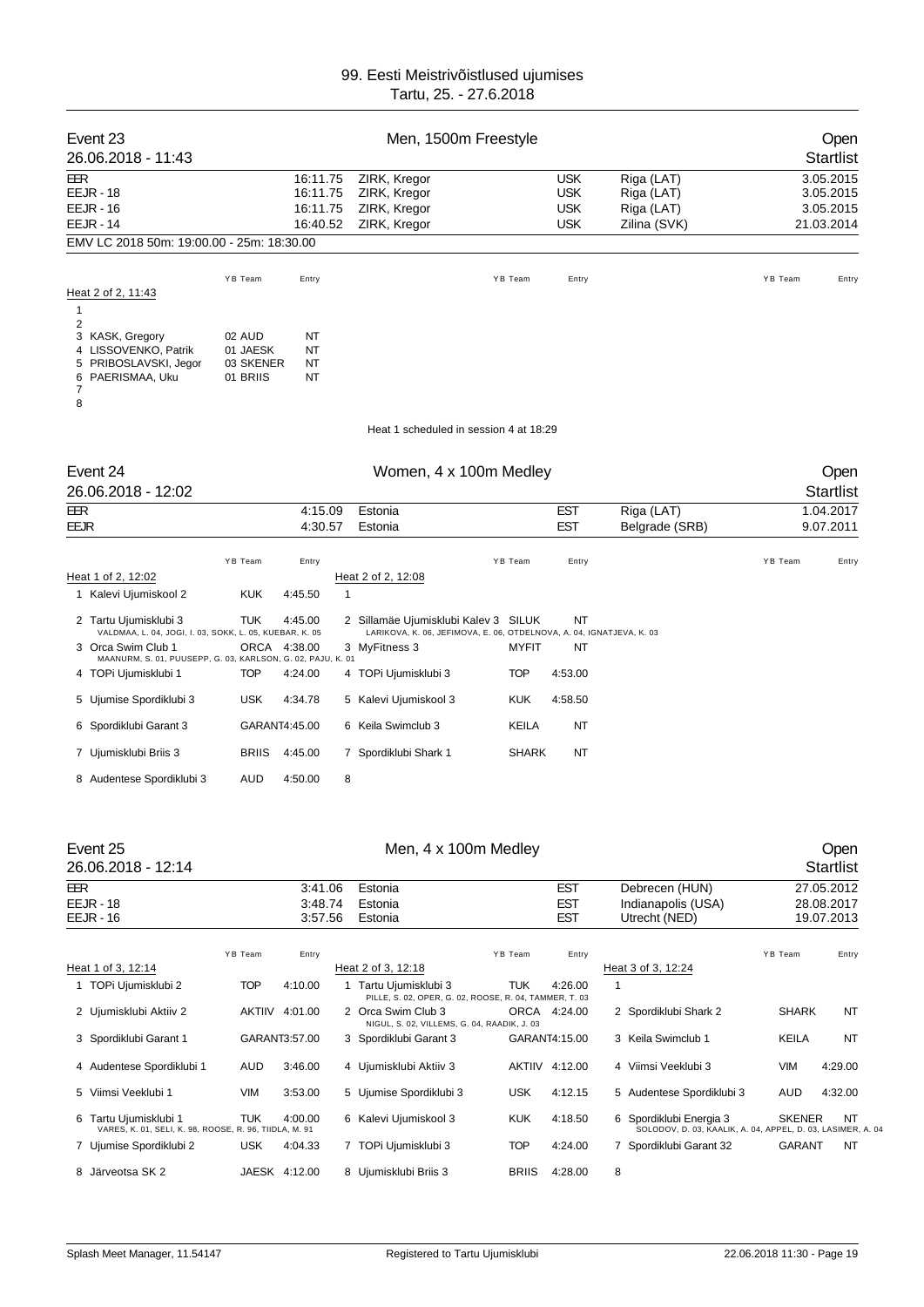| Event 23<br>26.06.2018 - 11:43                                                                                                                                        |                                             |                                              | Men, 1500m Freestyle                                                                                                          |               |                                                      |                                                        |              | Open<br><b>Startlist</b>                          |
|-----------------------------------------------------------------------------------------------------------------------------------------------------------------------|---------------------------------------------|----------------------------------------------|-------------------------------------------------------------------------------------------------------------------------------|---------------|------------------------------------------------------|--------------------------------------------------------|--------------|---------------------------------------------------|
| EER<br>EEJR - 18<br><b>EEJR - 16</b><br><b>EEJR - 14</b>                                                                                                              |                                             | 16:11.75<br>16:11.75<br>16:11.75<br>16:40.52 | ZIRK, Kregor<br>ZIRK, Kregor<br>ZIRK, Kregor<br>ZIRK, Kregor                                                                  |               | <b>USK</b><br><b>USK</b><br><b>USK</b><br><b>USK</b> | Riga (LAT)<br>Riga (LAT)<br>Riga (LAT)<br>Zilina (SVK) |              | 3.05.2015<br>3.05.2015<br>3.05.2015<br>21.03.2014 |
| EMV LC 2018 50m: 19:00.00 - 25m: 18:30.00                                                                                                                             |                                             |                                              |                                                                                                                               |               |                                                      |                                                        |              |                                                   |
|                                                                                                                                                                       | YB Team                                     |                                              |                                                                                                                               | YB Team       |                                                      |                                                        |              |                                                   |
| Heat 2 of 2, 11:43<br>1                                                                                                                                               |                                             | Entry                                        |                                                                                                                               |               | Entry                                                |                                                        | YB Team      | Entry                                             |
| 2<br>3 KASK, Gregory<br>4 LISSOVENKO, Patrik<br>5 PRIBOSLAVSKI, Jegor<br>6 PAERISMAA, Uku<br>7<br>8                                                                   | 02 AUD<br>01 JAESK<br>03 SKENER<br>01 BRIIS | NT<br>NT<br>NT<br>NT                         |                                                                                                                               |               |                                                      |                                                        |              |                                                   |
|                                                                                                                                                                       |                                             |                                              | Heat 1 scheduled in session 4 at 18:29                                                                                        |               |                                                      |                                                        |              |                                                   |
| Event 24<br>26.06.2018 - 12:02                                                                                                                                        |                                             |                                              | Women, 4 x 100m Medley                                                                                                        |               |                                                      |                                                        |              | Open<br><b>Startlist</b>                          |
| EER<br>EEJR                                                                                                                                                           |                                             | 4:15.09<br>4:30.57                           | Estonia<br>Estonia                                                                                                            |               | <b>EST</b><br><b>EST</b>                             | Riga (LAT)<br>Belgrade (SRB)                           |              | 1.04.2017<br>9.07.2011                            |
| Heat 1 of 2, 12:02<br>1 Kalevi Ujumiskool 2                                                                                                                           | YB Team<br>KUK                              | Entry<br>4:45.50                             | Heat 2 of 2, 12:08<br>$\mathbf{1}$                                                                                            | YB Team       | Entry                                                |                                                        | YB Team      | Entry                                             |
| 2 Tartu Ujumisklubi 3<br>VALDMAA, L. 04, JOGI, I. 03, SOKK, L. 05, KUEBAR, K. 05<br>3 Orca Swim Club 1<br>MAANURM, S. 01, PUUSEPP, G. 03, KARLSON, G. 02, PAJU, K. 01 | <b>TUK</b><br>ORCA                          | 4:45.00<br>4:38.00                           | 2 Sillamäe Ujumisklubi Kalev 3 SILUK<br>LARIKOVA, K. 06, JEFIMOVA, E. 06, OTDELNOVA, A. 04, IGNATJEVA, K. 03<br>3 MyFitness 3 | MYFIT         | NT<br>ΝT                                             |                                                        |              |                                                   |
| 4 TOPi Ujumisklubi 1                                                                                                                                                  | <b>TOP</b>                                  | 4:24.00                                      | 4 TOPi Ujumisklubi 3                                                                                                          | <b>TOP</b>    | 4:53.00                                              |                                                        |              |                                                   |
| 5 Ujumise Spordiklubi 3                                                                                                                                               | USK                                         | 4:34.78                                      | 5 Kalevi Ujumiskool 3                                                                                                         | <b>KUK</b>    | 4:58.50                                              |                                                        |              |                                                   |
| 6 Spordiklubi Garant 3                                                                                                                                                | GARANT4:45.00                               |                                              | 6 Keila Swimclub 3                                                                                                            | KEILA         | ΝT                                                   |                                                        |              |                                                   |
| 7 Ujumisklubi Briis 3                                                                                                                                                 | <b>BRIIS</b>                                | 4:45.00                                      | 7 Spordiklubi Shark 1                                                                                                         | <b>SHARK</b>  | NT                                                   |                                                        |              |                                                   |
| 8 Audentese Spordiklubi 3                                                                                                                                             | AUD                                         | 4:50.00                                      | 8                                                                                                                             |               |                                                      |                                                        |              |                                                   |
| Event 25<br>26.06.2018 - 12:14                                                                                                                                        |                                             |                                              | Men, 4 x 100m Medley                                                                                                          |               |                                                      |                                                        |              | Open<br><b>Startlist</b>                          |
| EER<br>EEJR - 18<br>EEJR - 16                                                                                                                                         |                                             | 3:41.06<br>3:48.74<br>3:57.56                | Estonia<br>Estonia<br>Estonia                                                                                                 |               | <b>EST</b><br><b>EST</b><br>EST                      | Debrecen (HUN)<br>Indianapolis (USA)<br>Utrecht (NED)  |              | 27.05.2012<br>28.08.2017<br>19.07.2013            |
|                                                                                                                                                                       | YB Team                                     | Entry                                        |                                                                                                                               | YB Team       | Entry                                                |                                                        | YB Team      | Entry                                             |
| Heat 1 of 3, 12:14<br>1 TOPi Ujumisklubi 2                                                                                                                            | <b>TOP</b>                                  | 4:10.00                                      | Heat 2 of 3, 12:18<br>1 Tartu Ujumisklubi 3                                                                                   | <b>TUK</b>    | 4:26.00                                              | Heat 3 of 3, 12:24<br>1                                |              |                                                   |
| 2 Ujumisklubi Aktiiv 2                                                                                                                                                | AKTIIV 4:01.00                              |                                              | PILLE, S. 02, OPER, G. 02, ROOSE, R. 04, TAMMER, T. 03<br>2 Orca Swim Club 3                                                  | ORCA          | 4:24.00                                              | 2 Spordiklubi Shark 2                                  | SHARK        | NT                                                |
| 3 Spordiklubi Garant 1                                                                                                                                                | GARANT3:57.00                               |                                              | NIGUL, S. 02, VILLEMS, G. 04, RAADIK, J. 03<br>3 Spordiklubi Garant 3                                                         | GARANT4:15.00 |                                                      | 3 Keila Swimclub 1                                     | <b>KEILA</b> | NT                                                |

4 Audentese Spordiklubi 1 AUD 3:46.00 4 Ujumisklubi Aktiiv 3 AKTIIV 4:12.00 4 Viimsi Veeklubi 3 VIM 4:29.00 5 Viimsi Veeklubi 1 VIM 3:53.00 5 Ujumise Spordiklubi 3 USK 4:12.15 5 Audentese Spordiklubi 3 AUD 4:32.00

7 Ujumise Spordiklubi 2 USK 4:04.33 7 TOPi Ujumisklubi 3 TOP 4:24.00 7 Spordiklubi Garant 32 GARANT NT

6 Tartu Ujumisklubi 1 TUK 4:00.00 6 Kalevi Ujumiskool 3 KUK 4:18.50 VARES, K. 01, SELI, K. 98, ROOSE, R. 96, TIIDLA, M. 91

8 Järveotsa SK 2 JAESK 4:12.00 8 Ujumisklubi Briis 3 BRIIS 4:28.00 8

6 Spordiklubi Energia 3 SKENER NT<br>SOLODOV, D. 03, KAALIK, A. 04, APPEL, D. 03, LASIMER, A. 04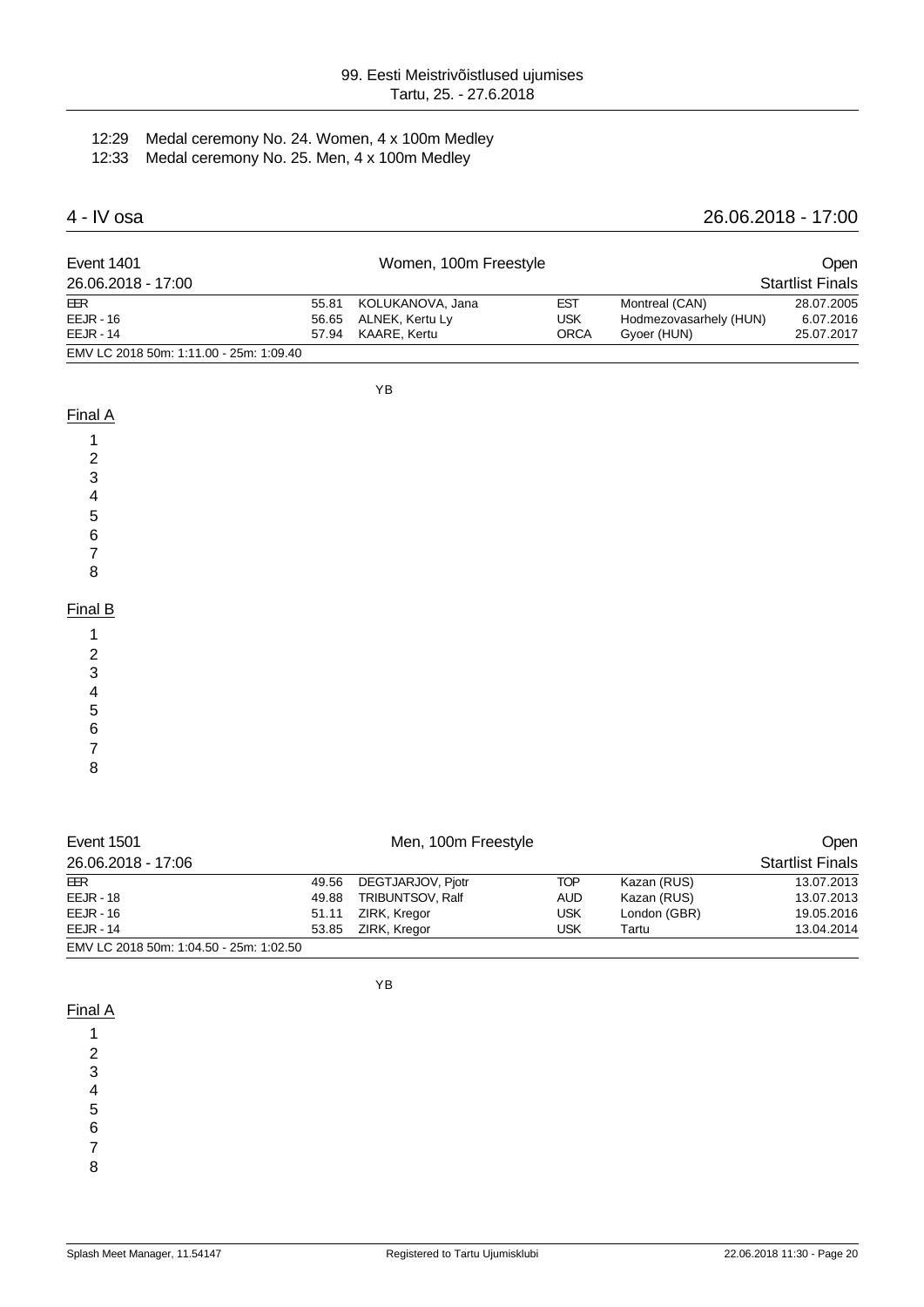#### 12:29 Medal ceremony No. 24. Women, 4 x 100m Medley 12:33 Medal ceremony No. 25. Men, 4 x 100m Medley

## 4 - IV osa 26.06.2018 - 17:00

| Event 1401                              |       | Women, 100m Freestyle |             | <b>Open</b>            |                         |
|-----------------------------------------|-------|-----------------------|-------------|------------------------|-------------------------|
| 26.06.2018 - 17:00                      |       |                       |             |                        | <b>Startlist Finals</b> |
| EER                                     | 55.81 | KOLUKANOVA, Jana      | <b>EST</b>  | Montreal (CAN)         | 28.07.2005              |
| $EEJR - 16$                             | 56.65 | ALNEK, Kertu Ly       | USK         | Hodmezovasarhely (HUN) | 6.07.2016               |
| $EELIR - 14$                            |       | 57.94 KAARE, Kertu    | <b>ORCA</b> | Gyoer (HUN)            | 25.07.2017              |
| EMV LC 2018 50m: 1:11.00 - 25m: 1:09.40 |       |                       |             |                        |                         |

YB

#### Final A

- 1
- 2
- 3
- 4
- 5
- 6
- 7
- 8

#### Final B

- 1
- 2
- 3 4
- 5
- 6
- 7
- 8

| <b>Event 1501</b>                       |       | Men, 100m Freestyle | <b>Open</b> |              |                         |
|-----------------------------------------|-------|---------------------|-------------|--------------|-------------------------|
| 26.06.2018 - 17:06                      |       |                     |             |              | <b>Startlist Finals</b> |
| EER                                     | 49.56 | DEGTJARJOV, Pjotr   | <b>TOP</b>  | Kazan (RUS)  | 13.07.2013              |
| <b>EEJR - 18</b>                        | 49.88 | TRIBUNTSOV, Ralf    | <b>AUD</b>  | Kazan (RUS)  | 13.07.2013              |
| $EEJR - 16$                             | 51.11 | ZIRK, Kregor        | <b>USK</b>  | London (GBR) | 19.05.2016              |
| <b>EEJR - 14</b>                        | 53.85 | ZIRK, Kregor        | USK         | Tartu        | 13.04.2014              |
| EMV LC 2018 50m: 1:04.50 - 25m: 1:02.50 |       |                     |             |              |                         |

YB

#### Final A

- 1
- 2
- 3
- 4
- 5
- 6
- 7
- 8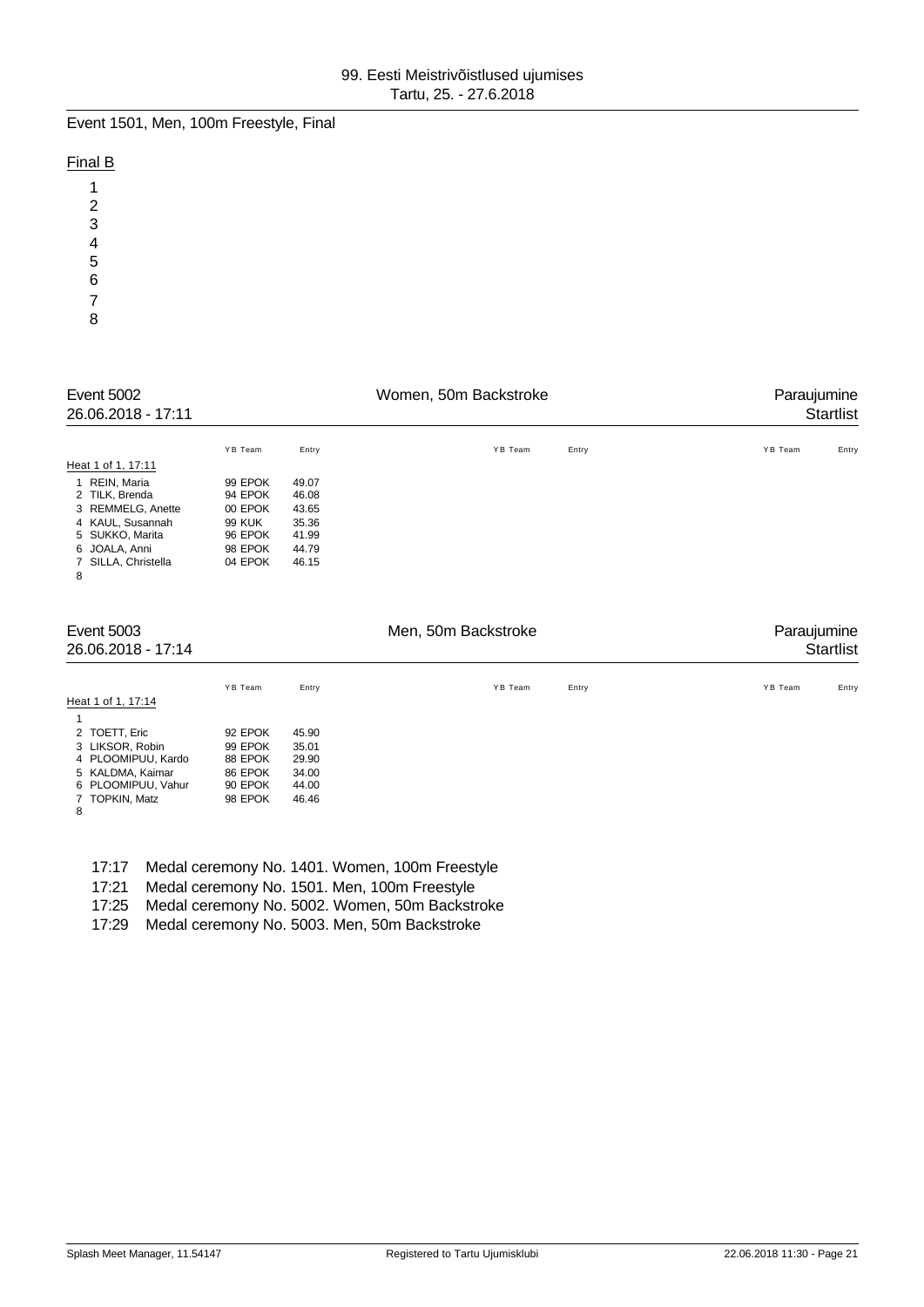Event 1501, Men, 100m Freestyle, Final

## Final B

| 1             |  |  |
|---------------|--|--|
|               |  |  |
| $\frac{2}{3}$ |  |  |
|               |  |  |
| 4<br>5        |  |  |
| 6             |  |  |
| 7             |  |  |
| 8             |  |  |

| Event 5002<br>26.06.2018 - 17:11                                                                                                                                                                                                                                                                                                   |                                                                                            |                                                                      | Women, 50m Backstroke |       | Paraujumine<br><b>Startlist</b> |
|------------------------------------------------------------------------------------------------------------------------------------------------------------------------------------------------------------------------------------------------------------------------------------------------------------------------------------|--------------------------------------------------------------------------------------------|----------------------------------------------------------------------|-----------------------|-------|---------------------------------|
| Heat 1 of 1, 17:11<br>REIN, Maria<br>$\mathbf{1}$<br>2 TILK, Brenda<br>3 REMMELG, Anette<br>4 KAUL, Susannah<br>5 SUKKO, Marita<br>6 JOALA, Anni<br>SILLA, Christella<br>7<br>8                                                                                                                                                    | YB Team<br>99 EPOK<br>94 EPOK<br>00 EPOK<br><b>99 KUK</b><br>96 EPOK<br>98 EPOK<br>04 EPOK | Entry<br>49.07<br>46.08<br>43.65<br>35.36<br>41.99<br>44.79<br>46.15 | YB Team               | Entry | YB Team<br>Entry                |
| <b>Event 5003</b><br>26.06.2018 - 17:14                                                                                                                                                                                                                                                                                            |                                                                                            |                                                                      | Men, 50m Backstroke   |       | Paraujumine<br><b>Startlist</b> |
| $\mathbf{1}$ $\mathbf{1}$ $\mathbf{1}$ $\mathbf{1}$ $\mathbf{1}$ $\mathbf{1}$ $\mathbf{1}$ $\mathbf{1}$ $\mathbf{1}$ $\mathbf{1}$ $\mathbf{1}$ $\mathbf{1}$ $\mathbf{1}$ $\mathbf{1}$ $\mathbf{1}$ $\mathbf{1}$ $\mathbf{1}$ $\mathbf{1}$ $\mathbf{1}$ $\mathbf{1}$ $\mathbf{1}$ $\mathbf{1}$ $\mathbf{1}$ $\mathbf{1}$ $\mathbf{$ | YB Team                                                                                    | Entry                                                                | YB Team               | Entry | YB Team<br>Entry                |

|                    | YB Team | Entry | YB Team | Entry | YB Team | Entry |
|--------------------|---------|-------|---------|-------|---------|-------|
| Heat 1 of 1, 17:14 |         |       |         |       |         |       |
|                    |         |       |         |       |         |       |
| 2 TOETT, Eric      | 92 EPOK | 45.90 |         |       |         |       |
| 3 LIKSOR, Robin    | 99 EPOK | 35.01 |         |       |         |       |
| 4 PLOOMIPUU, Kardo | 88 EPOK | 29.90 |         |       |         |       |
| 5 KALDMA, Kaimar   | 86 EPOK | 34.00 |         |       |         |       |
| 6 PLOOMIPUU, Vahur | 90 EPOK | 44.00 |         |       |         |       |
| 7 TOPKIN, Matz     | 98 EPOK | 46.46 |         |       |         |       |
| 8                  |         |       |         |       |         |       |
|                    |         |       |         |       |         |       |

17:17 Medal ceremony No. 1401. Women, 100m Freestyle

17:21 Medal ceremony No. 1501. Men, 100m Freestyle

17:25 Medal ceremony No. 5002. Women, 50m Backstroke

17:29 Medal ceremony No. 5003. Men, 50m Backstroke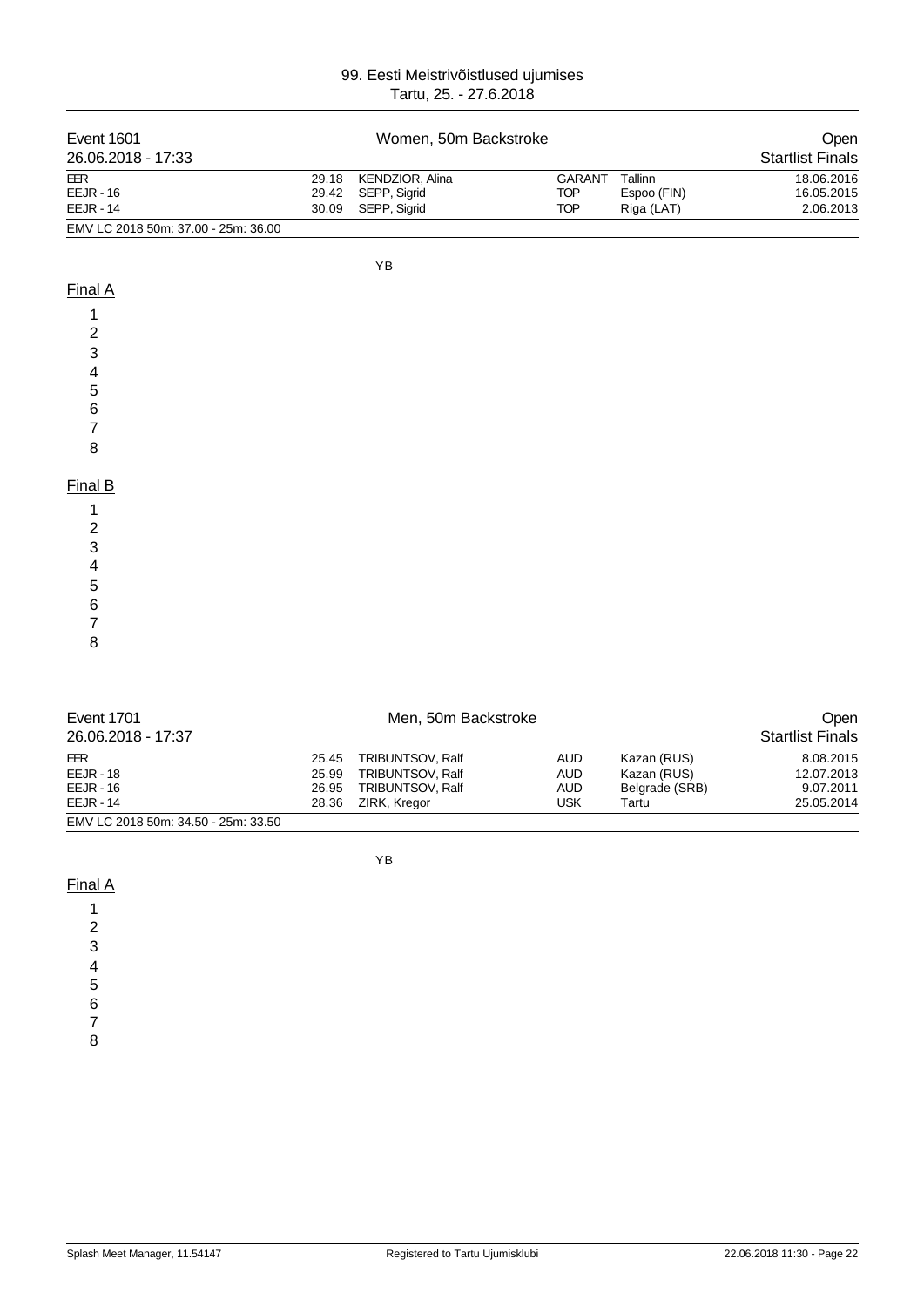| Event 1601                          |       | Women, 50m Backstroke |               |             | Open                    |
|-------------------------------------|-------|-----------------------|---------------|-------------|-------------------------|
| 26.06.2018 - 17:33                  |       |                       |               |             | <b>Startlist Finals</b> |
| EER                                 | 29.18 | KENDZIOR, Alina       | <b>GARANT</b> | Tallinn     | 18.06.2016              |
| EEJR - 16                           | 29.42 | SEPP, Sigrid          | <b>TOP</b>    | Espoo (FIN) | 16.05.2015              |
| <b>EEJR - 14</b>                    | 30.09 | SEPP, Sigrid          | <b>TOP</b>    | Riga (LAT)  | 2.06.2013               |
| EMV LC 2018 50m: 37.00 - 25m: 36.00 |       |                       |               |             |                         |
|                                     |       |                       |               |             |                         |
|                                     |       | ΥB                    |               |             |                         |
| Final A                             |       |                       |               |             |                         |

#### Final A

| 1                       |  |
|-------------------------|--|
| $\overline{\mathbf{c}}$ |  |
| 3                       |  |
|                         |  |
| 4<br>5                  |  |
| 6                       |  |
| 7                       |  |
| 8                       |  |

### Final B

| ------- |  |  |  |
|---------|--|--|--|
|         |  |  |  |
|         |  |  |  |
|         |  |  |  |
|         |  |  |  |
|         |  |  |  |
|         |  |  |  |
|         |  |  |  |
|         |  |  |  |
|         |  |  |  |

| <b>Event 1701</b>                   |       | Men, 50m Backstroke     |            |                |                         |
|-------------------------------------|-------|-------------------------|------------|----------------|-------------------------|
| 26.06.2018 - 17:37                  |       |                         |            |                | <b>Startlist Finals</b> |
| EER                                 | 25.45 | TRIBUNTSOV, Ralf        | <b>AUD</b> | Kazan (RUS)    | 8.08.2015               |
| $EEJR - 18$                         | 25.99 | <b>TRIBUNTSOV, Ralf</b> | <b>AUD</b> | Kazan (RUS)    | 12.07.2013              |
| $EEJR - 16$                         | 26.95 | <b>TRIBUNTSOV, Ralf</b> | <b>AUD</b> | Belgrade (SRB) | 9.07.2011               |
| $EEJR - 14$                         | 28.36 | ZIRK, Kregor            | USK        | Tartu          | 25.05.2014              |
| EMV LC 2018 50m: 34.50 - 25m: 33.50 |       |                         |            |                |                         |

YB

 $\overline{7}$ 

8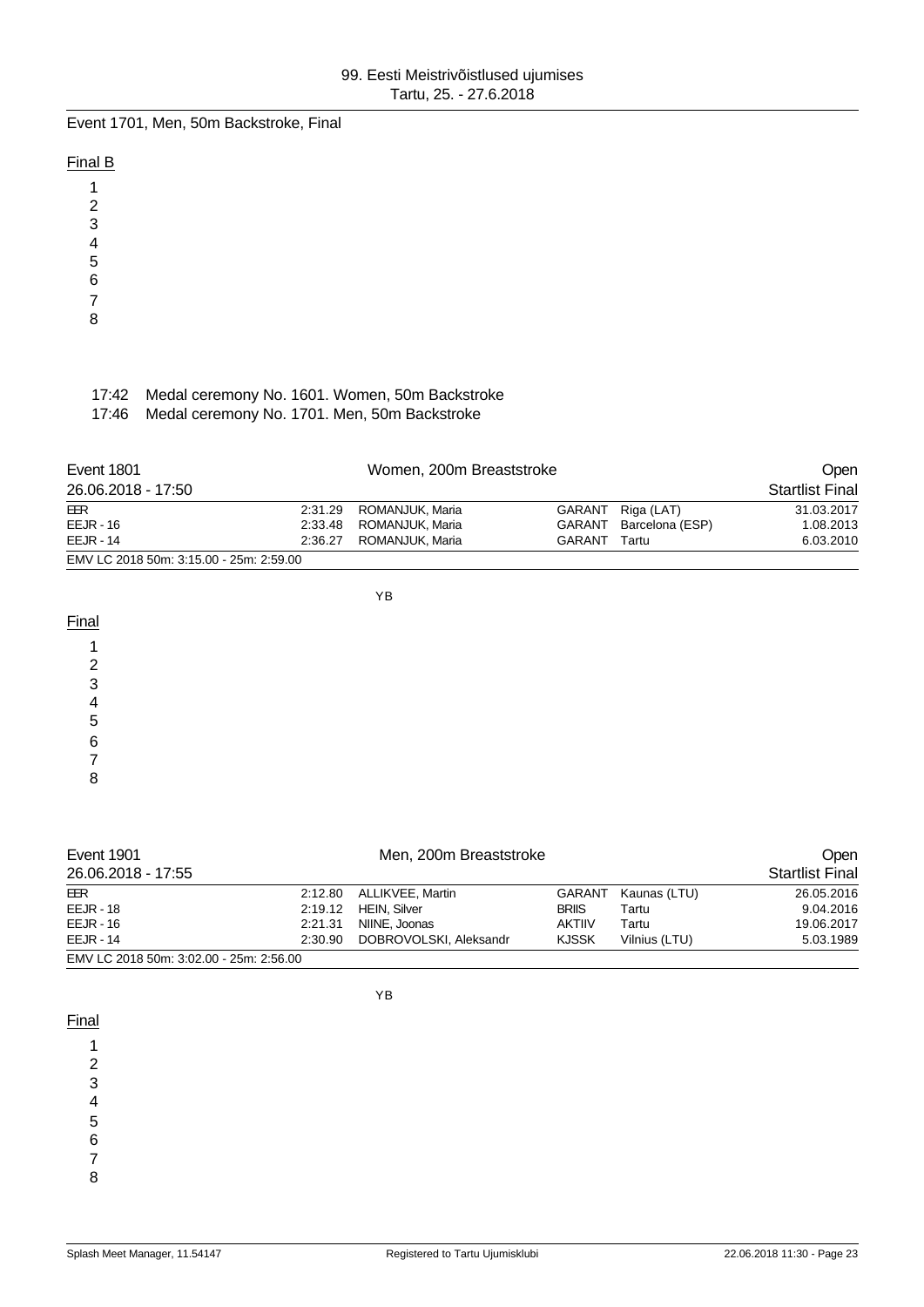Event 1701, Men, 50m Backstroke, Final

### Final B

1 2

- 3
- 4
- 5
- 6
- 7
- 8

## 17:42 Medal ceremony No. 1601. Women, 50m Backstroke

17:46 Medal ceremony No. 1701. Men, 50m Backstroke

| Event 1801                              | Women, 200m Breaststroke |        |                        |                        |
|-----------------------------------------|--------------------------|--------|------------------------|------------------------|
| 26.06.2018 - 17:50                      |                          |        |                        | <b>Startlist Final</b> |
| EER                                     | 2:31.29 ROMANJUK, Maria  |        | GARANT Riga (LAT)      | 31.03.2017             |
| $EEJR - 16$                             | 2:33.48 ROMANJUK, Maria  |        | GARANT Barcelona (ESP) | 1.08.2013              |
| $EEJR - 14$                             | 2:36.27 ROMANJUK, Maria  | GARANT | Tartu                  | 6.03.2010              |
| EMV LC 2018 50m: 3:15.00 - 25m: 2:59.00 |                          |        |                        |                        |

YB

Final

1 2 3

4 5

6

7

8

| <b>Event 1901</b>                       |         | Men, 200m Breaststroke   |               |               |                        |
|-----------------------------------------|---------|--------------------------|---------------|---------------|------------------------|
| 26.06.2018 - 17:55                      |         |                          |               |               | <b>Startlist Final</b> |
| EER                                     |         | 2:12.80 ALLIKVEE, Martin | GARANT        | Kaunas (LTU)  | 26.05.2016             |
| $EEJR - 18$                             |         | 2:19.12 HEIN, Silver     | <b>BRIIS</b>  | Tartu         | 9.04.2016              |
| $EEJR - 16$                             | 2:21.31 | NIINE, Joonas            | <b>AKTIIV</b> | Tartu         | 19.06.2017             |
| $EEJR - 14$                             | 2:30.90 | DOBROVOLSKI, Aleksandr   | <b>KJSSK</b>  | Vilnius (LTU) | 5.03.1989              |
| EMV LC 2018 50m: 3:02.00 - 25m: 2:56.00 |         |                          |               |               |                        |

**Final** 

YB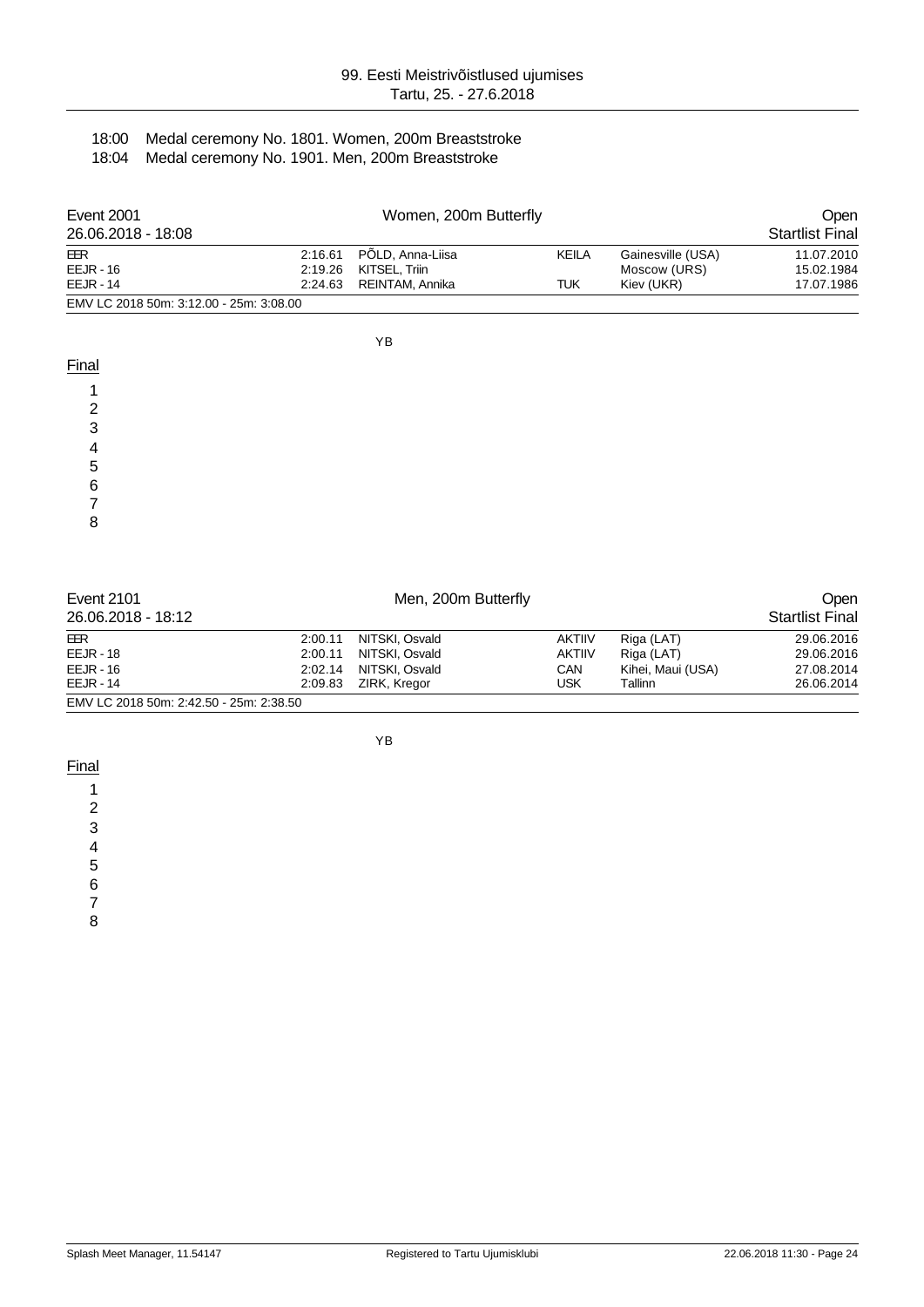#### 18:00 Medal ceremony No. 1801. Women, 200m Breaststroke 18:04 Medal ceremony No. 1901. Men, 200m Breaststroke

| <b>Event 2001</b>                       |         | Women, 200m Butterfly    |              |                   |                        |  |
|-----------------------------------------|---------|--------------------------|--------------|-------------------|------------------------|--|
| 26.06.2018 - 18:08                      |         |                          |              |                   | <b>Startlist Final</b> |  |
| EER                                     |         | 2:16.61 PÕLD, Anna-Liisa | <b>KEILA</b> | Gainesville (USA) | 11.07.2010             |  |
| $EEJR - 16$                             | 2:19.26 | KITSEL, Triin            |              | Moscow (URS)      | 15.02.1984             |  |
| $EEJR - 14$                             | 2:24.63 | REINTAM, Annika          | TUK          | Kiev (UKR)        | 17.07.1986             |  |
| EMV LC 2018 50m: 3:12.00 - 25m: 3:08.00 |         |                          |              |                   |                        |  |

YB

| Final  |  |
|--------|--|
|        |  |
| ◠      |  |
| ົ<br>w |  |
|        |  |
| 5      |  |
| 6      |  |
|        |  |
| 8      |  |
|        |  |
|        |  |

| Event 2101                           | Men, 200m Butterfly |                |               |                   |                        |  |
|--------------------------------------|---------------------|----------------|---------------|-------------------|------------------------|--|
| 26.06.2018 - 18:12                   |                     |                |               |                   | <b>Startlist Final</b> |  |
| EER                                  | 2:00.11             | NITSKI, Osvald | <b>AKTIIV</b> | Riga (LAT)        | 29.06.2016             |  |
| $EEJR - 18$                          | 2:00.11             | NITSKI, Osvald | <b>AKTIIV</b> | Riga (LAT)        | 29.06.2016             |  |
| $EEJR - 16$                          | 2:02.14             | NITSKI, Osvald | CAN           | Kihei, Maui (USA) | 27.08.2014             |  |
| $EEJR - 14$                          | 2:09.83             | ZIRK, Kregor   | USK           | Tallinn           | 26.06.2014             |  |
| EMULO 2019 E0m: 2:12 E0 2Em: 2:29 E0 |                     |                |               |                   |                        |  |

EMV LC 2018 50m: 2:42.50 - 25m: 2:38.50

YB

**Final** 

1 2

3

4

5

6

7

8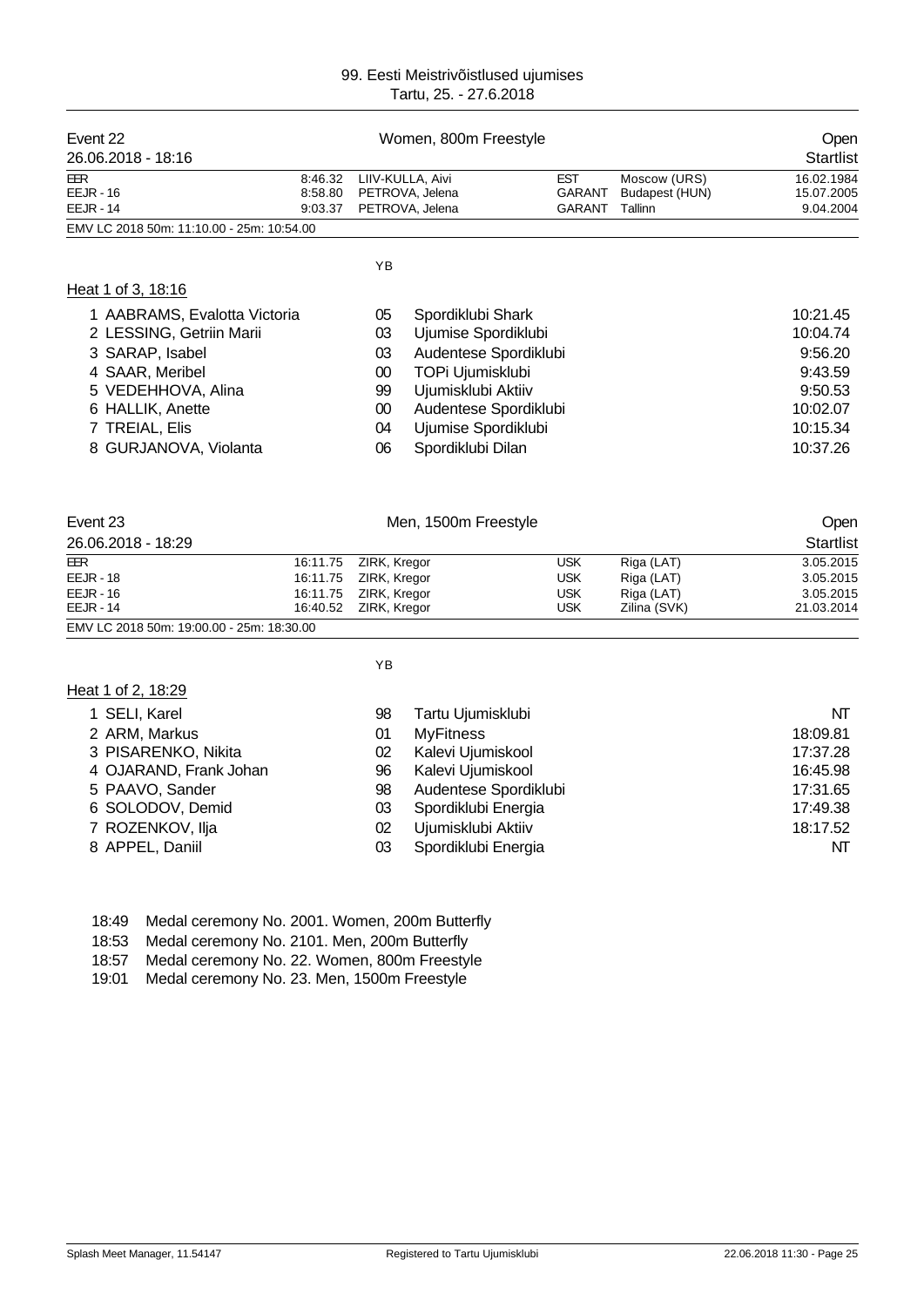| Event 22                                  |         | Women, 800m Freestyle |                       | Open          |                |            |
|-------------------------------------------|---------|-----------------------|-----------------------|---------------|----------------|------------|
| 26.06.2018 - 18:16                        |         |                       |                       |               |                | Startlist  |
| <b>EER</b>                                | 8:46.32 |                       | LIIV-KULLA, Aivi      | <b>EST</b>    | Moscow (URS)   | 16.02.1984 |
| $EEJR - 16$                               | 8:58.80 |                       | PETROVA, Jelena       | <b>GARANT</b> | Budapest (HUN) | 15.07.2005 |
| <b>EEJR - 14</b>                          | 9:03.37 |                       | PETROVA, Jelena       | <b>GARANT</b> | Tallinn        | 9.04.2004  |
| EMV LC 2018 50m: 11:10.00 - 25m: 10:54.00 |         |                       |                       |               |                |            |
|                                           |         | YB                    |                       |               |                |            |
| Heat 1 of 3, 18:16                        |         |                       |                       |               |                |            |
| 1 AABRAMS, Evalotta Victoria              |         | 05                    | Spordiklubi Shark     |               |                | 10:21.45   |
| 2 LESSING, Getriin Marii                  |         | 03                    | Ujumise Spordiklubi   |               |                | 10:04.74   |
| 3 SARAP, Isabel                           |         | 03                    | Audentese Spordiklubi |               |                | 9:56.20    |
| 4 SAAR, Meribel                           |         | $00\,$                | TOPi Ujumisklubi      |               |                | 9:43.59    |
| 5 VEDEHHOVA, Alina                        |         | 99                    | Ujumisklubi Aktiiv    |               |                | 9:50.53    |
| 6 HALLIK, Anette                          |         | $00\,$                | Audentese Spordiklubi |               |                | 10:02.07   |
| 7 TREIAL, Elis                            |         | 04                    | Ujumise Spordiklubi   |               |                | 10:15.34   |
| GURJANOVA, Violanta<br>8                  |         | 06                    | Spordiklubi Dilan     |               |                | 10:37.26   |
|                                           |         |                       |                       |               |                |            |
|                                           |         |                       |                       |               |                |            |

| Event 23                                  | Men, 1500m Freestyle  |     |              | <b>Open</b>      |  |
|-------------------------------------------|-----------------------|-----|--------------|------------------|--|
| 26.06.2018 - 18:29                        |                       |     |              | <b>Startlist</b> |  |
| EER                                       | 16:11.75 ZIRK, Kregor | USK | Riga (LAT)   | 3.05.2015        |  |
| $EEJR - 18$                               | 16:11.75 ZIRK, Kregor | USK | Riga (LAT)   | 3.05.2015        |  |
| $EEJR - 16$                               | 16:11.75 ZIRK, Kregor | USK | Riga (LAT)   | 3.05.2015        |  |
| $EEJR - 14$                               | 16:40.52 ZIRK, Kregor | USK | Zilina (SVK) | 21.03.2014       |  |
| EMV LC 2018 50m: 19:00.00 - 25m: 18:30.00 |                       |     |              |                  |  |

Heat 1 of 2, 18:29

YB

| 1 SELI, Karel          | 98 | Tartu Ujumisklubi     | NT       |
|------------------------|----|-----------------------|----------|
| 2 ARM, Markus          | 01 | <b>MyFitness</b>      | 18:09.81 |
| 3 PISARENKO, Nikita    | 02 | Kalevi Ujumiskool     | 17:37.28 |
| 4 OJARAND, Frank Johan | 96 | Kalevi Ujumiskool     | 16:45.98 |
| 5 PAAVO, Sander        | 98 | Audentese Spordiklubi | 17:31.65 |
| 6 SOLODOV, Demid       | 03 | Spordiklubi Energia   | 17:49.38 |
| 7 ROZENKOV, Ilja       | 02 | Ujumisklubi Aktiiv    | 18:17.52 |
| 8 APPEL, Daniil        | 03 | Spordiklubi Energia   | NT       |

- 18:49 Medal ceremony No. 2001. Women, 200m Butterfly
- 18:53 Medal ceremony No. 2101. Men, 200m Butterfly<br>18:57 Medal ceremony No. 22. Women, 800m Freesty
- 18:57 Medal ceremony No. 22. Women, 800m Freestyle<br>19:01 Medal ceremony No. 23. Men, 1500m Freestyle
- Medal ceremony No. 23. Men, 1500m Freestyle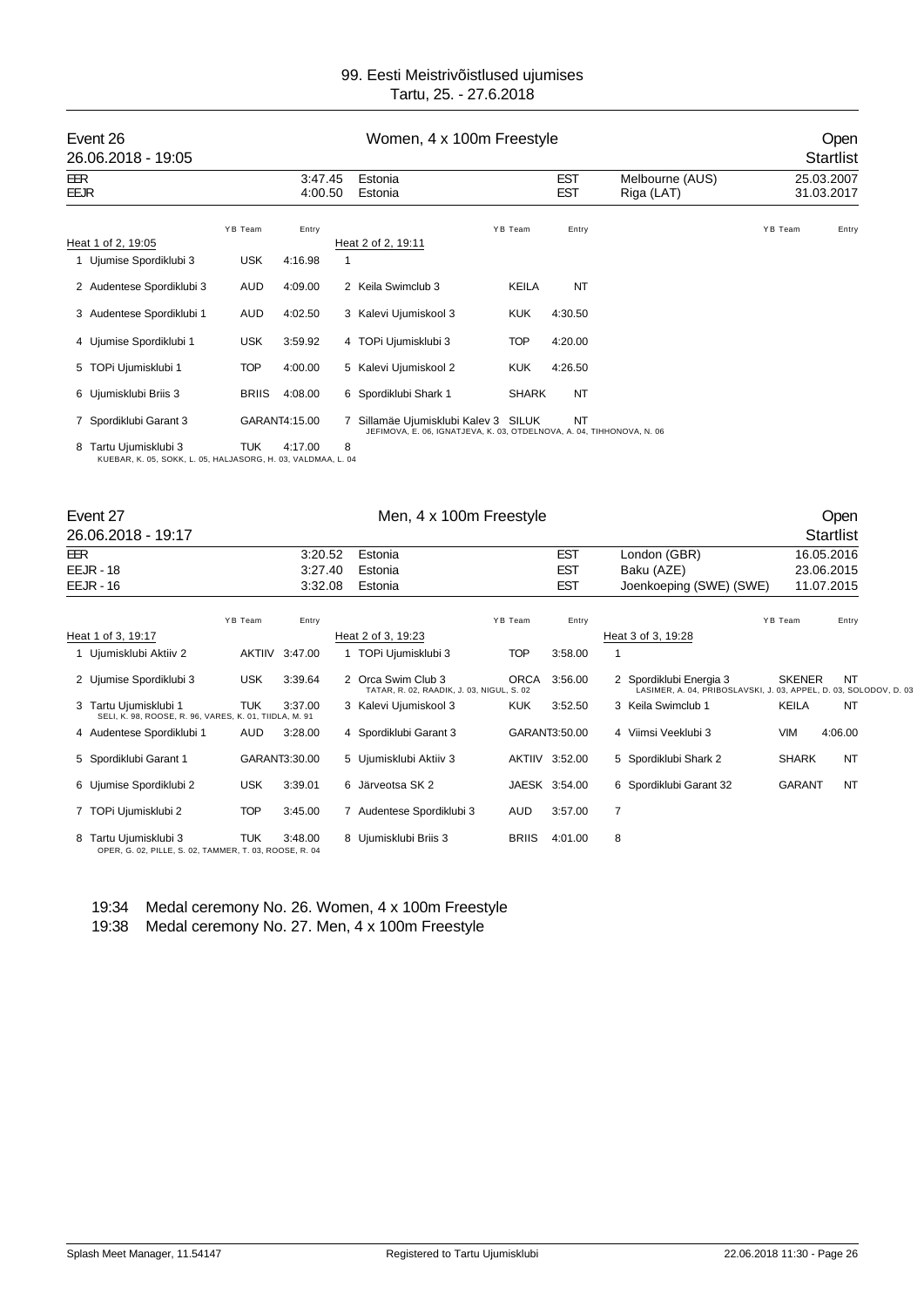| Event 26<br>26.06.2018 - 19:05                                                        | Women, 4 x 100m Freestyle |                    |   |                                                                                                             |              |                          |                               |         | Open<br><b>Startlist</b> |  |  |
|---------------------------------------------------------------------------------------|---------------------------|--------------------|---|-------------------------------------------------------------------------------------------------------------|--------------|--------------------------|-------------------------------|---------|--------------------------|--|--|
| EER<br>EEJR                                                                           |                           | 3:47.45<br>4:00.50 |   | Estonia<br>Estonia                                                                                          |              | <b>EST</b><br><b>EST</b> | Melbourne (AUS)<br>Riga (LAT) |         | 25.03.2007<br>31.03.2017 |  |  |
| Heat 1 of 2, 19:05                                                                    | YB Team                   | Entry              |   | Heat 2 of 2, 19:11                                                                                          | YB Team      | Entry                    |                               | YB Team | Entry                    |  |  |
| 1 Ujumise Spordiklubi 3                                                               | <b>USK</b>                | 4:16.98            | 1 |                                                                                                             |              |                          |                               |         |                          |  |  |
| 2 Audentese Spordiklubi 3                                                             | AUD                       | 4:09.00            |   | 2 Keila Swimclub 3                                                                                          | <b>KEILA</b> | NT                       |                               |         |                          |  |  |
| 3 Audentese Spordiklubi 1                                                             | AUD                       | 4:02.50            |   | 3 Kalevi Ujumiskool 3                                                                                       | <b>KUK</b>   | 4:30.50                  |                               |         |                          |  |  |
| 4 Ujumise Spordiklubi 1                                                               | <b>USK</b>                | 3:59.92            |   | 4 TOPi Ujumisklubi 3                                                                                        | <b>TOP</b>   | 4:20.00                  |                               |         |                          |  |  |
| 5 TOPi Ujumisklubi 1                                                                  | <b>TOP</b>                | 4:00.00            |   | 5 Kalevi Ujumiskool 2                                                                                       | <b>KUK</b>   | 4:26.50                  |                               |         |                          |  |  |
| 6 Ujumisklubi Briis 3                                                                 | <b>BRIIS</b>              | 4:08.00            |   | 6 Spordiklubi Shark 1                                                                                       | <b>SHARK</b> | <b>NT</b>                |                               |         |                          |  |  |
| 7 Spordiklubi Garant 3                                                                |                           | GARANT4:15.00      | 7 | Sillamäe Ujumisklubi Kalev 3 SILUK<br>JEFIMOVA, E. 06, IGNATJEVA, K. 03, OTDELNOVA, A. 04, TIHHONOVA, N. 06 |              | NT                       |                               |         |                          |  |  |
| 8 Tartu Ujumisklubi 3<br>KUEBAR, K. 05, SOKK, L. 05, HALJASORG, H. 03, VALDMAA, L. 04 | <b>TUK</b>                | 4:17.00            | 8 |                                                                                                             |              |                          |                               |         |                          |  |  |

#### Event 27 Communication of Men, 4 x 100m Freestyle Communication of the Open

|            | 26.06.2018 - 19:17                                                              |            |                |                                                                 |              |                |                                                                                              |               | <b>Startlist</b> |
|------------|---------------------------------------------------------------------------------|------------|----------------|-----------------------------------------------------------------|--------------|----------------|----------------------------------------------------------------------------------------------|---------------|------------------|
| <b>EER</b> |                                                                                 |            | 3:20.52        | Estonia                                                         |              | <b>EST</b>     | London (GBR)                                                                                 |               | 16.05.2016       |
|            | <b>EEJR - 18</b>                                                                |            | 3.27.40        | Estonia                                                         |              | <b>EST</b>     | Baku (AZE)                                                                                   |               | 23.06.2015       |
|            | $EEJR - 16$                                                                     |            | 3:32.08        | Estonia                                                         |              | <b>EST</b>     | Joenkoeping (SWE) (SWE)                                                                      |               | 11.07.2015       |
|            |                                                                                 | YB Team    | Entry          |                                                                 | YB Team      | Entry          |                                                                                              | YB Team       | Entry            |
|            | Heat 1 of 3, 19:17                                                              |            |                | Heat 2 of 3, 19:23                                              |              |                | Heat 3 of 3, 19:28                                                                           |               |                  |
|            | 1 Ujumisklubi Aktiiv 2                                                          |            | AKTIIV 3:47.00 | 1 TOPi Ujumisklubi 3                                            | <b>TOP</b>   | 3:58.00        |                                                                                              |               |                  |
|            | 2 Ujumise Spordiklubi 3                                                         | <b>USK</b> | 3:39.64        | 2 Orca Swim Club 3<br>TATAR, R. 02, RAADIK, J. 03, NIGUL, S. 02 | <b>ORCA</b>  | 3:56.00        | 2 Spordiklubi Energia 3<br>LASIMER, A. 04, PRIBOSLAVSKI, J. 03, APPEL, D. 03, SOLODOV, D. 03 | <b>SKENER</b> | <b>NT</b>        |
|            | 3 Tartu Ujumisklubi 1<br>SELI, K. 98, ROOSE, R. 96, VARES, K. 01, TIIDLA, M. 91 | <b>TUK</b> | 3:37.00        | 3 Kalevi Ujumiskool 3                                           | <b>KUK</b>   | 3:52.50        | 3 Keila Swimclub 1                                                                           | KEILA         | <b>NT</b>        |
|            | 4 Audentese Spordiklubi 1                                                       | AUD        | 3:28.00        | 4 Spordiklubi Garant 3                                          |              | GARANT3:50.00  | 4 Viimsi Veeklubi 3                                                                          | <b>VIM</b>    | 4:06.00          |
|            | 5 Spordiklubi Garant 1                                                          |            | GARANT3:30.00  | 5 Ujumisklubi Aktiiv 3                                          |              | AKTIIV 3:52.00 | 5 Spordiklubi Shark 2                                                                        | <b>SHARK</b>  | <b>NT</b>        |
|            | 6 Ujumise Spordiklubi 2                                                         | <b>USK</b> | 3:39.01        | 6 Järveotsa SK 2                                                |              | JAESK 3:54.00  | 6 Spordiklubi Garant 32                                                                      | <b>GARANT</b> | NT               |
|            | 7 TOPi Ujumisklubi 2                                                            | <b>TOP</b> | 3:45.00        | 7 Audentese Spordiklubi 3                                       | AUD          | 3:57.00        | $\overline{7}$                                                                               |               |                  |
|            | 8 Tartu Ujumisklubi 3<br>OPER, G. 02, PILLE, S. 02, TAMMER, T. 03, ROOSE, R. 04 | TUK        | 3:48.00        | 8 Ujumisklubi Briis 3                                           | <b>BRIIS</b> | 4:01.00        | 8                                                                                            |               |                  |

19:34 Medal ceremony No. 26. Women, 4 x 100m Freestyle

19:38 Medal ceremony No. 27. Men, 4 x 100m Freestyle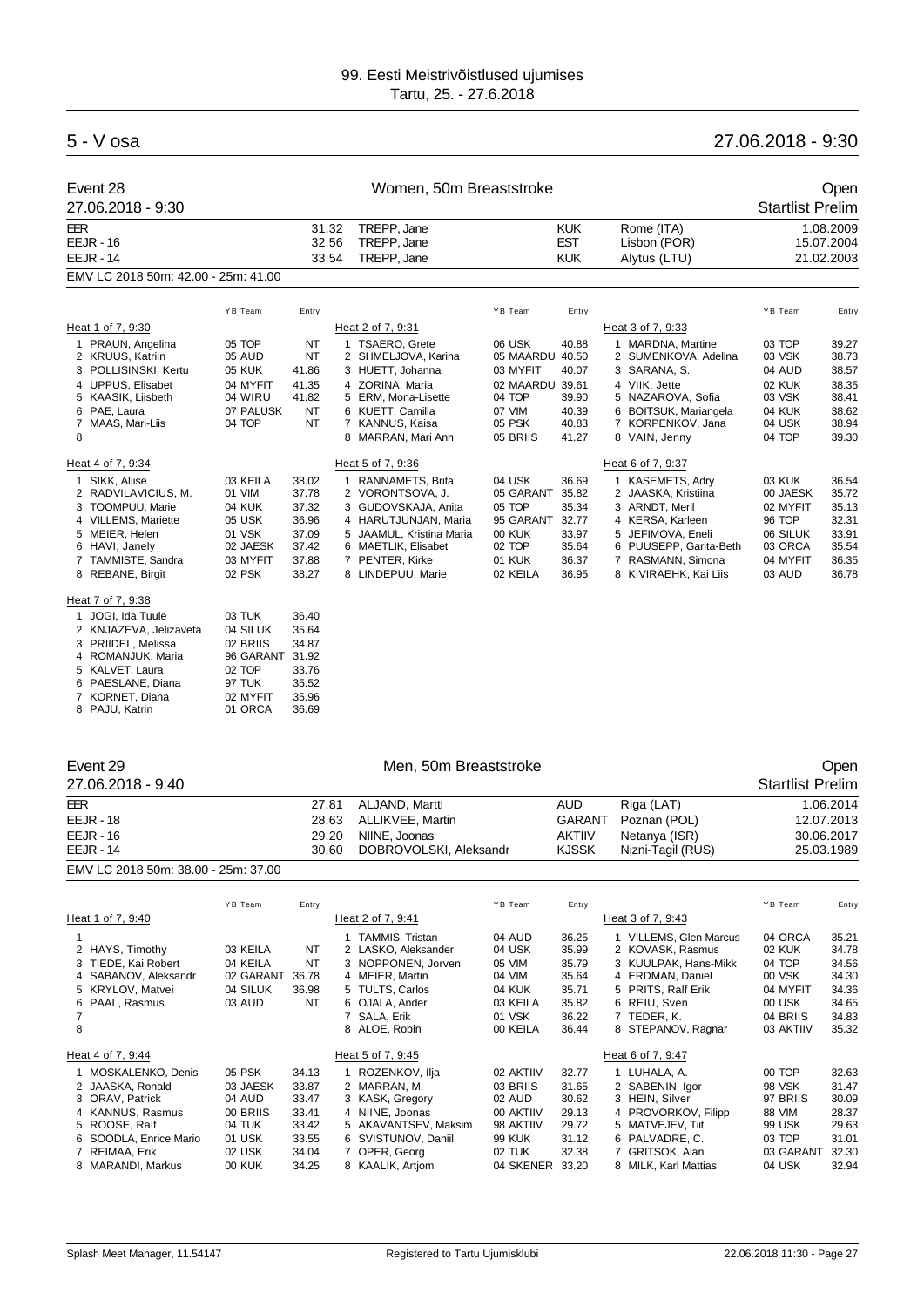## 5 - V osa 27.06.2018 - 9:30

| Event 28                            |       | Women, 50m Breaststroke |            | Open         |                         |
|-------------------------------------|-------|-------------------------|------------|--------------|-------------------------|
| 27.06.2018 - 9:30                   |       |                         |            |              | <b>Startlist Prelim</b> |
| EER                                 | 31.32 | TREPP, Jane             | <b>KUK</b> | Rome (ITA)   | 1.08.2009               |
| $EEJR - 16$                         | 32.56 | TREPP. Jane             | <b>EST</b> | Lisbon (POR) | 15.07.2004              |
| $EEJR - 14$                         | 33.54 | TREPP, Jane             | <b>KUK</b> | Alytus (LTU) | 21.02.2003              |
| EMV LC 2018 50m: 42.00 - 25m: 41.00 |       |                         |            |              |                         |

|   |                                                                                                                                               | YB Team                                                                  | Entry                                                         |                                                                                                                                                                           | YB Team                                                                                | Entry                                                                |                                                                                                                                                                | YB Team                                                                      | Entry                                                                |
|---|-----------------------------------------------------------------------------------------------------------------------------------------------|--------------------------------------------------------------------------|---------------------------------------------------------------|---------------------------------------------------------------------------------------------------------------------------------------------------------------------------|----------------------------------------------------------------------------------------|----------------------------------------------------------------------|----------------------------------------------------------------------------------------------------------------------------------------------------------------|------------------------------------------------------------------------------|----------------------------------------------------------------------|
|   | Heat 1 of 7, 9:30                                                                                                                             |                                                                          |                                                               | Heat 2 of 7, 9:31                                                                                                                                                         |                                                                                        |                                                                      | Heat 3 of 7, 9:33                                                                                                                                              |                                                                              |                                                                      |
| 8 | 1 PRAUN, Angelina<br>2 KRUUS, Katriin<br>3 POLLISINSKI, Kertu<br>4 UPPUS. Elisabet<br>5 KAASIK, Liisbeth<br>6 PAE. Laura<br>7 MAAS, Mari-Liis | 05 TOP<br>05 AUD<br>05 KUK<br>04 MYFIT<br>04 WIRU<br>07 PALUSK<br>04 TOP | NT<br><b>NT</b><br>41.86<br>41.35<br>41.82<br>NT<br><b>NT</b> | <b>TSAERO, Grete</b><br>2 SHMELJOVA, Karina<br>3 HUETT, Johanna<br>4 ZORINA, Maria<br>5 ERM, Mona-Lisette<br>6 KUETT, Camilla<br>7 KANNUS, Kaisa<br>MARRAN, Mari Ann<br>8 | 06 USK<br>05 MAARDU<br>03 MYFIT<br>02 MAARDU<br>04 TOP<br>07 VIM<br>05 PSK<br>05 BRIIS | 40.88<br>40.50<br>40.07<br>39.61<br>39.90<br>40.39<br>40.83<br>41.27 | 1 MARDNA, Martine<br>2 SUMENKOVA, Adelina<br>3 SARANA, S.<br>4 VIIK. Jette<br>5 NAZAROVA, Sofia<br>6 BOITSUK, Mariangela<br>7 KORPENKOV, Jana<br>8 VAIN, Jenny | 03 TOP<br>03 VSK<br>04 AUD<br>02 KUK<br>03 VSK<br>04 KUK<br>04 USK<br>04 TOP | 39.27<br>38.73<br>38.57<br>38.35<br>38.41<br>38.62<br>38.94<br>39.30 |
|   | Heat 4 of 7, 9:34                                                                                                                             |                                                                          |                                                               | Heat 5 of 7, 9:36                                                                                                                                                         |                                                                                        |                                                                      | Heat 6 of 7, 9:37                                                                                                                                              |                                                                              |                                                                      |
|   | 1 SIKK, Aliise<br>2 RADVILAVICIUS, M.<br>3 TOOMPUU, Marie<br>4 VILLEMS, Mariette<br>5 MEIER, Helen<br>6 HAVI, Janely<br>7 TAMMISTE, Sandra    | 03 KEILA<br>01 VIM<br>04 KUK<br>05 USK<br>01 VSK<br>02 JAESK<br>03 MYFIT | 38.02<br>37.78<br>37.32<br>36.96<br>37.09<br>37.42<br>37.88   | RANNAMETS, Brita<br>2 VORONTSOVA, J.<br>3 GUDOVSKAJA, Anita<br>4 HARUTJUNJAN, Maria<br>5 JAAMUL, Kristina Maria<br>6 MAETLIK, Elisabet<br>7 PENTER, Kirke                 | 04 USK<br>05 GARANT<br>05 TOP<br>95 GARANT<br>00 KUK<br>02 TOP<br>01 KUK               | 36.69<br>35.82<br>35.34<br>32.77<br>33.97<br>35.64<br>36.37          | 1 KASEMETS, Adry<br>2 JAASKA, Kristiina<br>3 ARNDT, Meril<br>4 KERSA, Karleen<br>5 JEFIMOVA, Eneli<br>6 PUUSEPP, Garita-Beth<br>7 RASMANN, Simona              | 03 KUK<br>00 JAESK<br>02 MYFIT<br>96 TOP<br>06 SILUK<br>03 ORCA<br>04 MYFIT  | 36.54<br>35.72<br>35.13<br>32.31<br>33.91<br>35.54<br>36.35          |
|   | 8 REBANE, Birgit                                                                                                                              | 02 PSK                                                                   | 38.27                                                         | 8 LINDEPUU, Marie                                                                                                                                                         | 02 KEILA                                                                               | 36.95                                                                | 8 KIVIRAEHK, Kai Liis                                                                                                                                          | 03 AUD                                                                       | 36.78                                                                |
|   |                                                                                                                                               |                                                                          |                                                               |                                                                                                                                                                           |                                                                                        |                                                                      |                                                                                                                                                                |                                                                              |                                                                      |

#### Heat 7 of 7, 9:38

| 1 JOGI, Ida Tuule      | 03 TUK    | 36.40 |
|------------------------|-----------|-------|
| 2 KNJAZEVA, Jelizaveta | 04 SILUK  | 35.64 |
| 3 PRIIDEL, Melissa     | 02 BRIIS  | 34.87 |
| 4 ROMANJUK, Maria      | 96 GARANT | 31.92 |
| 5 KALVET, Laura        | 02 TOP    | 33.76 |
| 6 PAESLANE, Diana      | 97 TUK    | 35.52 |
| 7 KORNET, Diana        | 02 MYFIT  | 35.96 |
| 8 PAJU, Katrin         | 01 ORCA   | 36.69 |

| Event 29                            |       | Open                   |               |                   |                         |
|-------------------------------------|-------|------------------------|---------------|-------------------|-------------------------|
| 27.06.2018 - 9:40                   |       |                        |               |                   | <b>Startlist Prelim</b> |
| EER                                 | 27.81 | ALJAND. Martti         | AUD           | Riga (LAT)        | 1.06.2014               |
| $EEJR - 18$                         | 28.63 | ALLIKVEE, Martin       | <b>GARANT</b> | Poznan (POL)      | 12.07.2013              |
| $EEJR - 16$                         | 29.20 | NIINE, Joonas          | <b>AKTIIV</b> | Netanya (ISR)     | 30.06.2017              |
| $EEJR - 14$                         | 30.60 | DOBROVOLSKI, Aleksandr | <b>KJSSK</b>  | Nizni-Tagil (RUS) | 25.03.1989              |
| EMV LC 2018 50m: 38.00 - 25m: 37.00 |       |                        |               |                   |                         |

|                                                                                                                                                                  | YB Team                                                                                 | Entry                                                                |                                                                                                                                                              | YB Team                                                                                           | Entry                                                                |                                                                                                                                                                   | YB Team                                                                              | Entry                                                                |
|------------------------------------------------------------------------------------------------------------------------------------------------------------------|-----------------------------------------------------------------------------------------|----------------------------------------------------------------------|--------------------------------------------------------------------------------------------------------------------------------------------------------------|---------------------------------------------------------------------------------------------------|----------------------------------------------------------------------|-------------------------------------------------------------------------------------------------------------------------------------------------------------------|--------------------------------------------------------------------------------------|----------------------------------------------------------------------|
| Heat 1 of 7, 9:40                                                                                                                                                |                                                                                         |                                                                      | Heat 2 of 7, 9:41                                                                                                                                            |                                                                                                   |                                                                      | Heat 3 of 7, 9:43                                                                                                                                                 |                                                                                      |                                                                      |
| 2 HAYS, Timothy<br>3 TIEDE, Kai Robert<br>4 SABANOV, Aleksandr<br>5 KRYLOV, Matvei<br>6 PAAL, Rasmus<br>8                                                        | 03 KEILA<br>04 KEILA<br>02 GARANT<br>04 SILUK<br>03 AUD                                 | NT<br>NT<br>36.78<br>36.98<br>NT                                     | <b>TAMMIS, Tristan</b><br>2 LASKO, Aleksander<br>3 NOPPONEN, Jorven<br>4 MEIER, Martin<br>5 TULTS, Carlos<br>6 OJALA, Ander<br>7 SALA, Erik<br>8 ALOE, Robin | 04 AUD<br>04 USK<br>05 VIM<br>04 VIM<br>04 KUK<br>03 KEILA<br>01 VSK<br>00 KEILA                  | 36.25<br>35.99<br>35.79<br>35.64<br>35.71<br>35.82<br>36.22<br>36.44 | 1 VILLEMS, Glen Marcus<br>2 KOVASK, Rasmus<br>3 KUULPAK, Hans-Mikk<br>4 ERDMAN, Daniel<br>5 PRITS, Ralf Erik<br>6 REIU, Sven<br>7 TEDER, K.<br>8 STEPANOV, Ragnar | 04 ORCA<br>02 KUK<br>04 TOP<br>00 VSK<br>04 MYFIT<br>00 USK<br>04 BRIIS<br>03 AKTIIV | 35.21<br>34.78<br>34.56<br>34.30<br>34.36<br>34.65<br>34.83<br>35.32 |
| Heat 4 of 7, 9:44                                                                                                                                                |                                                                                         |                                                                      | Heat 5 of 7, 9:45                                                                                                                                            |                                                                                                   |                                                                      | Heat 6 of 7, 9:47                                                                                                                                                 |                                                                                      |                                                                      |
| 1 MOSKALENKO, Denis<br>2 JAASKA, Ronald<br>3 ORAV, Patrick<br>4 KANNUS, Rasmus<br>5 ROOSE, Ralf<br>6 SOODLA, Enrice Mario<br>7 REIMAA, Erik<br>8 MARANDI, Markus | 05 PSK<br>03 JAESK<br>04 AUD<br>00 BRIIS<br>04 TUK<br>01 USK<br>02 USK<br><b>00 KUK</b> | 34.13<br>33.87<br>33.47<br>33.41<br>33.42<br>33.55<br>34.04<br>34.25 | 1 ROZENKOV, Ilja<br>2 MARRAN, M.<br>3 KASK, Gregory<br>4 NIINE, Joonas<br>5 AKAVANTSEV, Maksim<br>6 SVISTUNOV, Daniil<br>7 OPER, Georg<br>8 KAALIK, Artiom   | 02 AKTIIV<br>03 BRIIS<br>02 AUD<br>00 AKTIIV<br>98 AKTIIV<br><b>99 KUK</b><br>02 TUK<br>04 SKENER | 32.77<br>31.65<br>30.62<br>29.13<br>29.72<br>31.12<br>32.38<br>33.20 | 1 LUHALA, A.<br>2 SABENIN, Igor<br>3 HEIN, Silver<br>4 PROVORKOV, Filipp<br>5 MATVEJEV, Tiit<br>6 PALVADRE, C.<br>7 GRITSOK, Alan<br>8 MILK, Karl Mattias         | 00 TOP<br>98 VSK<br>97 BRIIS<br>88 VIM<br>99 USK<br>03 TOP<br>03 GARANT<br>04 USK    | 32.63<br>31.47<br>30.09<br>28.37<br>29.63<br>31.01<br>32.30<br>32.94 |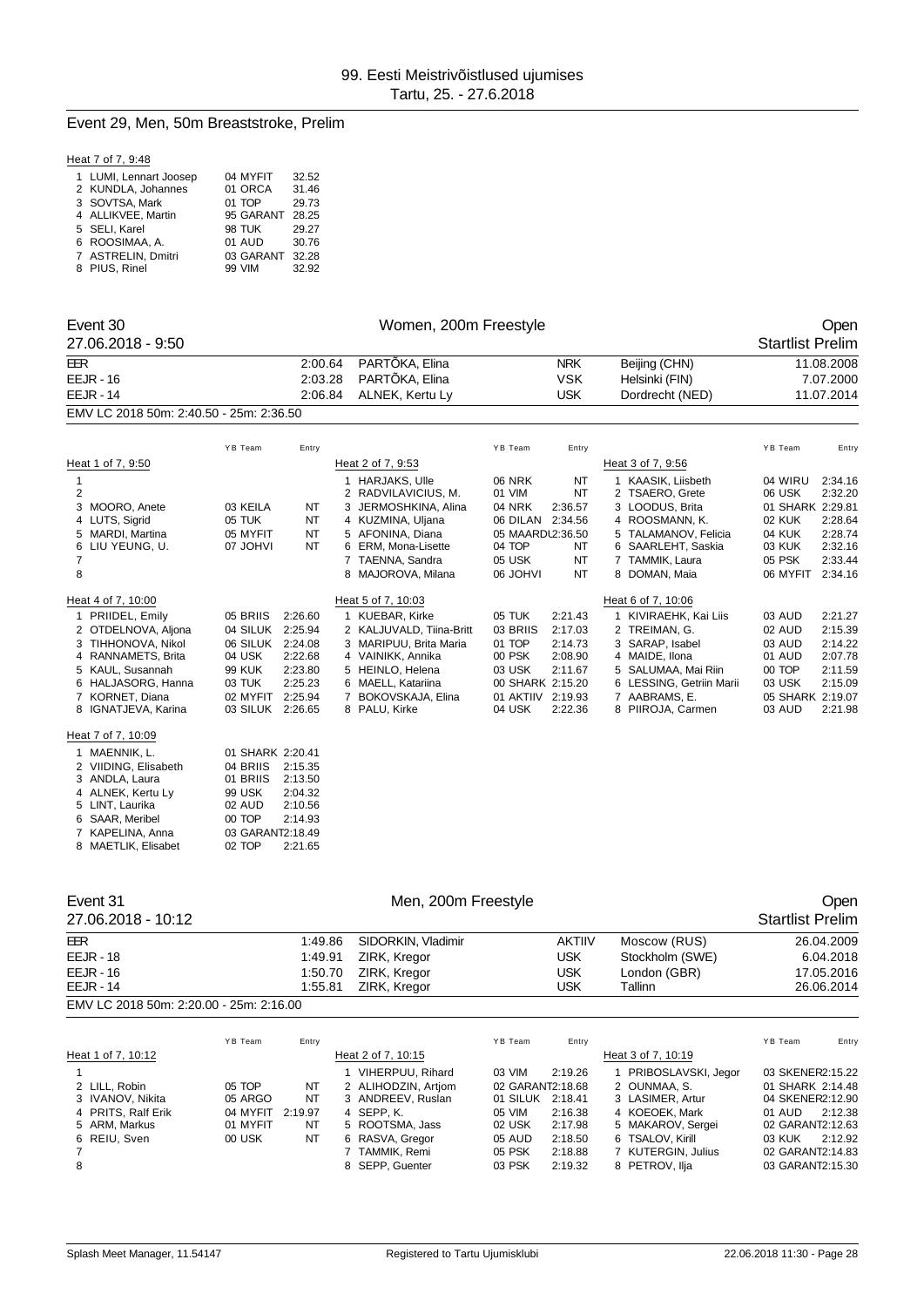#### Event 29, Men, 50m Breaststroke, Prelim

#### Heat 7 of 7, 9:48

| 1 LUMI, Lennart Joosep | 04 MYFIT      | 32.52 |
|------------------------|---------------|-------|
| 2 KUNDLA, Johannes     | 01 ORCA       | 31.46 |
| 3 SOVTSA, Mark         | 01 TOP        | 29.73 |
| 4 ALLIKVEE, Martin     | 95 GARANT     | 28.25 |
| 5 SELI, Karel          | <b>98 TUK</b> | 29.27 |
| 6 ROOSIMAA, A.         | 01 AUD        | 30.76 |
| 7 ASTRELIN, Dmitri     | 03 GARANT     | 32.28 |
| 8 PIUS, Rinel          | 99 VIM        | 32.92 |

6 SAAR, Meribel 00 TOP 2:14.93 7 KAPELINA, Anna 03 GARANT2:18.49<br>8 MAETLIK, Elisabet 02 TOP 2:21.65

8 MAETLIK, Elisabet

|   | Event 30                                |                  |           | Open    |                          |                   |            |                          |                         |            |
|---|-----------------------------------------|------------------|-----------|---------|--------------------------|-------------------|------------|--------------------------|-------------------------|------------|
|   | 27.06.2018 - 9:50                       |                  |           |         | Women, 200m Freestyle    |                   |            |                          | <b>Startlist Prelim</b> |            |
|   | EER                                     |                  |           | 2:00.64 | PARTÔKA, Elina           |                   | <b>NRK</b> | Beijing (CHN)            |                         | 11.08.2008 |
|   | $EEJR - 16$                             |                  | 2:03.28   |         | PARTÔKA, Elina           |                   | <b>VSK</b> | Helsinki (FIN)           |                         | 7.07.2000  |
|   | <b>EEJR - 14</b>                        |                  | 2:06.84   |         | ALNEK, Kertu Ly          |                   | <b>USK</b> | Dordrecht (NED)          |                         | 11.07.2014 |
|   | EMV LC 2018 50m: 2:40.50 - 25m: 2:36.50 |                  |           |         |                          |                   |            |                          |                         |            |
|   |                                         | YB Team          | Entry     |         |                          | YB Team           | Entry      |                          | YB Team                 | Entry      |
|   | Heat 1 of 7, 9:50                       |                  |           |         | Heat 2 of 7, 9:53        |                   |            | Heat 3 of 7, 9:56        |                         |            |
| 1 |                                         |                  |           |         | 1 HARJAKS, Ulle          | <b>06 NRK</b>     | NT         | 1 KAASIK, Liisbeth       | 04 WIRU                 | 2:34.16    |
| 2 |                                         |                  |           |         | 2 RADVILAVICIUS, M.      | 01 VIM            | <b>NT</b>  | 2 TSAERO, Grete          | 06 USK                  | 2:32.20    |
| 3 | MOORO, Anete                            | 03 KEILA         | NT        |         | 3 JERMOSHKINA, Alina     | <b>04 NRK</b>     | 2:36.57    | 3 LOODUS, Brita          | 01 SHARK 2:29.81        |            |
|   | 4 LUTS, Sigrid                          | 05 TUK           | <b>NT</b> |         | 4 KUZMINA, Uljana        | 06 DILAN 2:34.56  |            | 4 ROOSMANN, K.           | <b>02 KUK</b>           | 2:28.64    |
|   | 5 MARDI, Martina                        | 05 MYFIT         | <b>NT</b> |         | 5 AFONINA, Diana         | 05 MAARDL2:36.50  |            | 5 TALAMANOV, Felicia     | 04 KUK                  | 2:28.74    |
|   | 6 LIU YEUNG, U.                         | 07 JOHVI         | <b>NT</b> |         | 6 ERM, Mona-Lisette      | 04 TOP            | NT         | 6 SAARLEHT, Saskia       | 03 KUK                  | 2:32.16    |
| 7 |                                         |                  |           |         | 7 TAENNA, Sandra         | 05 USK            | <b>NT</b>  | 7 TAMMIK, Laura          | 05 PSK                  | 2:33.44    |
| 8 |                                         |                  |           |         | 8 MAJOROVA, Milana       | <b>IVHOL 80</b>   | <b>NT</b>  | 8 DOMAN, Maia            | 06 MYFIT                | 2:34.16    |
|   | Heat 4 of 7, 10:00                      |                  |           |         | Heat 5 of 7, 10:03       |                   |            | Heat 6 of 7, 10:06       |                         |            |
|   | 1 PRIIDEL, Emily                        | 05 BRIIS         | 2:26.60   |         | 1 KUEBAR, Kirke          | 05 TUK            | 2:21.43    | 1 KIVIRAEHK, Kai Liis    | 03 AUD                  | 2:21.27    |
|   | 2 OTDELNOVA, Aljona                     | 04 SILUK         | 2:25.94   |         | 2 KALJUVALD, Tiina-Britt | 03 BRIIS          | 2:17.03    | 2 TREIMAN, G.            | 02 AUD                  | 2:15.39    |
|   | 3 TIHHONOVA, Nikol                      | 06 SILUK         | 2:24.08   |         | 3 MARIPUU. Brita Maria   | 01 TOP            | 2:14.73    | 3 SARAP, Isabel          | 03 AUD                  | 2:14.22    |
|   | 4 RANNAMETS, Brita                      | 04 USK           | 2:22.68   |         | 4 VAINIKK, Annika        | 00 PSK            | 2:08.90    | 4 MAIDE, Ilona           | 01 AUD                  | 2:07.78    |
|   | 5 KAUL, Susannah                        | <b>99 KUK</b>    | 2:23.80   |         | 5 HEINLO, Helena         | 03 USK            | 2:11.67    | 5 SALUMAA, Mai Riin      | 00 TOP                  | 2:11.59    |
|   | 6 HALJASORG, Hanna                      | 03 TUK           | 2:25.23   |         | 6 MAELL, Katariina       | 00 SHARK 2:15.20  |            | 6 LESSING, Getriin Marii | 03 USK                  | 2:15.09    |
|   | 7 KORNET, Diana                         | 02 MYFIT         | 2:25.94   |         | 7 BOKOVSKAJA, Elina      | 01 AKTIIV 2:19.93 |            | 7 AABRAMS, E.            | 05 SHARK 2:19.07        |            |
|   | 8 IGNATJEVA, Karina                     | 03 SILUK 2:26.65 |           |         | 8 PALU, Kirke            | 04 USK            | 2:22.36    | 8 PIIROJA, Carmen        | 03 AUD                  | 2:21.98    |
|   | Heat 7 of 7, 10:09                      |                  |           |         |                          |                   |            |                          |                         |            |
|   | 1 MAENNIK, L.                           | 01 SHARK 2:20.41 |           |         |                          |                   |            |                          |                         |            |
|   | 2 VIIDING, Elisabeth                    | 04 BRIIS         | 2:15.35   |         |                          |                   |            |                          |                         |            |
|   | 3 ANDLA, Laura                          | 01 BRIIS         | 2:13.50   |         |                          |                   |            |                          |                         |            |
|   | 4 ALNEK, Kertu Ly                       | <b>99 USK</b>    | 2:04.32   |         |                          |                   |            |                          |                         |            |
|   | 5 LINT, Laurika                         | 02 AUD           | 2:10.56   |         |                          |                   |            |                          |                         |            |
| 6 | SAAR, Meribel                           | 00 TOP           | 2:14.93   |         |                          |                   |            |                          |                         |            |

| Event 31                                |          |         | Men, 200m Freestyle |                  |               |                       |                         |            |
|-----------------------------------------|----------|---------|---------------------|------------------|---------------|-----------------------|-------------------------|------------|
| 27.06.2018 - 10:12                      |          |         |                     |                  |               |                       | <b>Startlist Prelim</b> |            |
| EER                                     |          | 1:49.86 | SIDORKIN, Vladimir  |                  | <b>AKTIIV</b> | Moscow (RUS)          |                         | 26.04.2009 |
| $EEJR - 18$                             |          | 1:49.91 | ZIRK, Kregor        |                  | <b>USK</b>    | Stockholm (SWE)       |                         | 6.04.2018  |
| $EEJR - 16$                             |          | 1:50.70 | ZIRK, Kregor        |                  | <b>USK</b>    | London (GBR)          |                         | 17.05.2016 |
| <b>EEJR - 14</b>                        |          | 1:55.81 | ZIRK, Kregor        |                  | <b>USK</b>    | Tallinn               |                         | 26.06.2014 |
| EMV LC 2018 50m: 2:20.00 - 25m: 2:16.00 |          |         |                     |                  |               |                       |                         |            |
|                                         | YB Team  | Entry   |                     | YB Team          | Entry         |                       | YB Team                 | Entry      |
| Heat 1 of 7, 10:12                      |          |         | Heat 2 of 7, 10:15  |                  |               | Heat 3 of 7, 10:19    |                         |            |
|                                         |          |         | VIHERPUU, Rihard    | 03 VIM           | 2:19.26       | 1 PRIBOSLAVSKI, Jegor | 03 SKENER2:15.22        |            |
| 2 LILL, Robin                           | 05 TOP   | NT      | 2 ALIHODZIN, Artjom | 02 GARANT2:18.68 |               | 2 OUNMAA, S.          | 01 SHARK 2:14.48        |            |
| 3 IVANOV, Nikita                        | 05 ARGO  | NT      | 3 ANDREEV, Ruslan   | 01 SILUK         | 2:18.41       | 3 LASIMER, Artur      | 04 SKENER2:12.90        |            |
| 4 PRITS, Ralf Erik                      | 04 MYFIT | 2:19.97 | 4 SEPP.K.           | 05 VIM           | 2:16.38       | 4 KOEOEK, Mark        | 01 AUD                  | 2:12.38    |
| 5 ARM, Markus                           | 01 MYFIT | NT      | 5 ROOTSMA, Jass     | 02 USK           | 2:17.98       | 5 MAKAROV, Sergei     | 02 GARANT2:12.63        |            |

6 REIU, Sven 00 USK NT 6 RASVA, Gregor 05 AUD 2:18.50 6 TSALOV, Kirill 03 KUK 2:12.92 7 7 TAMMIK, Remi 05 PSK 2:18.88 7 KUTERGIN, Julius 02 GARANT2:14.83 8 8 SEPP, Guenter 03 PSK 2:19.32 8 PETROV, Ilja 03 GARANT2:15.30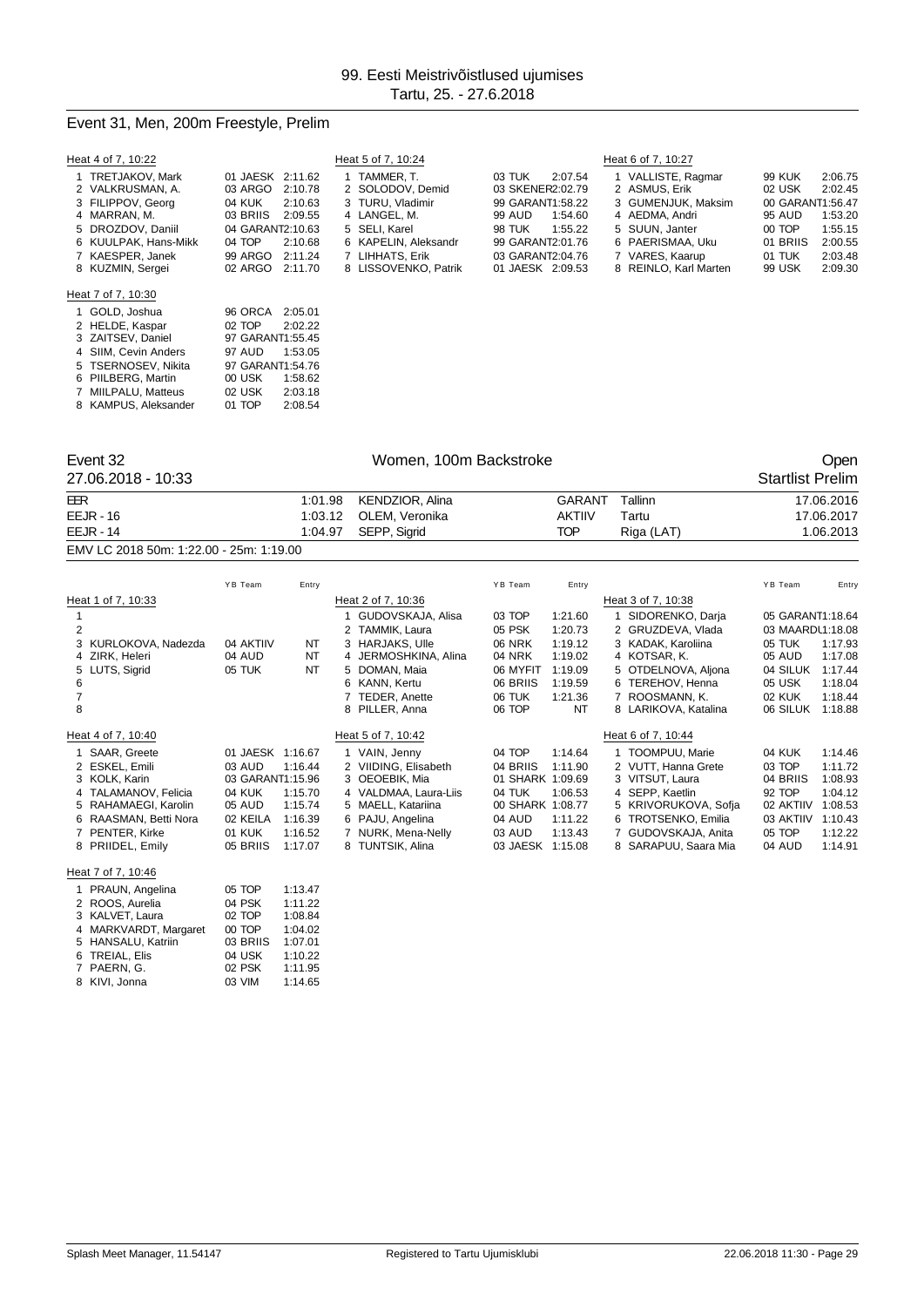#### Event 31, Men, 200m Freestyle, Prelim

 SIIM, Cevin Anders 97 AUD 1:53.05 5 TSERNOSEV, Nikita 97 GARANT1:54.76<br>6 PIILBERG, Martin 00 USK 1:58.62

| Heat 4 of 7, 10:22                                                                                                                         |                                                                                                                                                | Heat 5 of 7, 10:24                                                                                                             |                                                                                                                                             | Heat 6 of 7, 10:27                                                                                                                   |                                                                                                                                                  |
|--------------------------------------------------------------------------------------------------------------------------------------------|------------------------------------------------------------------------------------------------------------------------------------------------|--------------------------------------------------------------------------------------------------------------------------------|---------------------------------------------------------------------------------------------------------------------------------------------|--------------------------------------------------------------------------------------------------------------------------------------|--------------------------------------------------------------------------------------------------------------------------------------------------|
| 1 TRETJAKOV, Mark<br>2 VALKRUSMAN A.<br>3 FILIPPOV, Georg<br>4 MARRAN, M.<br>5 DROZDOV, Daniil<br>6 KUULPAK, Hans-Mikk<br>7 KAESPER, Janek | 01 JAESK 2:11.62<br>03 ARGO<br>2:10.78<br>04 KUK<br>2:10.63<br>03 BRIIS<br>2:09.55<br>04 GARANT2:10.63<br>04 TOP<br>2:10.68<br>99 ARGO 2:11.24 | TAMMER. T.<br>2 SOLODOV, Demid<br>3 TURU, Vladimir<br>4 LANGEL, M.<br>5 SELI, Karel<br>6 KAPELIN, Aleksandr<br>7 LIHHATS, Erik | 03 TUK<br>2:07.54<br>03 SKENER2:02.79<br>99 GARANT1:58.22<br>99 AUD<br>1:54.60<br>98 TUK<br>1:55.22<br>99 GARANT2:01.76<br>03 GARANT2:04.76 | 1 VALLISTE, Ragmar<br>2 ASMUS, Erik<br>3 GUMENJUK, Maksim<br>4 AEDMA, Andri<br>5 SUUN. Janter<br>6 PAERISMAA, Uku<br>7 VARES, Kaarup | 2:06.75<br>99 KUK<br>2:02.45<br>02 USK<br>00 GARANT1:56.47<br>1:53.20<br>95 AUD<br>00 TOP<br>1:55.15<br>01 BRIIS<br>2:00.55<br>01 TUK<br>2:03.48 |
| 8 KUZMIN, Sergei                                                                                                                           | 02 ARGO 2:11.70                                                                                                                                | 8 LISSOVENKO, Patrik                                                                                                           | 01 JAESK 2:09.53                                                                                                                            | 8 REINLO, Karl Marten                                                                                                                | 99 USK<br>2:09.30                                                                                                                                |
| Heat 7 of 7, 10:30                                                                                                                         |                                                                                                                                                |                                                                                                                                |                                                                                                                                             |                                                                                                                                      |                                                                                                                                                  |
| 1 GOLD, Joshua                                                                                                                             | 96 ORCA<br>2:05.01                                                                                                                             |                                                                                                                                |                                                                                                                                             |                                                                                                                                      |                                                                                                                                                  |
| 2 HELDE, Kaspar<br>3 ZAITSEV, Daniel                                                                                                       | 02 TOP<br>2:02.22<br>97 GARANT1:55.45                                                                                                          |                                                                                                                                |                                                                                                                                             |                                                                                                                                      |                                                                                                                                                  |

| 6 PIILBERG, Martin   | 00 USK | 1:58.62 |
|----------------------|--------|---------|
| 7 MIILPALU, Matteus  | 02 USK | 2:03.18 |
| 8 KAMPUS, Aleksander | 01 TOP | 2:08.54 |
|                      |        |         |
|                      |        |         |

Event 32 Communication of the US and Momen, 100m Backstroke Communication of the Open Communication of the Open<br>Startlist Prelim (27.06.2018 - 10:33

| 27.06.2018 - 10:33                      |  |                         |               |            |            |  |  |  |
|-----------------------------------------|--|-------------------------|---------------|------------|------------|--|--|--|
| EER                                     |  | 1:01.98 KENDZIOR, Alina | GARANT        | Tallinn    | 17.06.2016 |  |  |  |
| $EEJR - 16$                             |  | 1:03.12 OLEM. Veronika  | <b>AKTIIV</b> | Tartu      | 17.06.2017 |  |  |  |
| $EEJR - 14$                             |  | 1:04.97 SEPP. Sigrid    | TOP           | Riga (LAT) | 1.06.2013  |  |  |  |
| EMV LC 2018 50m: 1:22.00 - 25m: 1:19.00 |  |                         |               |            |            |  |  |  |

|                |                       | YB Team          | Entry   |                       | YB Team          | Entry   |                      | YB Team          | Entry   |
|----------------|-----------------------|------------------|---------|-----------------------|------------------|---------|----------------------|------------------|---------|
|                | Heat 1 of 7, 10:33    |                  |         | Heat 2 of 7, 10:36    |                  |         | Heat 3 of 7, 10:38   |                  |         |
|                |                       |                  |         | GUDOVSKAJA, Alisa     | 03 TOP           | 1:21.60 | SIDORENKO, Darja     | 05 GARANT1:18.64 |         |
| $\overline{2}$ |                       |                  |         | 2 TAMMIK, Laura       | 05 PSK           | 1:20.73 | 2 GRUZDEVA, Vlada    | 03 MAARDL1:18.08 |         |
|                | 3 KURLOKOVA, Nadezda  | 04 AKTIIV        | NT      | 3 HARJAKS, Ulle       | <b>06 NRK</b>    | 1:19.12 | 3 KADAK, Karoliina   | 05 TUK           | 1:17.93 |
|                | 4 ZIRK, Heleri        | 04 AUD           | NT      | 4 JERMOSHKINA, Alina  | 04 NRK           | 1:19.02 | 4 KOTSAR, K.         | 05 AUD           | 1:17.08 |
|                | 5 LUTS, Sigrid        | 05 TUK           | NT      | 5 DOMAN, Maia         | 06 MYFIT         | 1:19.09 | 5 OTDELNOVA, Aljona  | 04 SILUK         | 1:17.44 |
| 6.             |                       |                  |         | 6 KANN, Kertu         | 06 BRIIS         | 1:19.59 | 6 TEREHOV, Henna     | 05 USK           | 1:18.04 |
|                |                       |                  |         | <b>TEDER, Anette</b>  | 06 TUK           | 1:21.36 | 7 ROOSMANN, K.       | 02 KUK           | 1:18.44 |
| 8              |                       |                  |         | 8 PILLER, Anna        | 06 TOP           | NT      | 8 LARIKOVA, Katalina | 06 SILUK         | 1:18.88 |
|                | Heat 4 of 7, 10:40    |                  |         | Heat 5 of 7, 10:42    |                  |         | Heat 6 of 7, 10:44   |                  |         |
|                | 1 SAAR, Greete        | 01 JAESK         | 1:16.67 | VAIN, Jenny           | 04 TOP           | 1:14.64 | 1 TOOMPUU, Marie     | 04 KUK           | 1:14.46 |
|                | 2 ESKEL, Emili        | 03 AUD           | 1:16.44 | 2 VIIDING, Elisabeth  | 04 BRIIS         | 1:11.90 | 2 VUTT, Hanna Grete  | 03 TOP           | 1:11.72 |
|                | 3 KOLK, Karin         | 03 GARANT1:15.96 |         | 3 OEOEBIK, Mia        | 01 SHARK 1:09.69 |         | 3 VITSUT, Laura      | 04 BRIIS         | 1:08.93 |
|                | 4 TALAMANOV. Felicia  | 04 KUK           | 1:15.70 | 4 VALDMAA, Laura-Liis | 04 TUK           | 1:06.53 | 4 SEPP. Kaetlin      | 92 TOP           | 1:04.12 |
|                | 5 RAHAMAEGI, Karolin  | 05 AUD           | 1:15.74 | 5 MAELL, Katariina    | 00 SHARK 1:08.77 |         | 5 KRIVORUKOVA, Sofja | 02 AKTIIV        | 1:08.53 |
|                | 6 RAASMAN, Betti Nora | 02 KEILA         | 1:16.39 | 6 PAJU, Angelina      | 04 AUD           | 1:11.22 | 6 TROTSENKO, Emilia  | 03 AKTIIV        | 1:10.43 |
|                | 7 PENTER, Kirke       | 01 KUK           | 1:16.52 | 7 NURK, Mena-Nelly    | 03 AUD           | 1:13.43 | 7 GUDOVSKAJA, Anita  | 05 TOP           | 1:12.22 |
|                | 8 PRIIDEL, Emily      | 05 BRIIS         | 1:17.07 | 8 TUNTSIK, Alina      | 03 JAESK         | 1:15.08 | 8 SARAPUU, Saara Mia | 04 AUD           | 1:14.91 |
|                |                       |                  |         |                       |                  |         |                      |                  |         |

Heat 7 of 7, 10:46

| 1 PRAUN, Angelina     | 05 TOP   | 1:13.47 |
|-----------------------|----------|---------|
| 2 ROOS, Aurelia       | 04 PSK   | 1:11.22 |
| 3 KALVET, Laura       | 02 TOP   | 1:08.84 |
| 4 MARKVARDT, Margaret | 00 TOP   | 1:04.02 |
| 5 HANSALU, Katriin    | 03 BRIIS | 1:07.01 |
| 6 TREIAL, Elis        | 04 USK   | 1:10.22 |
| 7 PAERN, G.           | 02 PSK   | 1:11.95 |
| 8 KIVI, Jonna         | 03 VIM   | 1:14.65 |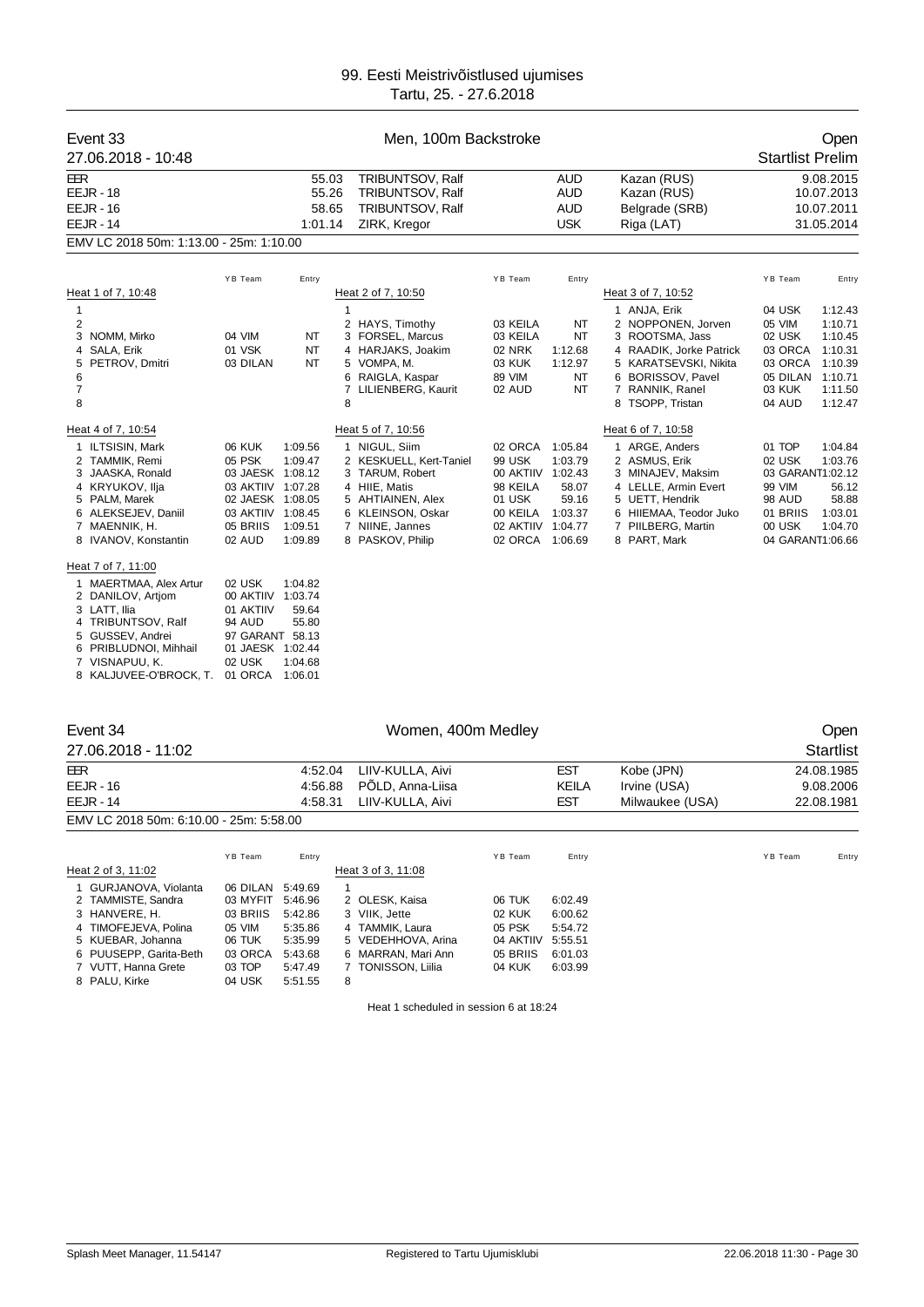| Event 33<br>27.06.2018 - 10:48                                                                                                                                                                   |                                                                                                                                 | Men, 100m Backstroke                            |                                                                                                                                                                                     |                                                                                                                 |                                                            |                                                                                                                                                                                             |                                                                                                           |                                                                                               |  |
|--------------------------------------------------------------------------------------------------------------------------------------------------------------------------------------------------|---------------------------------------------------------------------------------------------------------------------------------|-------------------------------------------------|-------------------------------------------------------------------------------------------------------------------------------------------------------------------------------------|-----------------------------------------------------------------------------------------------------------------|------------------------------------------------------------|---------------------------------------------------------------------------------------------------------------------------------------------------------------------------------------------|-----------------------------------------------------------------------------------------------------------|-----------------------------------------------------------------------------------------------|--|
| EER<br><b>EEJR - 18</b><br><b>EEJR - 16</b><br><b>EEJR - 14</b><br>EMV LC 2018 50m: 1:13.00 - 25m: 1:10.00                                                                                       | 55.03<br>TRIBUNTSOV, Ralf<br>55.26<br><b>TRIBUNTSOV, Ralf</b><br>58.65<br>TRIBUNTSOV, Ralf<br>1:01.14<br>ZIRK, Kregor           |                                                 | <b>AUD</b><br><b>AUD</b><br><b>AUD</b><br><b>USK</b>                                                                                                                                |                                                                                                                 | Kazan (RUS)<br>Kazan (RUS)<br>Belgrade (SRB)<br>Riga (LAT) |                                                                                                                                                                                             | 9.08.2015<br>10.07.2013<br>10.07.2011<br>31.05.2014                                                       |                                                                                               |  |
| Heat 1 of 7, 10:48<br>1<br>2<br>3 NOMM, Mirko<br>4 SALA, Erik<br>5 PETROV, Dmitri<br>6<br>7<br>8                                                                                                 | YB Team<br>04 VIM<br>01 VSK<br>03 DILAN                                                                                         | Entry<br>NT<br><b>NT</b><br>NT                  | Heat 2 of 7, 10:50<br>$\mathbf{1}$<br>2 HAYS, Timothy<br>3 FORSEL, Marcus<br>4 HARJAKS, Joakim<br>5 VOMPA, M.<br>6 RAIGLA, Kaspar<br>7<br>LILIENBERG, Kaurit<br>8                   | YB Team<br>03 KEILA<br>03 KEILA<br><b>02 NRK</b><br><b>03 KUK</b><br>89 VIM<br>02 AUD                           | Entry<br>NT<br>NT<br>1:12.68<br>1:12.97<br><b>NT</b><br>NT | Heat 3 of 7, 10:52<br>1 ANJA, Erik<br>2 NOPPONEN, Jorven<br>3 ROOTSMA, Jass<br>4 RAADIK, Jorke Patrick<br>5 KARATSEVSKI, Nikita<br>6 BORISSOV, Pavel<br>7 RANNIK, Ranel<br>8 TSOPP, Tristan | YB Team<br>04 USK<br>05 VIM<br>02 USK<br>03 ORCA<br>03 ORCA<br>05 DILAN<br>03 KUK<br>04 AUD               | Entry<br>1:12.43<br>1:10.71<br>1:10.45<br>1:10.31<br>1:10.39<br>1:10.71<br>1:11.50<br>1:12.47 |  |
| Heat 4 of 7, 10:54<br>1 ILTSISIN, Mark<br>2 TAMMIK, Remi<br>3 JAASKA, Ronald<br>4 KRYUKOV, Ilja<br>5 PALM, Marek<br>6 ALEKSEJEV, Daniil<br>7 MAENNIK, H.<br>8 IVANOV, Konstantin                 | <b>06 KUK</b><br>05 PSK<br>03 JAESK 1:08.12<br>03 AKTIIV 1:07.28<br>02 JAESK 1:08.05<br>03 AKTIIV 1:08.45<br>05 BRIIS<br>02 AUD | 1:09.56<br>1:09.47<br>1:09.51<br>1:09.89        | Heat 5 of 7, 10:56<br>1 NIGUL, Siim<br>2 KESKUELL, Kert-Taniel<br>3 TARUM, Robert<br>4 HIIE, Matis<br>5 AHTIAINEN, Alex<br>6 KLEINSON, Oskar<br>7 NIINE, Jannes<br>8 PASKOV, Philip | 02 ORCA<br><b>99 USK</b><br>00 AKTIIV 1:02.43<br>98 KEILA<br>01 USK<br>00 KEILA<br>02 AKTIIV<br>02 ORCA 1:06.69 | 1:05.84<br>1:03.79<br>58.07<br>59.16<br>1:03.37<br>1:04.77 | Heat 6 of 7, 10:58<br>1 ARGE, Anders<br>2 ASMUS, Erik<br>3 MINAJEV, Maksim<br>4 LELLE, Armin Evert<br>5 UETT, Hendrik<br>6 HIIEMAA, Teodor Juko<br>7 PIILBERG, Martin<br>8 PART, Mark       | 01 TOP<br>02 USK<br>03 GARANT1:02.12<br>99 VIM<br><b>98 AUD</b><br>01 BRIIS<br>00 USK<br>04 GARANT1:06.66 | 1:04.84<br>1:03.76<br>56.12<br>58.88<br>1:03.01<br>1:04.70                                    |  |
| Heat 7 of 7, 11:00<br>1 MAERTMAA, Alex Artur<br>2 DANILOV, Artjom<br>3 LATT, Ilia<br>4 TRIBUNTSOV, Ralf<br>5 GUSSEV, Andrei<br>6 PRIBLUDNOI, Mihhail<br>7 VISNAPUU, K.<br>8 KALJUVEE-O'BROCK, T. | 02 USK<br>00 AKTIIV 1:03.74<br>01 AKTIIV<br>94 AUD<br>97 GARANT 58.13<br>01 JAESK 1:02.44<br>02 USK<br>01 ORCA                  | 1:04.82<br>59.64<br>55.80<br>1:04.68<br>1:06.01 |                                                                                                                                                                                     |                                                                                                                 |                                                            |                                                                                                                                                                                             |                                                                                                           |                                                                                               |  |

| Event 34                                |          |         |   | Open               |           |              |                 |            |                  |
|-----------------------------------------|----------|---------|---|--------------------|-----------|--------------|-----------------|------------|------------------|
| 27.06.2018 - 11:02                      |          |         |   |                    |           |              |                 |            | <b>Startlist</b> |
| EER                                     |          | 4:52.04 |   | LIIV-KULLA, Aivi   |           | <b>EST</b>   | Kobe (JPN)      |            | 24.08.1985       |
| $EEJR - 16$                             |          | 4:56.88 |   | PÖLD, Anna-Liisa   |           | <b>KEILA</b> | Irvine (USA)    |            | 9.08.2006        |
| $EEJR - 14$                             |          | 4:58.31 |   | LIIV-KULLA, Aivi   |           | <b>EST</b>   | Milwaukee (USA) | 22.08.1981 |                  |
| EMV LC 2018 50m: 6:10.00 - 25m: 5:58.00 |          |         |   |                    |           |              |                 |            |                  |
|                                         | YB Team  | Entry   |   |                    | YB Team   | Entry        |                 | YB Team    | Entry            |
| Heat 2 of 3, 11:02                      |          |         |   | Heat 3 of 3, 11:08 |           |              |                 |            |                  |
| 1 GURJANOVA, Violanta                   | 06 DILAN | 5:49.69 | 1 |                    |           |              |                 |            |                  |
| 2 TAMMISTE, Sandra                      | 03 MYFIT | 5:46.96 |   | 2 OLESK, Kaisa     | 06 TUK    | 6:02.49      |                 |            |                  |
| 3 HANVERE, H.                           | 03 BRIIS | 5:42.86 |   | 3 VIIK, Jette      | 02 KUK    | 6:00.62      |                 |            |                  |
| 4 TIMOFEJEVA, Polina                    | 05 VIM   | 5:35.86 |   | 4 TAMMIK, Laura    | 05 PSK    | 5:54.72      |                 |            |                  |
| 5 KUEBAR, Johanna                       | 06 TUK   | 5:35.99 |   | 5 VEDEHHOVA, Arina | 04 AKTIIV | 5:55.51      |                 |            |                  |
| 6 PUUSEPP, Garita-Beth                  | 03 ORCA  | 5:43.68 |   | 6 MARRAN, Mari Ann | 05 BRIIS  | 6:01.03      |                 |            |                  |
| 7 VUTT, Hanna Grete                     | 03 TOP   | 5:47.49 |   | 7 TONISSON, Liilia | 04 KUK    | 6:03.99      |                 |            |                  |
| 8 PALU, Kirke                           | 04 USK   | 5:51.55 | 8 |                    |           |              |                 |            |                  |

Heat 1 scheduled in session 6 at 18:24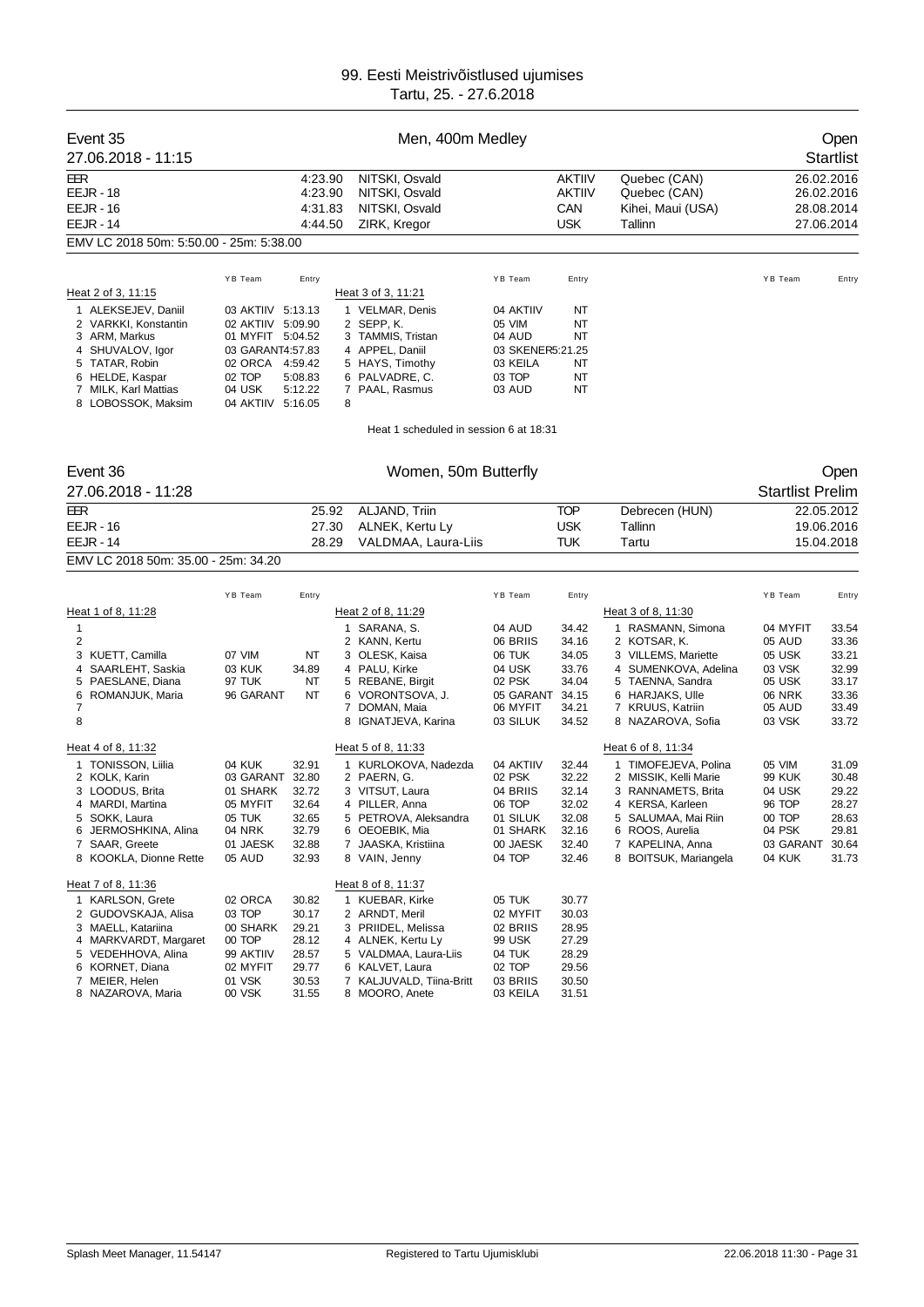|                                  | Event 35<br>27.06.2018 - 11:15                                                                                                                                         |                                                                                                                       | Open<br><b>Startlist</b>                                             |                         |                                                                                                                                                                        |                                                                                         |                                                                      |                                                                                                                                                                                |                                                                                 |                                                                      |
|----------------------------------|------------------------------------------------------------------------------------------------------------------------------------------------------------------------|-----------------------------------------------------------------------------------------------------------------------|----------------------------------------------------------------------|-------------------------|------------------------------------------------------------------------------------------------------------------------------------------------------------------------|-----------------------------------------------------------------------------------------|----------------------------------------------------------------------|--------------------------------------------------------------------------------------------------------------------------------------------------------------------------------|---------------------------------------------------------------------------------|----------------------------------------------------------------------|
| EER                              | <b>EEJR - 18</b><br><b>EEJR - 16</b><br><b>EEJR - 14</b>                                                                                                               |                                                                                                                       | 4:23.90<br>4:23.90<br>4:31.83<br>4:44.50                             |                         | NITSKI, Osvald<br>NITSKI, Osvald<br>NITSKI, Osvald<br>ZIRK, Kregor                                                                                                     |                                                                                         | AKTIIV<br><b>AKTIIV</b><br>CAN<br><b>USK</b>                         | Quebec (CAN)<br>Quebec (CAN)<br>Kihei, Maui (USA)<br>Tallinn                                                                                                                   |                                                                                 | 26.02.2016<br>26.02.2016<br>28.08.2014<br>27.06.2014                 |
|                                  | EMV LC 2018 50m: 5:50.00 - 25m: 5:38.00                                                                                                                                |                                                                                                                       |                                                                      |                         |                                                                                                                                                                        |                                                                                         |                                                                      |                                                                                                                                                                                |                                                                                 |                                                                      |
|                                  | Heat 2 of 3, 11:15<br>1 ALEKSEJEV, Daniil                                                                                                                              | YB Team<br>03 AKTIIV 5:13.13                                                                                          | Entry                                                                |                         | Heat 3 of 3, 11:21<br>1 VELMAR, Denis                                                                                                                                  | YB Team<br>04 AKTIIV                                                                    | Entry<br>NT                                                          |                                                                                                                                                                                | YB Team                                                                         | Entry                                                                |
|                                  | 2 VARKKI, Konstantin<br>3 ARM, Markus<br>4 SHUVALOV, Igor<br>5 TATAR, Robin<br>6 HELDE, Kaspar<br>7 MILK, Karl Mattias<br>8 LOBOSSOK, Maksim                           | 02 AKTIIV 5:09.90<br>01 MYFIT 5:04.52<br>03 GARANT4:57.83<br>02 ORCA 4:59.42<br>02 TOP<br>04 USK<br>04 AKTIIV 5:16.05 | 5:08.83<br>5:12.22                                                   | 8                       | 2 SEPP, K.<br>3 TAMMIS, Tristan<br>4 APPEL, Daniil<br>5 HAYS, Timothy<br>6 PALVADRE, C.<br>7 PAAL, Rasmus                                                              | 05 VIM<br>04 AUD<br>03 SKENER5:21.25<br>03 KEILA<br>03 TOP<br>03 AUD                    | NT<br>NT<br>NT<br>NT<br>NT                                           |                                                                                                                                                                                |                                                                                 |                                                                      |
|                                  |                                                                                                                                                                        |                                                                                                                       |                                                                      |                         | Heat 1 scheduled in session 6 at 18:31                                                                                                                                 |                                                                                         |                                                                      |                                                                                                                                                                                |                                                                                 |                                                                      |
|                                  |                                                                                                                                                                        |                                                                                                                       |                                                                      |                         |                                                                                                                                                                        |                                                                                         |                                                                      |                                                                                                                                                                                |                                                                                 |                                                                      |
|                                  | Event 36                                                                                                                                                               |                                                                                                                       |                                                                      |                         | Women, 50m Butterfly                                                                                                                                                   |                                                                                         |                                                                      |                                                                                                                                                                                |                                                                                 | Open                                                                 |
|                                  | 27.06.2018 - 11:28                                                                                                                                                     |                                                                                                                       |                                                                      |                         |                                                                                                                                                                        |                                                                                         |                                                                      |                                                                                                                                                                                | <b>Startlist Prelim</b>                                                         |                                                                      |
| EER                              | <b>EEJR - 16</b><br><b>EEJR - 14</b>                                                                                                                                   |                                                                                                                       |                                                                      | 25.92<br>27.30<br>28.29 | ALJAND, Triin<br>ALNEK, Kertu Ly<br>VALDMAA, Laura-Liis                                                                                                                |                                                                                         | <b>TOP</b><br><b>USK</b><br><b>TUK</b>                               | Debrecen (HUN)<br>Tallinn<br>Tartu                                                                                                                                             |                                                                                 | 22.05.2012<br>19.06.2016<br>15.04.2018                               |
|                                  | EMV LC 2018 50m: 35.00 - 25m: 34.20                                                                                                                                    |                                                                                                                       |                                                                      |                         |                                                                                                                                                                        |                                                                                         |                                                                      |                                                                                                                                                                                |                                                                                 |                                                                      |
|                                  |                                                                                                                                                                        | YB Team                                                                                                               | Entry                                                                |                         |                                                                                                                                                                        | YB Team                                                                                 | Entry                                                                |                                                                                                                                                                                | YB Team                                                                         | Entry                                                                |
|                                  | Heat 1 of 8, 11:28                                                                                                                                                     |                                                                                                                       |                                                                      |                         | Heat 2 of 8, 11:29                                                                                                                                                     |                                                                                         |                                                                      | Heat 3 of 8, 11:30                                                                                                                                                             |                                                                                 |                                                                      |
| $\mathbf{1}$<br>2<br>4<br>6<br>7 | 3 KUETT, Camilla<br>SAARLEHT, Saskia<br>5 PAESLANE, Diana<br>ROMANJUK, Maria                                                                                           | 07 VIM<br>03 KUK<br>97 TUK<br>96 GARANT                                                                               | ΝT<br>34.89<br>NT<br>NT                                              |                         | 1 SARANA, S.<br>2 KANN, Kertu<br>3 OLESK, Kaisa<br>4 PALU, Kirke<br>5 REBANE, Birgit<br>6 VORONTSOVA, J.<br>7 DOMAN, Maia                                              | 04 AUD<br>06 BRIIS<br>06 TUK<br>04 USK<br>02 PSK<br>05 GARANT<br>06 MYFIT               | 34.42<br>34.16<br>34.05<br>33.76<br>34.04<br>34.15<br>34.21          | 1 RASMANN, Simona<br>2 KOTSAR, K.<br>3 VILLEMS, Mariette<br>4 SUMENKOVA, Adelina<br>5 TAENNA, Sandra<br>6 HARJAKS, Ulle<br>7 KRUUS, Katriin                                    | 04 MYFIT<br>05 AUD<br>05 USK<br>03 VSK<br>05 USK<br><b>06 NRK</b><br>05 AUD     | 33.54<br>33.36<br>33.21<br>32.99<br>33.17<br>33.36<br>33.49          |
| 8                                |                                                                                                                                                                        |                                                                                                                       |                                                                      |                         | 8 IGNATJEVA, Karina                                                                                                                                                    | 03 SILUK                                                                                | 34.52                                                                | 8 NAZAROVA, Sofia                                                                                                                                                              | 03 VSK                                                                          | 33.72                                                                |
|                                  | Heat 4 of 8, 11:32                                                                                                                                                     |                                                                                                                       |                                                                      |                         | Heat 5 of 8, 11:33                                                                                                                                                     |                                                                                         |                                                                      | Heat 6 of 8, 11:34                                                                                                                                                             |                                                                                 |                                                                      |
|                                  | 1 TONISSON, Liilia<br>2 KOLK, Karin<br>3 LOODUS, Brita<br>4 MARDI, Martina<br>5 SOKK, Laura<br>6 JERMOSHKINA, Alina<br>7 SAAR, Greete<br>8 KOOKLA, Dionne Rette        | 04 KUK<br>03 GARANT 32.80<br>01 SHARK<br>05 MYFIT<br>05 TUK<br>04 NRK<br>01 JAESK<br>05 AUD                           | 32.91<br>32.72<br>32.64<br>32.65<br>32.79<br>32.88<br>32.93          |                         | 1 KURLOKOVA, Nadezda<br>2 PAERN, G.<br>3 VITSUT, Laura<br>4 PILLER, Anna<br>5 PETROVA, Aleksandra<br>6 OEOEBIK, Mia<br>7 JAASKA, Kristiina<br>8 VAIN, Jenny            | 04 AKTIIV<br>02 PSK<br>04 BRIIS<br>06 TOP<br>01 SILUK<br>01 SHARK<br>00 JAESK<br>04 TOP | 32.44<br>32.22<br>32.14<br>32.02<br>32.08<br>32.16<br>32.40<br>32.46 | 1 TIMOFEJEVA, Polina<br>2 MISSIK, Kelli Marie<br>3 RANNAMETS, Brita<br>4 KERSA, Karleen<br>5 SALUMAA, Mai Riin<br>6 ROOS, Aurelia<br>7 KAPELINA, Anna<br>8 BOITSUK, Mariangela | 05 VIM<br>99 KUK<br>04 USK<br>96 TOP<br>00 TOP<br>04 PSK<br>03 GARANT<br>04 KUK | 31.09<br>30.48<br>29.22<br>28.27<br>28.63<br>29.81<br>30.64<br>31.73 |
|                                  | Heat 7 of 8, 11:36                                                                                                                                                     |                                                                                                                       |                                                                      |                         | Heat 8 of 8, 11:37                                                                                                                                                     |                                                                                         |                                                                      |                                                                                                                                                                                |                                                                                 |                                                                      |
|                                  | 1 KARLSON, Grete<br>2 GUDOVSKAJA, Alisa<br>3 MAELL, Katariina<br>4 MARKVARDT, Margaret<br>5 VEDEHHOVA, Alina<br>6 KORNET, Diana<br>7 MEIER, Helen<br>8 NAZAROVA, Maria | 02 ORCA<br>03 TOP<br>00 SHARK<br>00 TOP<br>99 AKTIIV<br>02 MYFIT<br>01 VSK<br>00 VSK                                  | 30.82<br>30.17<br>29.21<br>28.12<br>28.57<br>29.77<br>30.53<br>31.55 |                         | 1 KUEBAR, Kirke<br>2 ARNDT, Meril<br>3 PRIIDEL, Melissa<br>4 ALNEK, Kertu Ly<br>5 VALDMAA, Laura-Liis<br>6 KALVET, Laura<br>7 KALJUVALD, Tiina-Britt<br>8 MOORO, Anete | 05 TUK<br>02 MYFIT<br>02 BRIIS<br>99 USK<br>04 TUK<br>02 TOP<br>03 BRIIS<br>03 KEILA    | 30.77<br>30.03<br>28.95<br>27.29<br>28.29<br>29.56<br>30.50<br>31.51 |                                                                                                                                                                                |                                                                                 |                                                                      |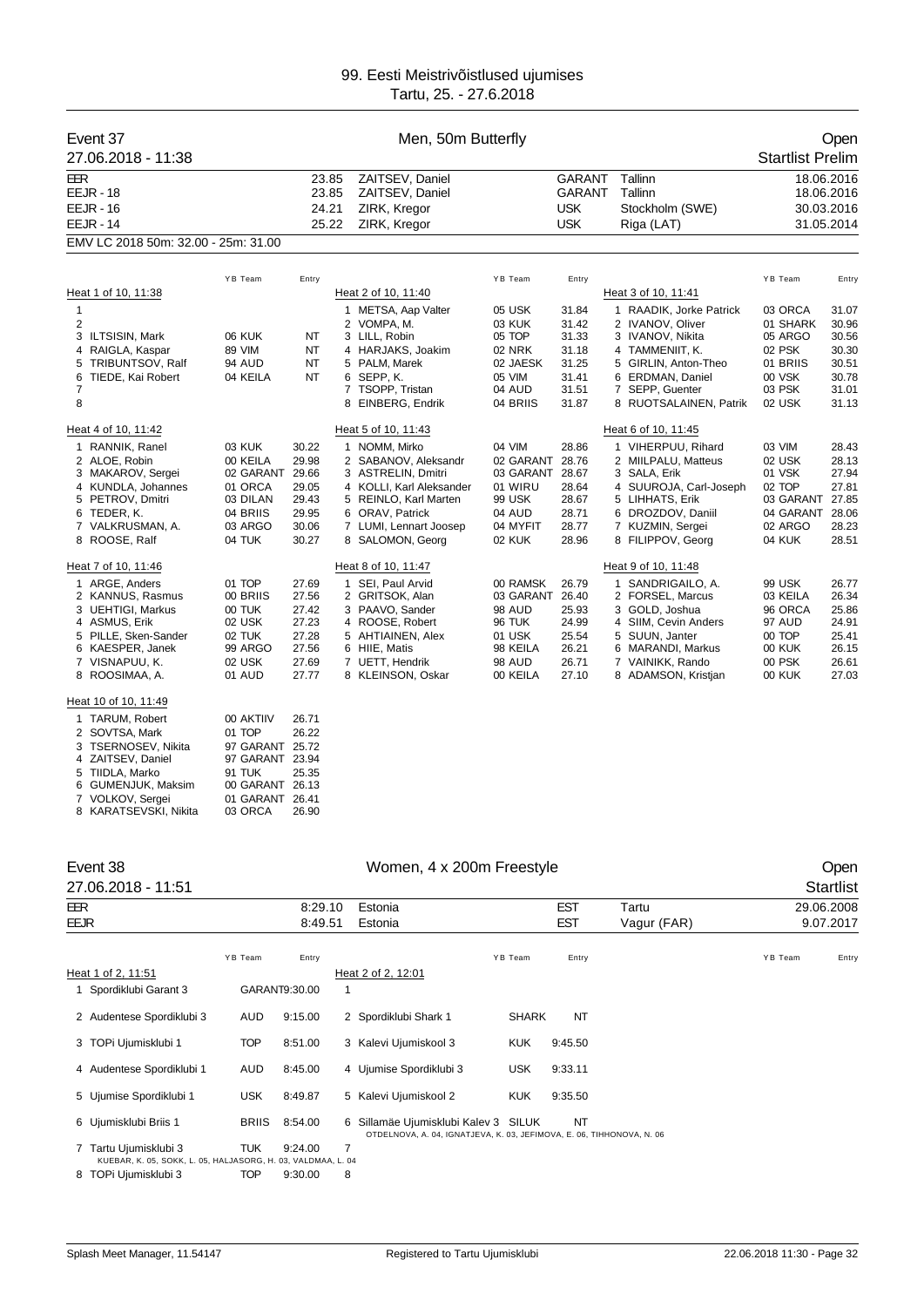| Event 37<br>27.06.2018 - 11:38                                                                                                                                                                                                               |                                                                                                        |                                                                                        | Men, 50m Butterfly                                                                                                                                                              |                                                                                                            |                                                                      |                                                                                                                                                                                                    | <b>Startlist Prelim</b>                                                                | Open                                                                 |
|----------------------------------------------------------------------------------------------------------------------------------------------------------------------------------------------------------------------------------------------|--------------------------------------------------------------------------------------------------------|----------------------------------------------------------------------------------------|---------------------------------------------------------------------------------------------------------------------------------------------------------------------------------|------------------------------------------------------------------------------------------------------------|----------------------------------------------------------------------|----------------------------------------------------------------------------------------------------------------------------------------------------------------------------------------------------|----------------------------------------------------------------------------------------|----------------------------------------------------------------------|
| <b>EER</b><br><b>EEJR - 18</b><br>$EEJR - 16$<br><b>EEJR - 14</b>                                                                                                                                                                            | 23.85<br>ZAITSEV, Daniel<br>23.85<br>ZAITSEV, Daniel<br>24.21<br>ZIRK, Kregor<br>25.22<br>ZIRK, Kregor |                                                                                        |                                                                                                                                                                                 | <b>GARANT</b><br><b>GARANT</b><br><b>USK</b><br><b>USK</b>                                                 | Tallinn<br>Tallinn<br>Stockholm (SWE)<br>Riga (LAT)                  |                                                                                                                                                                                                    | 18.06.2016<br>18.06.2016<br>30.03.2016<br>31.05.2014                                   |                                                                      |
| EMV LC 2018 50m: 32.00 - 25m: 31.00                                                                                                                                                                                                          |                                                                                                        |                                                                                        |                                                                                                                                                                                 |                                                                                                            |                                                                      |                                                                                                                                                                                                    |                                                                                        |                                                                      |
|                                                                                                                                                                                                                                              | YB Team                                                                                                | Entry                                                                                  |                                                                                                                                                                                 | YB Team                                                                                                    | Entry                                                                |                                                                                                                                                                                                    | YB Team                                                                                | Entry                                                                |
| Heat 1 of 10, 11:38<br>$\mathbf{1}$<br>2<br>3 ILTSISIN, Mark<br>4 RAIGLA, Kaspar<br>TRIBUNTSOV, Ralf<br>5<br>TIEDE, Kai Robert<br>6<br>7<br>8                                                                                                | 06 KUK<br>89 VIM<br><b>94 AUD</b><br>04 KEILA                                                          | NT<br>NT<br>NT<br>NT                                                                   | Heat 2 of 10, 11:40<br>1 METSA, Aap Valter<br>2 VOMPA, M.<br>3 LILL, Robin<br>4 HARJAKS, Joakim<br>5 PALM, Marek<br>6 SEPP, K.<br>7 TSOPP, Tristan<br>8 EINBERG, Endrik         | 05 USK<br>03 KUK<br>05 TOP<br><b>02 NRK</b><br>02 JAESK<br>05 VIM<br>04 AUD<br>04 BRIIS                    | 31.84<br>31.42<br>31.33<br>31.18<br>31.25<br>31.41<br>31.51<br>31.87 | Heat 3 of 10, 11:41<br>1 RAADIK, Jorke Patrick<br>2 IVANOV, Oliver<br>3 IVANOV, Nikita<br>4 TAMMENIIT, K.<br>5 GIRLIN, Anton-Theo<br>6 ERDMAN, Daniel<br>7 SEPP, Guenter<br>8 RUOTSALAINEN, Patrik | 03 ORCA<br>01 SHARK<br>05 ARGO<br>02 PSK<br>01 BRIIS<br>00 VSK<br>03 PSK<br>02 USK     | 31.07<br>30.96<br>30.56<br>30.30<br>30.51<br>30.78<br>31.01<br>31.13 |
| Heat 4 of 10, 11:42<br>1 RANNIK, Ranel<br>2 ALOE, Robin<br>3 MAKAROV, Sergei<br>4 KUNDLA, Johannes<br>5 PETROV, Dmitri                                                                                                                       | 03 KUK<br>00 KEILA<br>02 GARANT<br>01 ORCA<br>03 DILAN                                                 | 30.22<br>29.98<br>29.66<br>29.05<br>29.43                                              | Heat 5 of 10, 11:43<br>1 NOMM, Mirko<br>2 SABANOV, Aleksandr<br>3 ASTRELIN, Dmitri<br>4 KOLLI, Karl Aleksander<br>5 REINLO, Karl Marten                                         | 04 VIM<br>02 GARANT<br>03 GARANT<br>01 WIRU<br>99 USK                                                      | 28.86<br>28.76<br>28.67<br>28.64<br>28.67                            | Heat 6 of 10, 11:45<br>1 VIHERPUU, Rihard<br>2 MIILPALU, Matteus<br>3 SALA, Erik<br>4 SUUROJA, Carl-Joseph<br>5 LIHHATS, Erik                                                                      | 03 VIM<br>02 USK<br>01 VSK<br>02 TOP<br>03 GARANT                                      | 28.43<br>28.13<br>27.94<br>27.81<br>27.85                            |
| 6 TEDER, K.<br>7 VALKRUSMAN, A.<br>8 ROOSE, Ralf                                                                                                                                                                                             | 04 BRIIS<br>03 ARGO<br>04 TUK                                                                          | 29.95<br>30.06<br>30.27                                                                | 6 ORAV, Patrick<br>7 LUMI, Lennart Joosep<br>8 SALOMON, Georg                                                                                                                   | 04 AUD<br>04 MYFIT<br>02 KUK                                                                               | 28.71<br>28.77<br>28.96                                              | 6 DROZDOV, Daniil<br>7 KUZMIN, Sergei<br>8 FILIPPOV, Georg                                                                                                                                         | 04 GARANT<br>02 ARGO<br>04 KUK                                                         | 28.06<br>28.23<br>28.51                                              |
| Heat 7 of 10, 11:46<br>1 ARGE, Anders<br>2 KANNUS, Rasmus<br>3 UEHTIGI, Markus<br>4 ASMUS, Erik<br>5 PILLE, Sken-Sander<br>6 KAESPER, Janek<br>7 VISNAPUU, K.<br>8 ROOSIMAA, A.<br>Heat 10 of 10, 11:49<br>1 TARUM, Robert<br>2 SOVTSA, Mark | 01 TOP<br>00 BRIIS<br>00 TUK<br>02 USK<br>02 TUK<br>99 ARGO<br>02 USK<br>01 AUD<br>00 AKTIIV<br>01 TOP | 27.69<br>27.56<br>27.42<br>27.23<br>27.28<br>27.56<br>27.69<br>27.77<br>26.71<br>26.22 | Heat 8 of 10, 11:47<br>1 SEI, Paul Arvid<br>2 GRITSOK, Alan<br>3 PAAVO, Sander<br>4 ROOSE, Robert<br>5 AHTIAINEN, Alex<br>6 HIIE, Matis<br>7 UETT, Hendrik<br>8 KLEINSON, Oskar | 00 RAMSK<br>03 GARANT<br><b>98 AUD</b><br><b>96 TUK</b><br>01 USK<br>98 KEILA<br><b>98 AUD</b><br>00 KEILA | 26.79<br>26.40<br>25.93<br>24.99<br>25.54<br>26.21<br>26.71<br>27.10 | Heat 9 of 10, 11:48<br>1 SANDRIGAILO, A.<br>2 FORSEL, Marcus<br>3 GOLD, Joshua<br>4 SIIM, Cevin Anders<br>5 SUUN, Janter<br>6 MARANDI, Markus<br>7 VAINIKK, Rando<br>8 ADAMSON, Kristjan           | 99 USK<br>03 KEILA<br>96 ORCA<br>97 AUD<br>00 TOP<br><b>00 KUK</b><br>00 PSK<br>00 KUK | 26.77<br>26.34<br>25.86<br>24.91<br>25.41<br>26.15<br>26.61<br>27.03 |

| 3 TSERNOSEV. Nikita   | 97 GARANT 25.72 |       |
|-----------------------|-----------------|-------|
| 4 ZAITSEV. Daniel     | 97 GARANT 23.94 |       |
| 5 TIIDLA, Marko       | 91 TUK          | 25.35 |
| 6 GUMENJUK, Maksim    | 00 GARANT 26.13 |       |
| 7 VOLKOV, Sergei      | 01 GARANT 26.41 |       |
| 8 KARATSEVSKI, Nikita | 03 ORCA 26.90   |       |

| Event 38                  |              |               |    | Women, 4 x 200m Freestyle                                                                                   |              |            |             |         | Open       |
|---------------------------|--------------|---------------|----|-------------------------------------------------------------------------------------------------------------|--------------|------------|-------------|---------|------------|
| 27.06.2018 - 11:51        |              |               |    |                                                                                                             |              |            |             |         | Startlist  |
| EER                       |              | 8:29.10       |    | Estonia                                                                                                     |              | <b>EST</b> | Tartu       |         | 29.06.2008 |
| <b>EEJR</b>               |              | 8:49.51       |    | Estonia                                                                                                     |              | <b>EST</b> | Vagur (FAR) |         | 9.07.2017  |
|                           | YB Team      | Entry         |    |                                                                                                             | YB Team      | Entry      |             | YB Team | Entry      |
| Heat 1 of 2, 11:51        |              |               |    | Heat 2 of 2, 12:01                                                                                          |              |            |             |         |            |
| Spordiklubi Garant 3      |              | GARANT9:30.00 |    |                                                                                                             |              |            |             |         |            |
| 2 Audentese Spordiklubi 3 | AUD          | 9:15.00       |    | 2 Spordiklubi Shark 1                                                                                       | <b>SHARK</b> | NT         |             |         |            |
| 3 TOPi Ujumisklubi 1      | <b>TOP</b>   | 8:51.00       |    | 3 Kalevi Ujumiskool 3                                                                                       | <b>KUK</b>   | 9:45.50    |             |         |            |
| 4 Audentese Spordiklubi 1 | AUD          | 8:45.00       |    | 4 Ujumise Spordiklubi 3                                                                                     | <b>USK</b>   | 9:33.11    |             |         |            |
| 5 Ujumise Spordiklubi 1   | <b>USK</b>   | 8:49.87       |    | 5 Kalevi Ujumiskool 2                                                                                       | <b>KUK</b>   | 9:35.50    |             |         |            |
| 6 Ujumisklubi Briis 1     | <b>BRIIS</b> | 8:54.00       | 6. | Sillamäe Ujumisklubi Kalev 3 SILUK<br>OTDELNOVA, A. 04, IGNATJEVA, K. 03, JEFIMOVA, E. 06, TIHHONOVA, N. 06 |              | NT         |             |         |            |

 Tartu Ujumisklubi 3 TUK 9:24.00 7 KUEBAR, K. 05, SOKK, L. 05, HALJASORG, H. 03, VALDMAA, L. 04 TOPi Ujumisklubi 3 TOP 9:30.00 8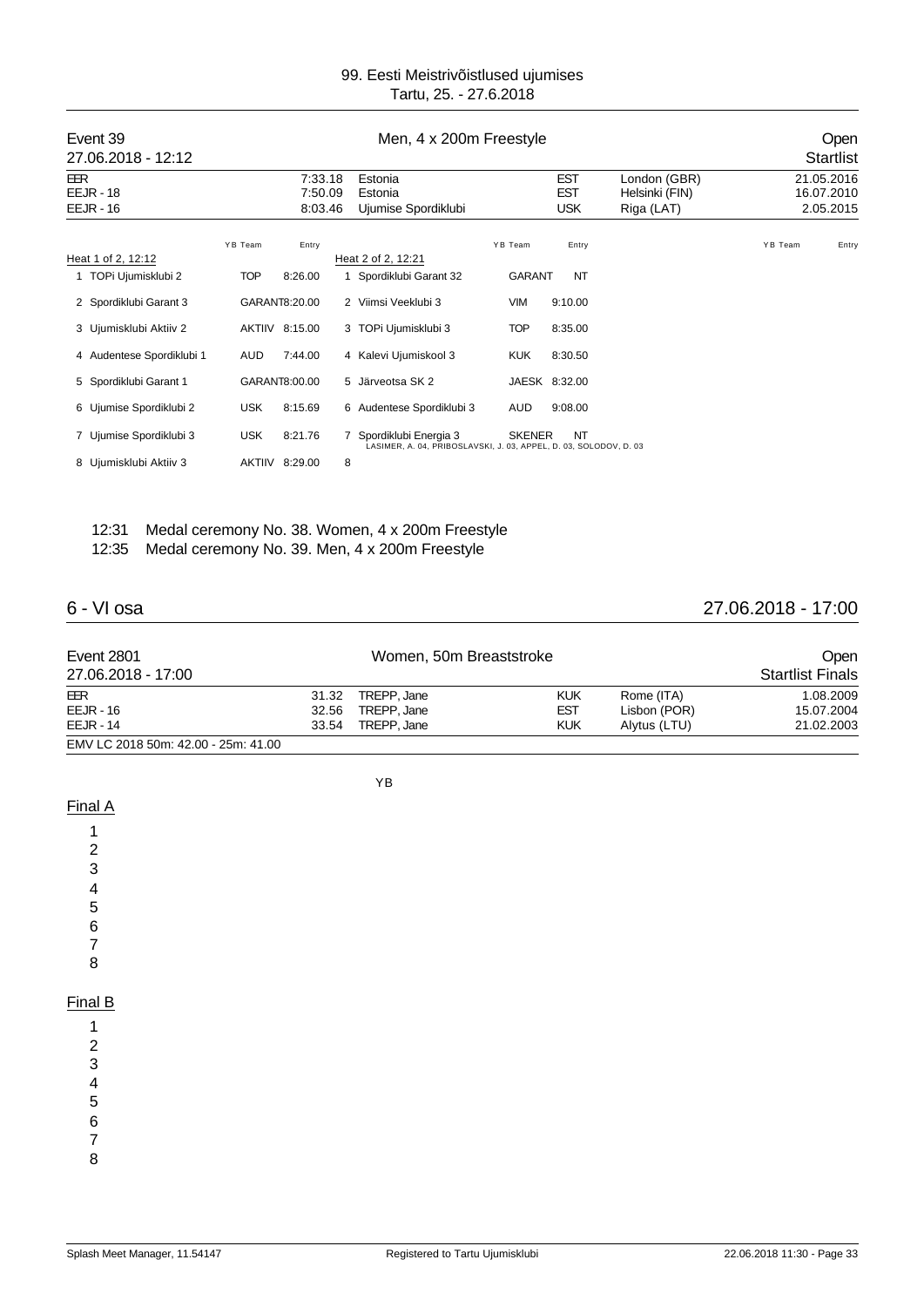| Event 39<br>27.06.2018 - 12:12           | Men, 4 x 200m Freestyle |                               |   |                                                                                              | Open<br><b>Startlist</b> |                                        |                                              |         |                                       |
|------------------------------------------|-------------------------|-------------------------------|---|----------------------------------------------------------------------------------------------|--------------------------|----------------------------------------|----------------------------------------------|---------|---------------------------------------|
| <b>EER</b><br>$EEJR - 18$<br>$EEJR - 16$ |                         | 7:33.18<br>7:50.09<br>8:03.46 |   | Estonia<br>Estonia<br>Ujumise Spordiklubi                                                    |                          | <b>EST</b><br><b>EST</b><br><b>USK</b> | London (GBR)<br>Helsinki (FIN)<br>Riga (LAT) |         | 21.05.2016<br>16.07.2010<br>2.05.2015 |
| Heat 1 of 2, 12:12                       | YB Team                 | Entry                         |   | Heat 2 of 2, 12:21                                                                           | YB Team                  | Entry                                  |                                              | YB Team | Entry                                 |
| TOPi Ujumisklubi 2                       | <b>TOP</b>              | 8:26.00                       |   | 1 Spordiklubi Garant 32                                                                      | GARANT                   | NT                                     |                                              |         |                                       |
| 2 Spordiklubi Garant 3                   |                         | GARANT8:20.00                 |   | 2 Viimsi Veeklubi 3                                                                          | <b>VIM</b>               | 9:10.00                                |                                              |         |                                       |
| 3 Ujumisklubi Aktiiv 2                   |                         | AKTIIV 8:15.00                |   | 3 TOPi Ujumisklubi 3                                                                         | <b>TOP</b>               | 8:35.00                                |                                              |         |                                       |
| 4 Audentese Spordiklubi 1                | AUD                     | 7:44.00                       |   | 4 Kalevi Ujumiskool 3                                                                        | <b>KUK</b>               | 8:30.50                                |                                              |         |                                       |
| 5 Spordiklubi Garant 1                   |                         | GARANT8:00.00                 |   | 5 Järveotsa SK 2                                                                             |                          | JAESK 8:32.00                          |                                              |         |                                       |
| 6 Ujumise Spordiklubi 2                  | <b>USK</b>              | 8:15.69                       |   | 6 Audentese Spordiklubi 3                                                                    | AUD                      | 9:08.00                                |                                              |         |                                       |
| 7 Ujumise Spordiklubi 3                  | <b>USK</b>              | 8:21.76                       |   | 7 Spordiklubi Energia 3<br>LASIMER, A. 04, PRIBOSLAVSKI, J. 03, APPEL, D. 03, SOLODOV, D. 03 | <b>SKENER</b>            | <b>NT</b>                              |                                              |         |                                       |
| 8 Ujumisklubi Aktiiv 3                   |                         | AKTIIV 8:29.00                | 8 |                                                                                              |                          |                                        |                                              |         |                                       |

### 12:31 Medal ceremony No. 38. Women, 4 x 200m Freestyle 12:35 Medal ceremony No. 39. Men, 4 x 200m Freestyle

## 6 - VI osa 27.06.2018 - 17:00

| <b>Event 2801</b>                   |       | Women, 50m Breaststroke |            |              | Open                    |
|-------------------------------------|-------|-------------------------|------------|--------------|-------------------------|
| 27.06.2018 - 17:00                  |       |                         |            |              | <b>Startlist Finals</b> |
| EER                                 |       | 31.32 TREPP, Jane       | <b>KUK</b> | Rome (ITA)   | 1.08.2009               |
| $EEJR - 16$                         | 32.56 | TREPP. Jane             | <b>EST</b> | Lisbon (POR) | 15.07.2004              |
| $EEJR - 14$                         | 33.54 | TREPP. Jane             | <b>KUK</b> | Alytus (LTU) | 21.02.2003              |
| EMV LC 2018 50m: 42.00 - 25m: 41.00 |       |                         |            |              |                         |

YB

Final A 1

#### Final B

8

1 2

3 4

5

6 7

8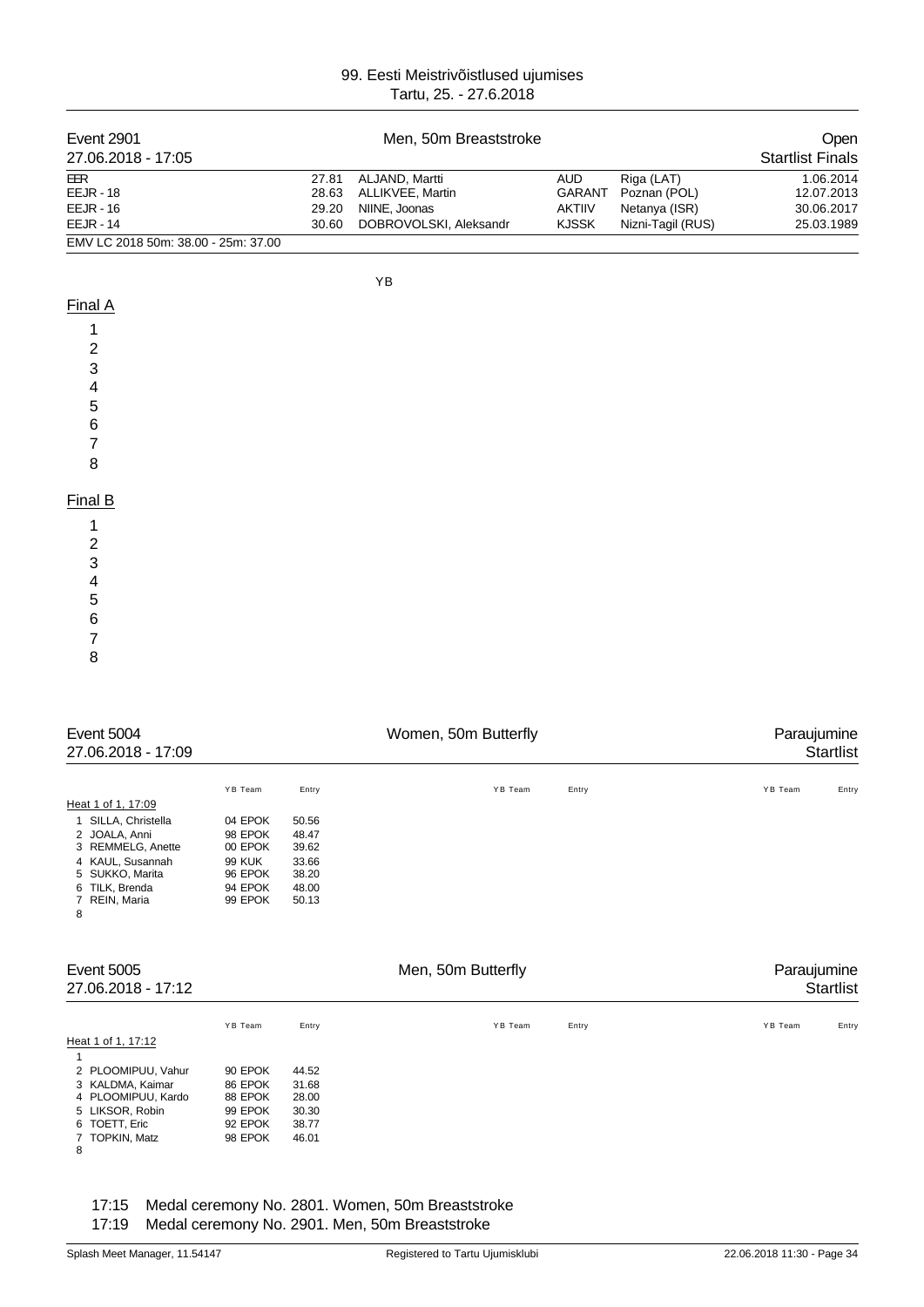| Event 2901<br>27.06.2018 - 17:05    |       | <b>Open</b><br><b>Startlist Finals</b> |               |                   |            |
|-------------------------------------|-------|----------------------------------------|---------------|-------------------|------------|
| EER                                 | 27.81 | ALJAND, Martti                         | <b>AUD</b>    | Riga (LAT)        | 1.06.2014  |
| $EEJR - 18$                         | 28.63 | ALLIKVEE, Martin                       | <b>GARANT</b> | Poznan (POL)      | 12.07.2013 |
| $EEJR - 16$                         | 29.20 | NIINE, Joonas                          | <b>AKTIIV</b> | Netanya (ISR)     | 30.06.2017 |
| <b>EEJR - 14</b>                    | 30.60 | DOBROVOLSKI, Aleksandr                 | <b>KJSSK</b>  | Nizni-Tagil (RUS) | 25.03.1989 |
| EMV LC 2018 50m: 38.00 - 25m: 37.00 |       |                                        |               |                   |            |

YB

## Final A

| 1                                          |  |  |
|--------------------------------------------|--|--|
| $\sqrt{2}$                                 |  |  |
| $\overline{3}$                             |  |  |
|                                            |  |  |
| $\begin{array}{c} 4 \\ 5 \\ 6 \end{array}$ |  |  |
|                                            |  |  |
| $\overline{7}$                             |  |  |
| 8                                          |  |  |
|                                            |  |  |
| Final B                                    |  |  |
| $\sim$                                     |  |  |

| 1 |  |
|---|--|
| 2 |  |
| 3 |  |
| 4 |  |
| 5 |  |
| 6 |  |
| 7 |  |
| 8 |  |

| Event 5004<br>27.06.2018 - 17:09 |                     | Women, 50m Butterfly |       |         |       |                  |
|----------------------------------|---------------------|----------------------|-------|---------|-------|------------------|
|                                  |                     | YB Team              | Entry | YB Team | Entry | YB Team<br>Entry |
|                                  | Heat 1 of 1, 17:09  |                      |       |         |       |                  |
|                                  | 1 SILLA, Christella | 04 EPOK              | 50.56 |         |       |                  |
|                                  | 2 JOALA, Anni       | 98 EPOK              | 48.47 |         |       |                  |
|                                  | 3 REMMELG, Anette   | 00 EPOK              | 39.62 |         |       |                  |
|                                  | 4 KAUL, Susannah    | <b>99 KUK</b>        | 33.66 |         |       |                  |
|                                  | 5 SUKKO, Marita     | 96 EPOK              | 38.20 |         |       |                  |
|                                  | 6 TILK, Brenda      | 94 EPOK              | 48.00 |         |       |                  |
| 8                                | 7 REIN, Maria       | 99 EPOK              | 50.13 |         |       |                  |

| Event 5005<br>27.06.2018 - 17:12                                                                                        |                                                                | Men, 50m Butterfly                                 |         |       |                  |
|-------------------------------------------------------------------------------------------------------------------------|----------------------------------------------------------------|----------------------------------------------------|---------|-------|------------------|
|                                                                                                                         | YB Team                                                        | Entry                                              | YB Team | Entry | YB Team<br>Entry |
| Heat 1 of 1, 17:12                                                                                                      |                                                                |                                                    |         |       |                  |
| 2 PLOOMIPUU, Vahur<br>3 KALDMA, Kaimar<br>4 PLOOMIPUU, Kardo<br>5 LIKSOR, Robin<br>6 TOETT, Eric<br>7 TOPKIN, Matz<br>8 | 90 EPOK<br>86 EPOK<br>88 EPOK<br>99 EPOK<br>92 EPOK<br>98 EPOK | 44.52<br>31.68<br>28.00<br>30.30<br>38.77<br>46.01 |         |       |                  |

17:15 Medal ceremony No. 2801. Women, 50m Breaststroke

17:19 Medal ceremony No. 2901. Men, 50m Breaststroke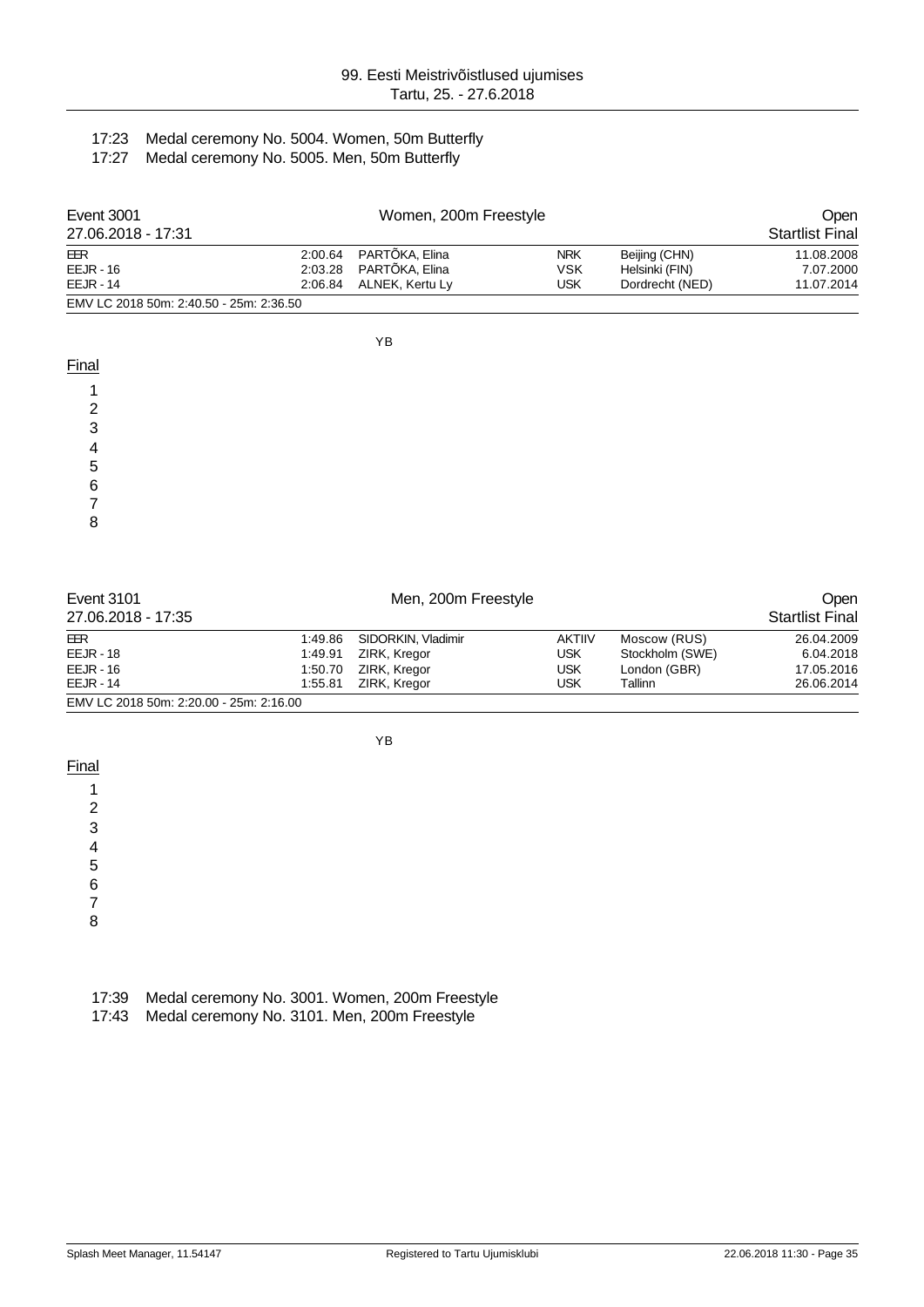## 17:23 Medal ceremony No. 5004. Women, 50m Butterfly

17:27 Medal ceremony No. 5005. Men, 50m Butterfly

| Event 3001                              |         | Women, 200m Freestyle  |            |                 |                        |  |
|-----------------------------------------|---------|------------------------|------------|-----------------|------------------------|--|
| 27.06.2018 - 17:31                      |         |                        |            |                 | <b>Startlist Final</b> |  |
| EER                                     |         | 2:00.64 PARTÕKA, Elina | <b>NRK</b> | Beijing (CHN)   | 11.08.2008             |  |
| $EEJR - 16$                             |         | 2:03.28 PARTOKA, Elina | VSK        | Helsinki (FIN)  | 7.07.2000              |  |
| $EEJR - 14$                             | 2:06.84 | ALNEK, Kertu Lv        | USK        | Dordrecht (NED) | 11.07.2014             |  |
| EMV LC 2018 50m: 2:40.50 - 25m: 2:36.50 |         |                        |            |                 |                        |  |

YB

| Final  |  |
|--------|--|
|        |  |
| ⌒      |  |
| ົ<br>w |  |
|        |  |
| 5      |  |
| -6     |  |
|        |  |
| 8      |  |
|        |  |

| Event 3101                              |         |                    | <b>Open</b>   |                 |                        |
|-----------------------------------------|---------|--------------------|---------------|-----------------|------------------------|
| 27.06.2018 - 17:35                      |         |                    |               |                 | <b>Startlist Final</b> |
| EER                                     | 1:49.86 | SIDORKIN, Vladimir | <b>AKTIIV</b> | Moscow (RUS)    | 26.04.2009             |
| $EEJR - 18$                             | 1:49.91 | ZIRK, Kregor       | USK           | Stockholm (SWE) | 6.04.2018              |
| $EEJR - 16$                             | 1:50.70 | ZIRK, Kregor       | <b>USK</b>    | London (GBR)    | 17.05.2016             |
| <b>EEJR - 14</b>                        | 1:55.81 | ZIRK, Kregor       | USK           | Tallinn         | 26.06.2014             |
| EMV LC 2018 50m: 2:20.00 - 25m: 2:16.00 |         |                    |               |                 |                        |

YB

**Final** 

1 2

3

4

5

6

7

8

|  | 17:39 Medal ceremony No. 3001. Women, 200m Freestyle |  |  |  |  |
|--|------------------------------------------------------|--|--|--|--|
|--|------------------------------------------------------|--|--|--|--|

17:43 Medal ceremony No. 3101. Men, 200m Freestyle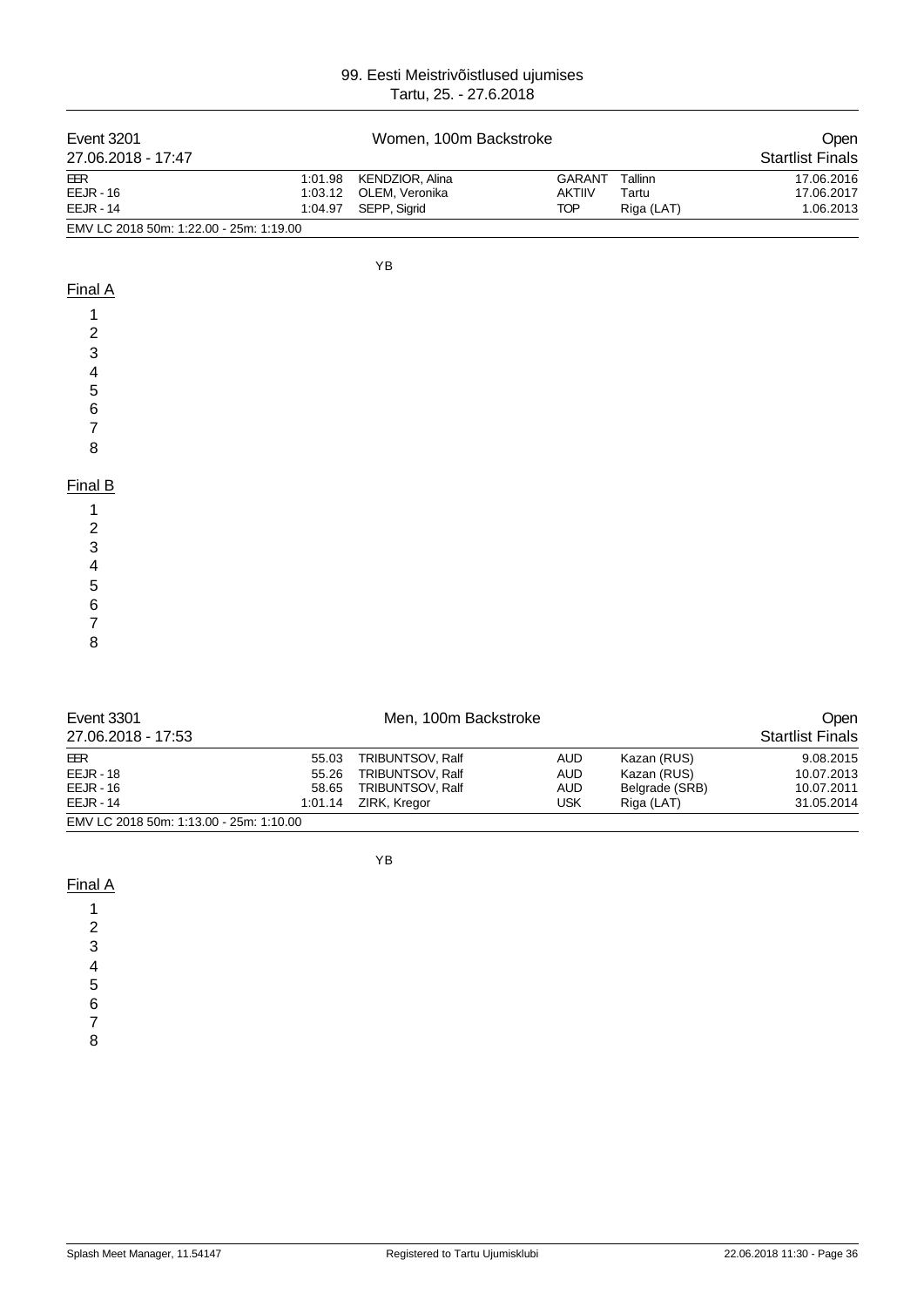| <b>Event 3201</b>                                  |                               | Women, 100m Backstroke                            |                                       |                                | Open                                  |
|----------------------------------------------------|-------------------------------|---------------------------------------------------|---------------------------------------|--------------------------------|---------------------------------------|
| 27.06.2018 - 17:47                                 |                               |                                                   |                                       |                                | <b>Startlist Finals</b>               |
| <b>EER</b><br><b>EEJR - 16</b><br><b>EEJR - 14</b> | 1:01.98<br>1:03.12<br>1:04.97 | KENDZIOR, Alina<br>OLEM, Veronika<br>SEPP, Sigrid | GARANT<br><b>AKTIIV</b><br><b>TOP</b> | Tallinn<br>Tartu<br>Riga (LAT) | 17.06.2016<br>17.06.2017<br>1.06.2013 |
| EMV LC 2018 50m: 1:22.00 - 25m: 1:19.00            |                               |                                                   |                                       |                                |                                       |
|                                                    |                               | YB                                                |                                       |                                |                                       |
| Final A                                            |                               |                                                   |                                       |                                |                                       |
| 1<br>2                                             |                               |                                                   |                                       |                                |                                       |
| 3<br>4                                             |                               |                                                   |                                       |                                |                                       |
| 5<br>$\,6$                                         |                               |                                                   |                                       |                                |                                       |
| $\overline{7}$                                     |                               |                                                   |                                       |                                |                                       |
| 8                                                  |                               |                                                   |                                       |                                |                                       |
| Final B                                            |                               |                                                   |                                       |                                |                                       |
| 1<br>$\overline{\mathbf{c}}$<br>3                  |                               |                                                   |                                       |                                |                                       |
| 4                                                  |                               |                                                   |                                       |                                |                                       |
| 5<br>$\,6$<br>7                                    |                               |                                                   |                                       |                                |                                       |
| 8                                                  |                               |                                                   |                                       |                                |                                       |
| <b>Event 3301</b><br>27.06.2018 - 17:53            |                               | Men, 100m Backstroke                              |                                       |                                | Open<br><b>Startlist Finals</b>       |

| 21.UU.ZU IU - 11.UU                     |         |                  |            |                | olaniist Fiilais |
|-----------------------------------------|---------|------------------|------------|----------------|------------------|
| EER                                     | 55.03   | TRIBUNTSOV, Ralf | AUD        | Kazan (RUS)    | 9.08.2015        |
| $EEJR - 18$                             | 55.26   | TRIBUNTSOV, Ralf | <b>AUD</b> | Kazan (RUS)    | 10.07.2013       |
| $EEJR - 16$                             | 58.65   | TRIBUNTSOV, Ralf | <b>AUD</b> | Belgrade (SRB) | 10.07.2011       |
| $EEJR - 14$                             | 1:01.14 | ZIRK, Kregor     | USK        | Riga (LAT)     | 31.05.2014       |
| EMV LC 2018 50m: 1:13.00 - 25m: 1:10.00 |         |                  |            |                |                  |

YB

## Final A

- 
- $\overline{7}$ 8
-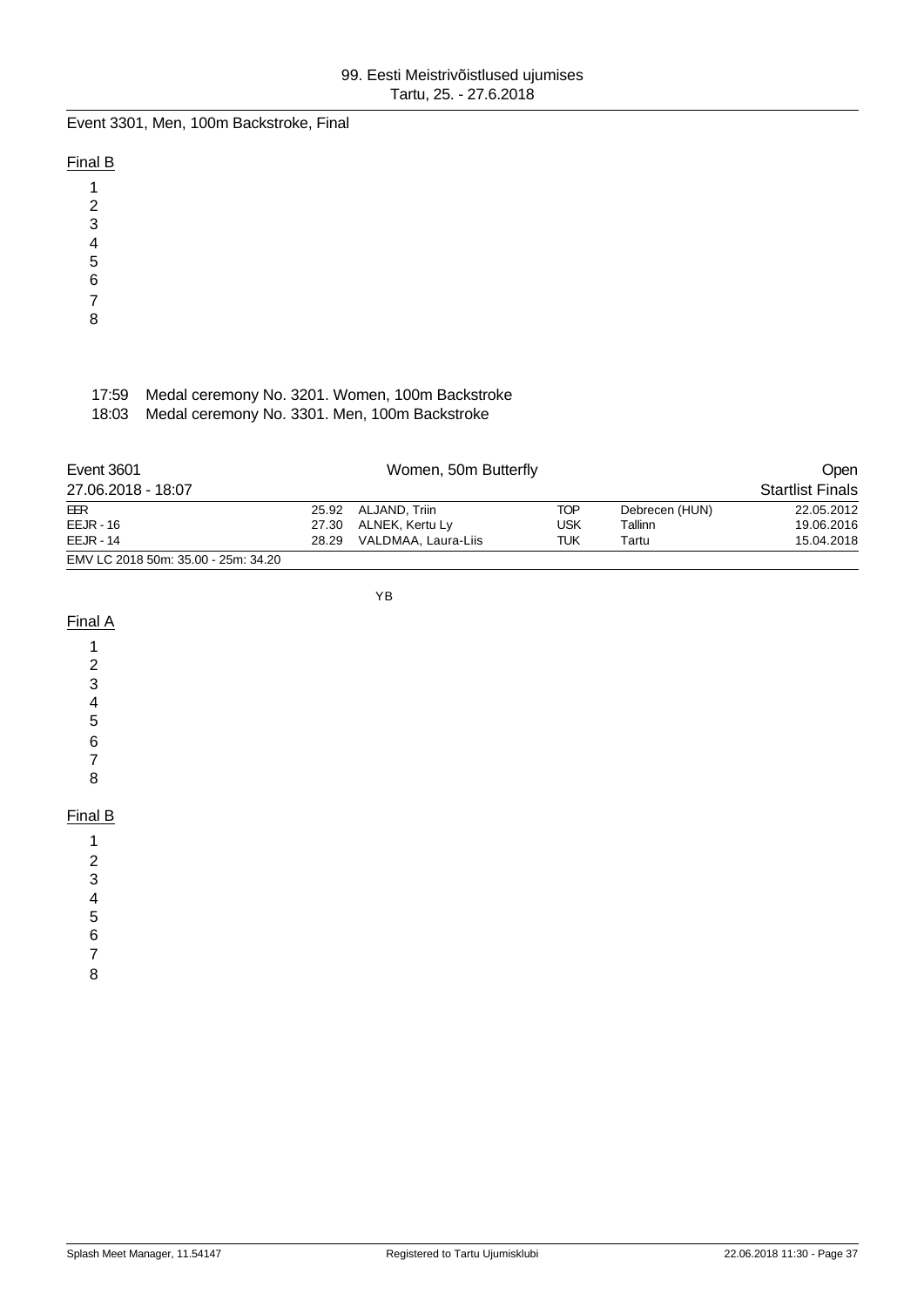Event 3301, Men, 100m Backstroke, Final

## Final B

1 2

- 3
- 4
- 5
- 6
- 7
- 8

# 17:59 Medal ceremony No. 3201. Women, 100m Backstroke

18:03 Medal ceremony No. 3301. Men, 100m Backstroke

| Event 3601                          |       | Open                |     |                |                         |
|-------------------------------------|-------|---------------------|-----|----------------|-------------------------|
| 27.06.2018 - 18:07                  |       |                     |     |                | <b>Startlist Finals</b> |
| EER                                 |       | 25.92 ALJAND, Triin | TOP | Debrecen (HUN) | 22.05.2012              |
| $EEJR - 16$                         | 27.30 | ALNEK, Kertu Ly     | USK | Tallinn        | 19.06.2016              |
| $EEJR - 14$                         | 28.29 | VALDMAA, Laura-Liis | TUK | Tartu          | 15.04.2018              |
| EMV LC 2018 50m: 35.00 - 25m: 34.20 |       |                     |     |                |                         |

YB

#### Final A

1

- 2
- 3
- 4
- 5
- 6 7
- 8

## Final B

- 1
- 2
- 3
- 4
- 5
- 6
- 7
- 8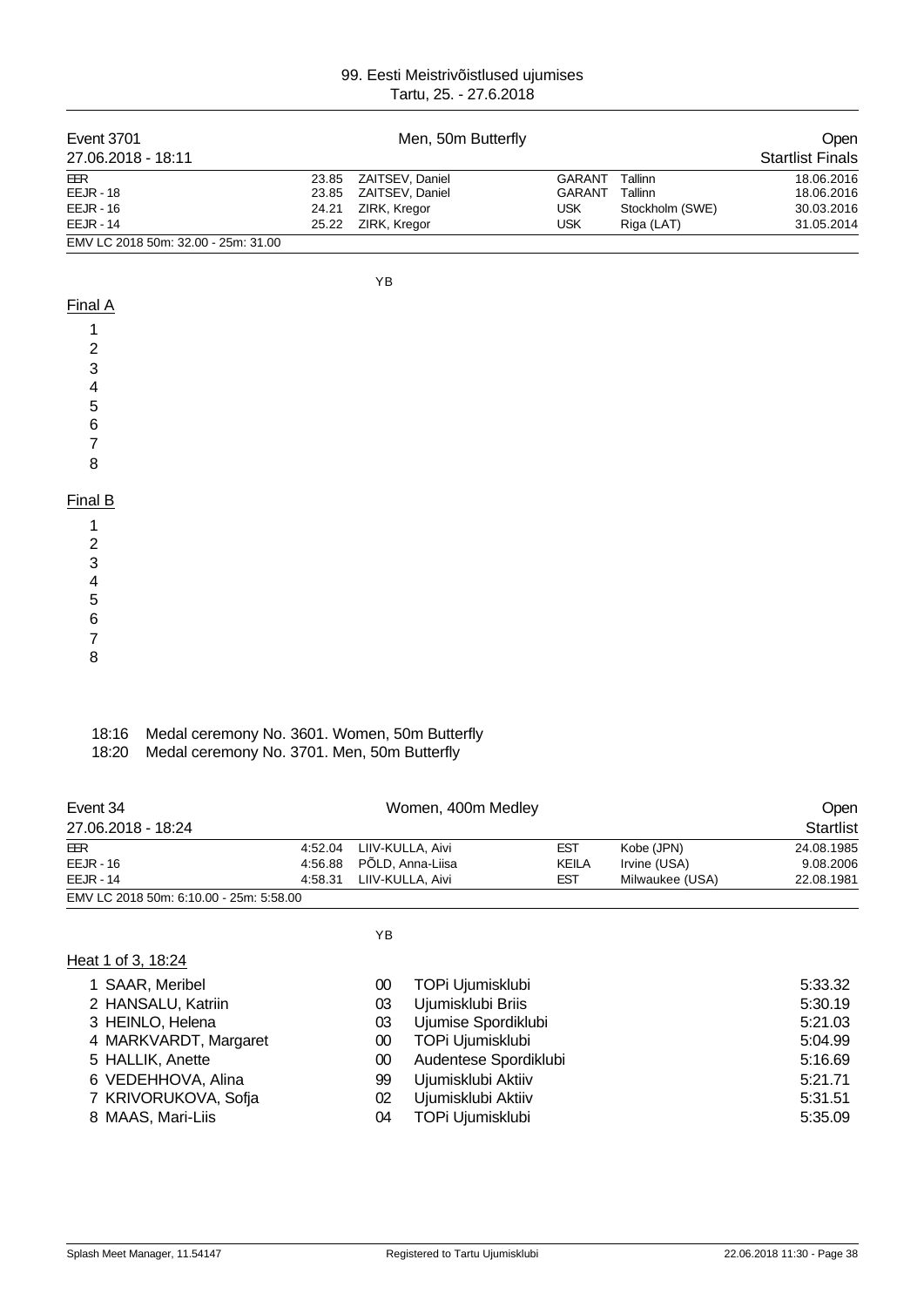| <b>Event 3701</b><br>27.06.2018 - 18:11 |                                               |       | Men, 50m Butterfly |               |                 | Open<br><b>Startlist Finals</b> |
|-----------------------------------------|-----------------------------------------------|-------|--------------------|---------------|-----------------|---------------------------------|
| <b>EER</b>                              |                                               | 23.85 | ZAITSEV, Daniel    | <b>GARANT</b> | Tallinn         | 18.06.2016                      |
| <b>EEJR - 18</b>                        |                                               | 23.85 | ZAITSEV, Daniel    | GARANT        | Tallinn         | 18.06.2016                      |
| <b>EEJR - 16</b>                        |                                               | 24.21 | ZIRK, Kregor       | <b>USK</b>    | Stockholm (SWE) | 30.03.2016                      |
| <b>EEJR - 14</b>                        |                                               | 25.22 | ZIRK, Kregor       | <b>USK</b>    | Riga (LAT)      | 31.05.2014                      |
|                                         | EMV LC 2018 50m: 32.00 - 25m: 31.00           |       |                    |               |                 |                                 |
|                                         |                                               |       | YB                 |               |                 |                                 |
| Final A                                 |                                               |       |                    |               |                 |                                 |
| 1                                       |                                               |       |                    |               |                 |                                 |
| $\mathbf 2$                             |                                               |       |                    |               |                 |                                 |
| 3                                       |                                               |       |                    |               |                 |                                 |
| 4                                       |                                               |       |                    |               |                 |                                 |
|                                         |                                               |       |                    |               |                 |                                 |
| 5                                       |                                               |       |                    |               |                 |                                 |
| 6                                       |                                               |       |                    |               |                 |                                 |
| $\overline{7}$                          |                                               |       |                    |               |                 |                                 |
| $\bf 8$                                 |                                               |       |                    |               |                 |                                 |
| Final B                                 |                                               |       |                    |               |                 |                                 |
| 1                                       |                                               |       |                    |               |                 |                                 |
|                                         |                                               |       |                    |               |                 |                                 |
| $\overline{\mathbf{c}}$                 |                                               |       |                    |               |                 |                                 |
| 3                                       |                                               |       |                    |               |                 |                                 |
| 4                                       |                                               |       |                    |               |                 |                                 |
| 5                                       |                                               |       |                    |               |                 |                                 |
| $\,$ 6 $\,$                             |                                               |       |                    |               |                 |                                 |
| $\overline{7}$                          |                                               |       |                    |               |                 |                                 |
| 8                                       |                                               |       |                    |               |                 |                                 |
|                                         |                                               |       |                    |               |                 |                                 |
| 18:16                                   | Medal ceremony No. 3601. Women, 50m Butterfly |       |                    |               |                 |                                 |
| 18:20                                   | Medal ceremony No. 3701. Men, 50m Butterfly   |       |                    |               |                 |                                 |
|                                         |                                               |       |                    |               |                 |                                 |

| Event 34                                |         | Women, 400m Medley       |            |                 | Open       |
|-----------------------------------------|---------|--------------------------|------------|-----------------|------------|
| 27.06.2018 - 18:24                      |         |                          |            |                 | Startlist  |
| EER                                     | 4:52.04 | LIIV-KULLA. Aivi         | <b>EST</b> | Kobe (JPN)      | 24.08.1985 |
| $EEJR - 16$                             |         | 4:56.88 PÕLD, Anna-Liisa | KEILA      | Irvine (USA)    | 9.08.2006  |
| $EELIR - 14$                            | 4:58.31 | LIIV-KULLA, Aivi         | <b>EST</b> | Milwaukee (USA) | 22.08.1981 |
| EMV LC 2018 50m: 6:10.00 - 25m: 5:58.00 |         |                          |            |                 |            |

| ΥB                          |                       |         |
|-----------------------------|-----------------------|---------|
| Heat 1 of 3, 18:24          |                       |         |
| SAAR, Meribel<br>00         | TOPi Ujumisklubi      | 5:33.32 |
| 2 HANSALU, Katriin<br>03    | Ujumisklubi Briis     | 5:30.19 |
| 3 HEINLO, Helena<br>03      | Ujumise Spordiklubi   | 5:21.03 |
| 4 MARKVARDT, Margaret<br>00 | TOPi Ujumisklubi      | 5:04.99 |
| 5 HALLIK, Anette<br>00      | Audentese Spordiklubi | 5:16.69 |
| 6 VEDEHHOVA, Alina<br>99    | Ujumisklubi Aktiiv    | 5:21.71 |
| 7 KRIVORUKOVA, Sofja<br>02  | Ujumisklubi Aktiiv    | 5:31.51 |
| 8 MAAS, Mari-Liis<br>04     | TOPi Ujumisklubi      | 5:35.09 |